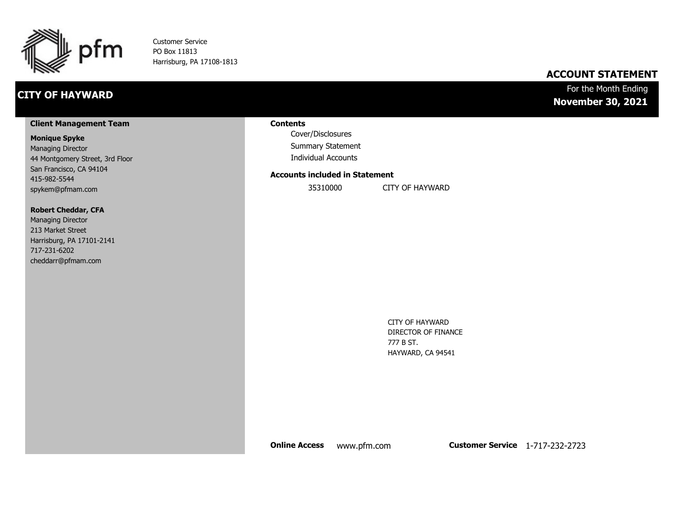

Customer Service PO Box 11813 Harrisburg, PA 17108-1813

## **CITY OF HAYWARD**

### **ACCOUNT STATEMENT**

### For the Month Ending **November 30, 2021**

#### **Client Management Team**

#### **Monique Spyke**

Managing Director 44 Montgomery Street, 3rd Floor San Francisco, CA 94104 415-982-5544 spykem@pfmam.com

#### **Robert Cheddar, CFA**

| <b>Managing Director</b>  |
|---------------------------|
| 213 Market Street         |
| Harrisburg, PA 17101-2141 |
| 717-231-6202              |
| cheddarr@pfmam.com        |

#### **Contents**

Cover/Disclosures Summary Statement Individual Accounts

#### **Accounts included in Statement**

35310000 CITY OF HAYWARD

CITY OF HAYWARD DIRECTOR OF FINANCE 777 B ST. HAYWARD, CA 94541

**Online Access** www.pfm.com **Customer Service** 1-717-232-2723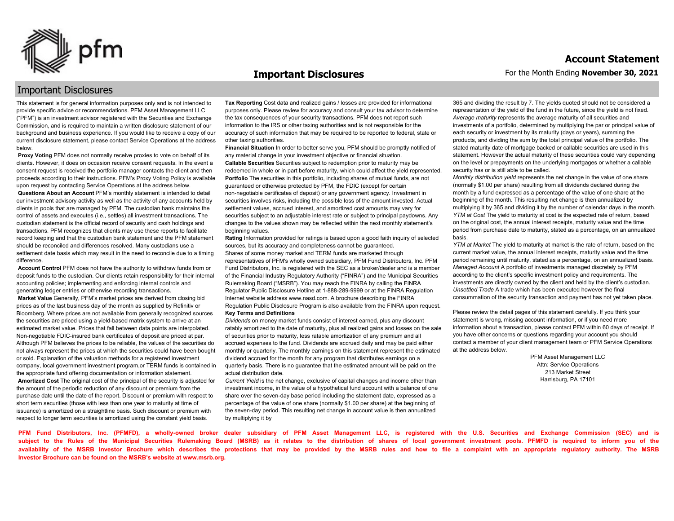

#### **Important Disclosures**

### Important Disclosures

This statement is for general information purposes only and is not intended to provide specific advice or recommendations. PFM Asset Management LLC ("PFM") is an investment advisor registered with the Securities and Exchange Commission, and is required to maintain a written disclosure statement of our background and business experience. If you would like to receive a copy of our current disclosure statement, please contact Service Operations at the address below.

**Proxy Voting** PFM does not normally receive proxies to vote on behalf of its clients. However, it does on occasion receive consent requests. In the event a consent request is received the portfolio manager contacts the client and then proceeds according to their instructions. PFM's Proxy Voting Policy is available upon request by contacting Service Operations at the address below. **Questions About an Account** PFM's monthly statement is intended to detail our investment advisory activity as well as the activity of any accounts held by clients in pools that are managed by PFM. The custodian bank maintains the control of assets and executes (i.e., settles) all investment transactions. The custodian statement is the official record of security and cash holdings and transactions. PFM recognizes that clients may use these reports to facilitate record keeping and that the custodian bank statement and the PFM statement should be reconciled and differences resolved. Many custodians use a settlement date basis which may result in the need to reconcile due to a timing

difference. **Account Control** PFM does not have the authority to withdraw funds from or deposit funds to the custodian. Our clients retain responsibility for their internal accounting policies; implementing and enforcing internal controls and

generating ledger entries or otherwise recording transactions. **Market Value** Generally, PFM's market prices are derived from closing bid prices as of the last business day of the month as supplied by Refinitiv or Bloomberg. Where prices are not available from generally recognized sources the securities are priced using a yield-based matrix system to arrive at an estimated market value. Prices that fall between data points are interpolated. Non-negotiable FDIC-insured bank certificates of deposit are priced at par. Although PFM believes the prices to be reliable, the values of the securities do not always represent the prices at which the securities could have been bought or sold. Explanation of the valuation methods for a registered investment company, local government investment program,or TERM funds is contained in the appropriate fund offering documentation or information statement. **Amortized Cost** The original cost of the principal of the security is adjusted for the amount of the periodic reduction of any discount or premium from the purchase date until the date of the report. Discount or premium with respect to short term securities (those with less than one year to maturity at time of issuance) is amortized on a straightline basis. Such discount or premium with respect to longer term securities is amortized using the constant yield basis.

**Tax Reporting** Cost data and realized gains / losses are provided for informational purposes only. Please review for accuracy and consult your tax advisor to determine the tax consequences of your security transactions. PFM does not report such information to the IRS or other taxing authorities and is not responsible for the accuracy of such information that may be required to be reported to federal, state or other taxing authorities.

**Financial Situation** In order to better serve you, PFM should be promptly notified of any material change in your investment objective or financial situation. **Callable Securities** Securities subject to redemption prior to maturity may be redeemed in whole or in part before maturity, which could affect the yield represented. Portfolio The securities in this portfolio, including shares of mutual funds, are not guaranteed or otherwise protected by PFM, the FDIC (except for certain non-negotiable certificates of deposit) or any government agency. Investment in securities involves risks, including the possible loss of the amount invested. Actual settlement values, accrued interest, and amortized cost amounts may vary for securities subject to an adjustable interest rate or subject to principal paydowns. Any changes to the values shown may be reflected within the next monthly statement's beginning values.

**Rating** Information provided for ratings is based upon a good faith inquiry of selected sources, but its accuracy and completeness cannot be guaranteed. Shares of some money market and TERM funds are marketed through representatives of PFM's wholly owned subsidiary, PFM Fund Distributors, Inc. PFM Fund Distributors, Inc. is registered with the SEC as a broker/dealer and is a member of the Financial Industry Regulatory Authority ("FINRA") and the Municipal Securities Rulemaking Board ("MSRB"). You may reach the FINRA by calling the FINRA Regulator Public Disclosure Hotline at 1-888-289-9999 or at the FINRA Regulation Internet website address www.nasd.com. A brochure describing the FINRA Regulation Public Disclosure Program is also available from the FINRA upon request. **Key Terms and Definitions**

*Dividends* on money market funds consist of interest earned, plus any discount ratably amortized to the date of maturity, plus all realized gains and losses on the sale of securities prior to maturity, less ratable amortization of any premium and all accrued expenses to the fund. Dividends are accrued daily and may be paid either monthly or quarterly. The monthly earnings on this statement represent the estimated dividend accrued for the month for any program that distributes earnings on a quarterly basis. There is no guarantee that the estimated amount will be paid on the actual distribution date.

*Current Yield* is the net change, exclusive of capital changes and income other than investment income, in the value of a hypothetical fund account with a balance of one share over the seven-day base period including the statement date, expressed as a percentage of the value of one share (normally \$1.00 per share) at the beginning of the seven-day period. This resulting net change in account value is then annualized by multiplying it by

365 and dividing the result by 7. The yields quoted should not be considered a representation of the yield of the fund in the future, since the yield is not fixed. *Average maturity* represents the average maturity of all securities and investments of a portfolio, determined by multiplying the par or principal value of each security or investment by its maturity (days or years), summing the products, and dividing the sum by the total principal value of the portfolio. The stated maturity date of mortgage backed or callable securities are used in this statement. However the actual maturity of these securities could vary depending on the level or prepayments on the underlying mortgages or whether a callable security has or is still able to be called.

*Monthly distribution yield* represents the net change in the value of one share (normally \$1.00 per share) resulting from all dividends declared during the month by a fund expressed as a percentage of the value of one share at the beginning of the month. This resulting net change is then annualized by multiplying it by 365 and dividing it by the number of calendar days in the month. *YTM at Cost* The yield to maturity at cost is the expected rate of return, based on the original cost, the annual interest receipts, maturity value and the time period from purchase date to maturity, stated as a percentage, on an annualized basis.

*YTM at Market* The yield to maturity at market is the rate of return, based on the current market value, the annual interest receipts, maturity value and the time period remaining until maturity, stated as a percentage, on an annualized basis. *Managed Account* A portfolio of investments managed discretely by PFM according to the client's specific investment policy and requirements. The investments are directly owned by the client and held by the client's custodian. *Unsettled Trade* A trade which has been executed however the final consummation of the security transaction and payment has not yet taken place.

Please review the detail pages of this statement carefully. If you think your statement is wrong, missing account information, or if you need more information about a transaction, please contact PFM within 60 days of receipt. If you have other concerns or questions regarding your account you should contact a member of your client management team or PFM Service Operations at the address below.

> PFM Asset Management LLC Attn: Service Operations 213 Market Street Harrisburg, PA 17101

**PFM Fund Distributors, Inc. (PFMFD), a wholly-owned broker dealer subsidiary of PFM Asset Management LLC, is registered with the U.S. Securities and Exchange Commission (SEC) and is**  subject to the Rules of the Municipal Securities Rulemaking Board (MSRB) as it relates to the distribution of shares of local government investment pools. PFMFD is required to inform you of the availability of the MSRB Investor Brochure which describes the protections that may be provided by the MSRB rules and how to file a complaint with an appropriate regulatory authority. The MSRB **Investor Brochure can be found on the MSRB's website at www.msrb.org.**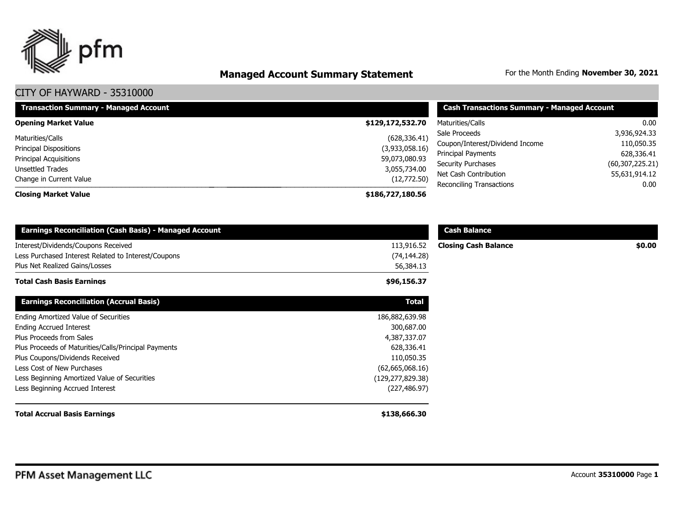

# **Managed Account Summary Statement** For the Month Ending November 30, 2021

| <b>Transaction Summary - Managed Account</b>                                                                               | <b>Cash Transactions Summary - Managed Account</b>                              |                                                                                                                       |                                                                                |  |
|----------------------------------------------------------------------------------------------------------------------------|---------------------------------------------------------------------------------|-----------------------------------------------------------------------------------------------------------------------|--------------------------------------------------------------------------------|--|
| <b>Opening Market Value</b>                                                                                                | \$129,172,532.70                                                                | Maturities/Calls                                                                                                      | 0.00                                                                           |  |
| Maturities/Calls<br><b>Principal Dispositions</b><br>Principal Acquisitions<br>Unsettled Trades<br>Change in Current Value | (628, 336.41)<br>(3,933,058.16)<br>59,073,080.93<br>3,055,734.00<br>(12,772.50) | Sale Proceeds<br>Coupon/Interest/Dividend Income<br>Principal Payments<br>Security Purchases<br>Net Cash Contribution | 3,936,924.33<br>110,050.35<br>628,336.41<br>(60, 307, 225.21)<br>55,631,914.12 |  |
| <b>Closing Market Value</b>                                                                                                | \$186,727,180.56                                                                | Reconciling Transactions                                                                                              | 0.00                                                                           |  |

| <b>Earnings Reconciliation (Cash Basis) - Managed Account</b>                                                                |                                         | <b>Cash Balance</b>         |        |  |  |
|------------------------------------------------------------------------------------------------------------------------------|-----------------------------------------|-----------------------------|--------|--|--|
| Interest/Dividends/Coupons Received<br>Less Purchased Interest Related to Interest/Coupons<br>Plus Net Realized Gains/Losses | 113,916.52<br>(74, 144.28)<br>56,384.13 | <b>Closing Cash Balance</b> | \$0.00 |  |  |
| <b>Total Cash Basis Earnings</b>                                                                                             | \$96,156.37                             |                             |        |  |  |
| <b>Earnings Reconciliation (Accrual Basis)</b>                                                                               | Total                                   |                             |        |  |  |
| Ending Amortized Value of Securities                                                                                         | 186,882,639.98                          |                             |        |  |  |
| <b>Ending Accrued Interest</b>                                                                                               | 300,687.00                              |                             |        |  |  |
| Plus Proceeds from Sales                                                                                                     | 4,387,337.07                            |                             |        |  |  |
| Plus Proceeds of Maturities/Calls/Principal Payments                                                                         | 628,336.41                              |                             |        |  |  |
| Plus Coupons/Dividends Received                                                                                              | 110,050.35                              |                             |        |  |  |
| Less Cost of New Purchases                                                                                                   | (62,665,068.16)                         |                             |        |  |  |
| Less Beginning Amortized Value of Securities                                                                                 | (129, 277, 829.38)                      |                             |        |  |  |
| Less Beginning Accrued Interest                                                                                              | (227, 486.97)                           |                             |        |  |  |
| <b>Total Accrual Basis Earnings</b>                                                                                          | \$138,666.30                            |                             |        |  |  |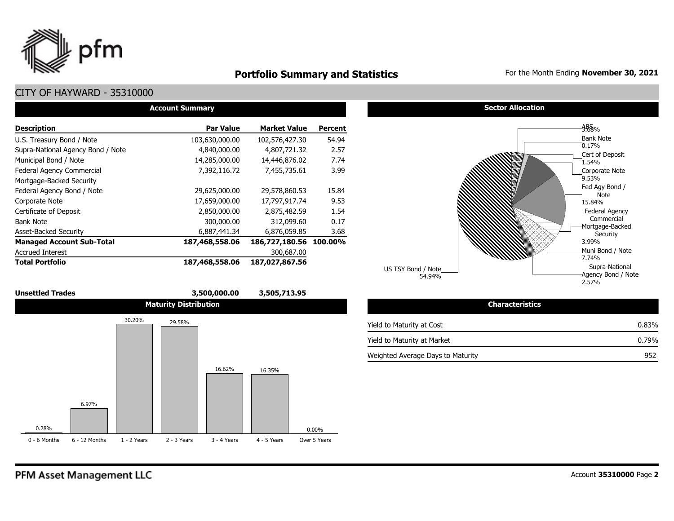

## **Portfolio Summary and Statistics** For the Month Ending **November 30, 2021**

2.57%

## CITY OF HAYWARD - 35310000

| <b>Account Summary</b>            |                  |                        |                |  |  |  |  |  |  |
|-----------------------------------|------------------|------------------------|----------------|--|--|--|--|--|--|
| <b>Description</b>                | <b>Par Value</b> | <b>Market Value</b>    | <b>Percent</b> |  |  |  |  |  |  |
| U.S. Treasury Bond / Note         | 103,630,000.00   | 102,576,427.30         | 54.94          |  |  |  |  |  |  |
| Supra-National Agency Bond / Note | 4,840,000.00     | 4,807,721.32           | 2.57           |  |  |  |  |  |  |
| Municipal Bond / Note             | 14,285,000.00    | 14,446,876.02          | 7.74           |  |  |  |  |  |  |
| <b>Federal Agency Commercial</b>  | 7,392,116.72     | 7,455,735.61           | 3.99           |  |  |  |  |  |  |
| Mortgage-Backed Security          |                  |                        |                |  |  |  |  |  |  |
| Federal Agency Bond / Note        | 29,625,000.00    | 29,578,860.53          | 15.84          |  |  |  |  |  |  |
| Corporate Note                    | 17,659,000.00    | 17,797,917.74          | 9.53           |  |  |  |  |  |  |
| Certificate of Deposit            | 2,850,000.00     | 2,875,482.59           | 1.54           |  |  |  |  |  |  |
| <b>Bank Note</b>                  | 300,000.00       | 312,099.60             | 0.17           |  |  |  |  |  |  |
| <b>Asset-Backed Security</b>      | 6,887,441.34     | 6,876,059.85           | 3.68           |  |  |  |  |  |  |
| <b>Managed Account Sub-Total</b>  | 187,468,558.06   | 186,727,180.56 100.00% |                |  |  |  |  |  |  |
| <b>Accrued Interest</b>           |                  | 300,687.00             |                |  |  |  |  |  |  |
| <b>Total Portfolio</b>            | 187,468,558.06   | 187,027,867.56         |                |  |  |  |  |  |  |







**Sector Allocation** 

 $\overline{54.94\%}$   $\overline{54.94\%}$   $\overline{49.94\%}$   $\overline{49.94\%}$   $\overline{49.94\%}$   $\overline{49.94\%}$   $\overline{49.94\%}$   $\overline{49.94\%}$   $\overline{49.94\%}$   $\overline{49.94\%}$   $\overline{49.94\%}$   $\overline{49.94\%}$   $\overline{49.94\%}$   $\overline{49.94\%}$   $\overline{49.94\$ 

| <b>Characteristics</b>            |          |
|-----------------------------------|----------|
| Yield to Maturity at Cost         | $0.83\%$ |
| Yield to Maturity at Market       | $0.79\%$ |
| Weighted Average Days to Maturity | 952      |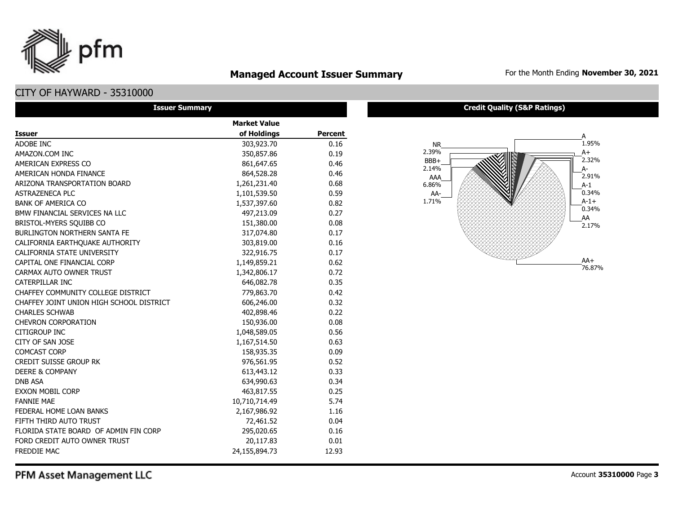

## **Managed Account Issuer Summary** For the Month Ending November 30, 2021

## CITY OF HAYWARD - 35310000

| <b>Issuer Summary</b>                    |                     |                |  |  |  |  |  |  |
|------------------------------------------|---------------------|----------------|--|--|--|--|--|--|
|                                          | <b>Market Value</b> |                |  |  |  |  |  |  |
| <b>Issuer</b>                            | of Holdings         | <b>Percent</b> |  |  |  |  |  |  |
| ADOBE INC.                               | 303,923.70          | 0.16           |  |  |  |  |  |  |
| AMAZON.COM INC                           | 350,857.86          | 0.19           |  |  |  |  |  |  |
| AMERICAN EXPRESS CO                      | 861,647.65          | 0.46           |  |  |  |  |  |  |
| AMERICAN HONDA FINANCE                   | 864,528.28          | 0.46           |  |  |  |  |  |  |
| ARIZONA TRANSPORTATION BOARD             | 1,261,231.40        | 0.68           |  |  |  |  |  |  |
| <b>ASTRAZENECA PLC</b>                   | 1,101,539.50        | 0.59           |  |  |  |  |  |  |
| <b>BANK OF AMERICA CO</b>                | 1,537,397.60        | 0.82           |  |  |  |  |  |  |
| BMW FINANCIAL SERVICES NA LLC            | 497,213.09          | 0.27           |  |  |  |  |  |  |
| BRISTOL-MYERS SQUIBB CO                  | 151,380.00          | 0.08           |  |  |  |  |  |  |
| <b>BURLINGTON NORTHERN SANTA FE</b>      | 317,074.80          | 0.17           |  |  |  |  |  |  |
| CALIFORNIA EARTHOUAKE AUTHORITY          | 303,819.00          | 0.16           |  |  |  |  |  |  |
| CALIFORNIA STATE UNIVERSITY              | 322,916.75          | 0.17           |  |  |  |  |  |  |
| CAPITAL ONE FINANCIAL CORP               | 1,149,859.21        | 0.62           |  |  |  |  |  |  |
| CARMAX AUTO OWNER TRUST                  | 1,342,806.17        | 0.72           |  |  |  |  |  |  |
| CATERPILLAR INC                          | 646,082.78          | 0.35           |  |  |  |  |  |  |
| CHAFFEY COMMUNITY COLLEGE DISTRICT       | 779,863.70          | 0.42           |  |  |  |  |  |  |
| CHAFFEY JOINT UNION HIGH SCHOOL DISTRICT | 606,246.00          | 0.32           |  |  |  |  |  |  |
| <b>CHARLES SCHWAB</b>                    | 402,898.46          | 0.22           |  |  |  |  |  |  |
| <b>CHEVRON CORPORATION</b>               | 150,936.00          | 0.08           |  |  |  |  |  |  |
| <b>CITIGROUP INC</b>                     | 1,048,589.05        | 0.56           |  |  |  |  |  |  |
| CITY OF SAN JOSE                         | 1,167,514.50        | 0.63           |  |  |  |  |  |  |
| <b>COMCAST CORP</b>                      | 158,935.35          | 0.09           |  |  |  |  |  |  |
| <b>CREDIT SUISSE GROUP RK</b>            | 976,561.95          | 0.52           |  |  |  |  |  |  |
| <b>DEERE &amp; COMPANY</b>               | 613,443.12          | 0.33           |  |  |  |  |  |  |
| <b>DNB ASA</b>                           | 634,990.63          | 0.34           |  |  |  |  |  |  |
| <b>EXXON MOBIL CORP</b>                  | 463,817.55          | 0.25           |  |  |  |  |  |  |
| <b>FANNIE MAE</b>                        | 10,710,714.49       | 5.74           |  |  |  |  |  |  |
| FEDERAL HOME LOAN BANKS                  | 2,167,986.92        | 1.16           |  |  |  |  |  |  |
| FIFTH THIRD AUTO TRUST                   | 72,461.52           | 0.04           |  |  |  |  |  |  |
| FLORIDA STATE BOARD OF ADMIN FIN CORP    | 295,020.65          | 0.16           |  |  |  |  |  |  |
| FORD CREDIT AUTO OWNER TRUST             | 20,117.83           | 0.01           |  |  |  |  |  |  |
| <b>FREDDIE MAC</b>                       | 24,155,894.73       | 12.93          |  |  |  |  |  |  |

#### **Credit Quality (S&P Ratings)**

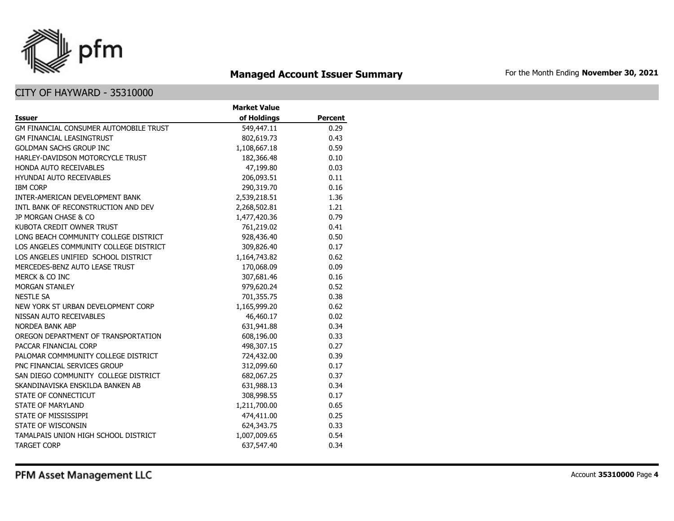

## **Managed Account Issuer Summary** For the Month Ending November 30, 2021

|                                        | <b>Market Value</b> |                |
|----------------------------------------|---------------------|----------------|
| <b>Issuer</b>                          | of Holdings         | <b>Percent</b> |
| GM FINANCIAL CONSUMER AUTOMOBILE TRUST | 549,447.11          | 0.29           |
| <b>GM FINANCIAL LEASINGTRUST</b>       | 802,619.73          | 0.43           |
| <b>GOLDMAN SACHS GROUP INC</b>         | 1,108,667.18        | 0.59           |
| HARLEY-DAVIDSON MOTORCYCLE TRUST       | 182,366.48          | 0.10           |
| HONDA AUTO RECEIVABLES                 | 47,199.80           | 0.03           |
| <b>HYUNDAI AUTO RECEIVABLES</b>        | 206,093.51          | 0.11           |
| <b>IBM CORP</b>                        | 290,319.70          | 0.16           |
| INTER-AMERICAN DEVELOPMENT BANK        | 2,539,218.51        | 1.36           |
| INTL BANK OF RECONSTRUCTION AND DEV    | 2,268,502.81        | 1.21           |
| JP MORGAN CHASE & CO                   | 1,477,420.36        | 0.79           |
| KUBOTA CREDIT OWNER TRUST              | 761,219.02          | 0.41           |
| LONG BEACH COMMUNITY COLLEGE DISTRICT  | 928,436.40          | 0.50           |
| LOS ANGELES COMMUNITY COLLEGE DISTRICT | 309,826.40          | 0.17           |
| LOS ANGELES UNIFIED SCHOOL DISTRICT    | 1,164,743.82        | 0.62           |
| MERCEDES-BENZ AUTO LEASE TRUST         | 170,068.09          | 0.09           |
| MERCK & CO INC                         | 307,681.46          | 0.16           |
| MORGAN STANLEY                         | 979,620.24          | 0.52           |
| <b>NESTLE SA</b>                       | 701,355.75          | 0.38           |
| NEW YORK ST URBAN DEVELOPMENT CORP     | 1,165,999.20        | 0.62           |
| NISSAN AUTO RECEIVABLES                | 46,460.17           | 0.02           |
| <b>NORDEA BANK ABP</b>                 | 631,941.88          | 0.34           |
| OREGON DEPARTMENT OF TRANSPORTATION    | 608,196.00          | 0.33           |
| PACCAR FINANCIAL CORP                  | 498,307.15          | 0.27           |
| PALOMAR COMMMUNITY COLLEGE DISTRICT    | 724,432.00          | 0.39           |
| PNC FINANCIAL SERVICES GROUP           | 312,099.60          | 0.17           |
| SAN DIEGO COMMUNITY COLLEGE DISTRICT   | 682,067.25          | 0.37           |
| SKANDINAVISKA ENSKILDA BANKEN AB       | 631,988.13          | 0.34           |
| STATE OF CONNECTICUT                   | 308,998.55          | 0.17           |
| <b>STATE OF MARYLAND</b>               | 1,211,700.00        | 0.65           |
| STATE OF MISSISSIPPI                   | 474,411.00          | 0.25           |
| STATE OF WISCONSIN                     | 624,343.75          | 0.33           |
| TAMALPAIS UNION HIGH SCHOOL DISTRICT   | 1,007,009.65        | 0.54           |
| <b>TARGET CORP</b>                     | 637,547.40          | 0.34           |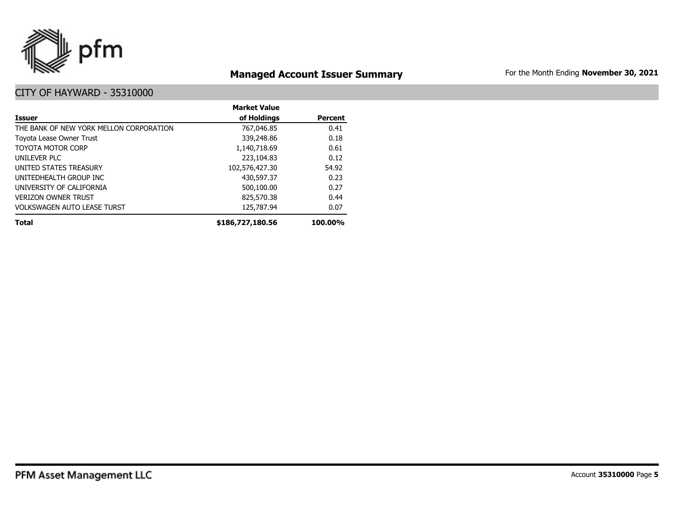

## **Managed Account Issuer Summary** For the Month Ending November 30, 2021

|                                         | <b>Market Value</b> |                |
|-----------------------------------------|---------------------|----------------|
| Issuer                                  | of Holdings         | <b>Percent</b> |
| THE BANK OF NEW YORK MELLON CORPORATION | 767,046.85          | 0.41           |
| Toyota Lease Owner Trust                | 339,248.86          | 0.18           |
| <b>TOYOTA MOTOR CORP</b>                | 1,140,718.69        | 0.61           |
| UNILEVER PLC                            | 223,104.83          | 0.12           |
| UNITED STATES TREASURY                  | 102,576,427.30      | 54.92          |
| UNITEDHEALTH GROUP INC                  | 430,597.37          | 0.23           |
| UNIVERSITY OF CALIFORNIA                | 500,100.00          | 0.27           |
| <b>VERIZON OWNER TRUST</b>              | 825,570.38          | 0.44           |
| <b>VOLKSWAGEN AUTO LEASE TURST</b>      | 125,787.94          | 0.07           |
| <b>Total</b>                            | \$186,727,180.56    | 100.00%        |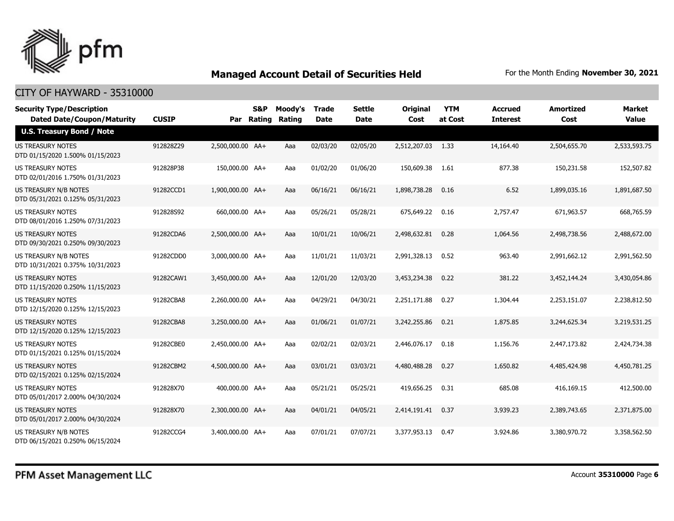

| <b>Security Type/Description</b><br><b>Dated Date/Coupon/Maturity</b> | <b>CUSIP</b> |                  | S&P<br>Par Rating | Moody's<br>Rating | <b>Trade</b><br><b>Date</b> | <b>Settle</b><br>Date | <b>Original</b><br>Cost | <b>YTM</b><br>at Cost | <b>Accrued</b><br><b>Interest</b> | <b>Amortized</b><br>Cost | Market<br><b>Value</b> |
|-----------------------------------------------------------------------|--------------|------------------|-------------------|-------------------|-----------------------------|-----------------------|-------------------------|-----------------------|-----------------------------------|--------------------------|------------------------|
| <b>U.S. Treasury Bond / Note</b>                                      |              |                  |                   |                   |                             |                       |                         |                       |                                   |                          |                        |
| <b>US TREASURY NOTES</b><br>DTD 01/15/2020 1.500% 01/15/2023          | 912828Z29    | 2,500,000.00 AA+ |                   | Aaa               | 02/03/20                    | 02/05/20              | 2,512,207.03            | 1.33                  | 14,164.40                         | 2,504,655.70             | 2,533,593.75           |
| US TREASURY NOTES<br>DTD 02/01/2016 1.750% 01/31/2023                 | 912828P38    | 150,000.00 AA+   |                   | Aaa               | 01/02/20                    | 01/06/20              | 150,609.38              | 1.61                  | 877.38                            | 150,231.58               | 152,507.82             |
| <b>US TREASURY N/B NOTES</b><br>DTD 05/31/2021 0.125% 05/31/2023      | 91282CCD1    | 1,900,000.00 AA+ |                   | Aaa               | 06/16/21                    | 06/16/21              | 1,898,738.28            | 0.16                  | 6.52                              | 1,899,035.16             | 1,891,687.50           |
| <b>US TREASURY NOTES</b><br>DTD 08/01/2016 1.250% 07/31/2023          | 912828S92    | 660,000,00 AA+   |                   | Aaa               | 05/26/21                    | 05/28/21              | 675,649.22              | 0.16                  | 2,757.47                          | 671,963.57               | 668,765.59             |
| <b>US TREASURY NOTES</b><br>DTD 09/30/2021 0.250% 09/30/2023          | 91282CDA6    | 2,500,000.00 AA+ |                   | Aaa               | 10/01/21                    | 10/06/21              | 2,498,632.81            | 0.28                  | 1,064.56                          | 2,498,738.56             | 2,488,672.00           |
| US TREASURY N/B NOTES<br>DTD 10/31/2021 0.375% 10/31/2023             | 91282CDD0    | 3,000,000.00 AA+ |                   | Aaa               | 11/01/21                    | 11/03/21              | 2,991,328.13            | 0.52                  | 963.40                            | 2,991,662.12             | 2,991,562.50           |
| <b>US TREASURY NOTES</b><br>DTD 11/15/2020 0.250% 11/15/2023          | 91282CAW1    | 3,450,000.00 AA+ |                   | Aaa               | 12/01/20                    | 12/03/20              | 3,453,234.38            | 0.22                  | 381.22                            | 3,452,144.24             | 3,430,054.86           |
| US TREASURY NOTES<br>DTD 12/15/2020 0.125% 12/15/2023                 | 91282CBA8    | 2,260,000.00 AA+ |                   | Aaa               | 04/29/21                    | 04/30/21              | 2,251,171.88            | 0.27                  | 1,304.44                          | 2,253,151.07             | 2,238,812.50           |
| US TREASURY NOTES<br>DTD 12/15/2020 0.125% 12/15/2023                 | 91282CBA8    | 3,250,000.00 AA+ |                   | Aaa               | 01/06/21                    | 01/07/21              | 3,242,255.86            | 0.21                  | 1,875.85                          | 3,244,625.34             | 3,219,531.25           |
| <b>US TREASURY NOTES</b><br>DTD 01/15/2021 0.125% 01/15/2024          | 91282CBE0    | 2,450,000.00 AA+ |                   | Aaa               | 02/02/21                    | 02/03/21              | 2,446,076.17            | 0.18                  | 1,156.76                          | 2,447,173.82             | 2,424,734.38           |
| US TREASURY NOTES<br>DTD 02/15/2021 0.125% 02/15/2024                 | 91282CBM2    | 4,500,000.00 AA+ |                   | Aaa               | 03/01/21                    | 03/03/21              | 4,480,488.28            | 0.27                  | 1,650.82                          | 4,485,424.98             | 4,450,781.25           |
| <b>US TREASURY NOTES</b><br>DTD 05/01/2017 2.000% 04/30/2024          | 912828X70    | 400,000.00 AA+   |                   | Aaa               | 05/21/21                    | 05/25/21              | 419,656.25              | 0.31                  | 685.08                            | 416,169.15               | 412,500.00             |
| <b>US TREASURY NOTES</b><br>DTD 05/01/2017 2.000% 04/30/2024          | 912828X70    | 2.300.000.00 AA+ |                   | Aaa               | 04/01/21                    | 04/05/21              | 2,414,191.41            | 0.37                  | 3,939.23                          | 2,389,743.65             | 2,371,875,00           |
| US TREASURY N/B NOTES<br>DTD 06/15/2021 0.250% 06/15/2024             | 91282CCG4    | 3,400,000.00 AA+ |                   | Aaa               | 07/01/21                    | 07/07/21              | 3,377,953.13            | 0.47                  | 3,924.86                          | 3,380,970.72             | 3,358,562.50           |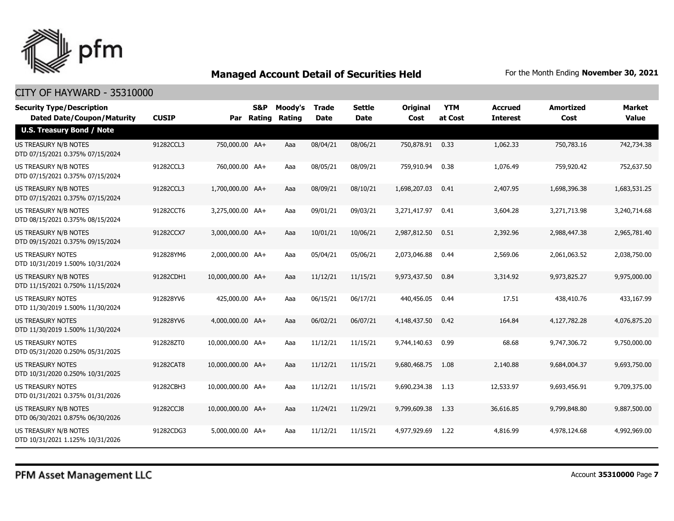

| <b>Security Type/Description</b><br><b>Dated Date/Coupon/Maturity</b> | <b>CUSIP</b> | Par               | S&P<br><b>Rating</b> | Moody's<br>Rating | <b>Trade</b><br><b>Date</b> | <b>Settle</b><br><b>Date</b> | <b>Original</b><br>Cost | <b>YTM</b><br>at Cost | <b>Accrued</b><br><b>Interest</b> | <b>Amortized</b><br>Cost | <b>Market</b><br><b>Value</b> |
|-----------------------------------------------------------------------|--------------|-------------------|----------------------|-------------------|-----------------------------|------------------------------|-------------------------|-----------------------|-----------------------------------|--------------------------|-------------------------------|
| <b>U.S. Treasury Bond / Note</b>                                      |              |                   |                      |                   |                             |                              |                         |                       |                                   |                          |                               |
| US TREASURY N/B NOTES<br>DTD 07/15/2021 0.375% 07/15/2024             | 91282CCL3    | 750,000.00 AA+    |                      | Aaa               | 08/04/21                    | 08/06/21                     | 750,878.91              | 0.33                  | 1,062.33                          | 750,783.16               | 742,734.38                    |
| US TREASURY N/B NOTES<br>DTD 07/15/2021 0.375% 07/15/2024             | 91282CCL3    | 760,000.00 AA+    |                      | Aaa               | 08/05/21                    | 08/09/21                     | 759,910.94              | 0.38                  | 1,076.49                          | 759,920.42               | 752,637.50                    |
| US TREASURY N/B NOTES<br>DTD 07/15/2021 0.375% 07/15/2024             | 91282CCL3    | 1,700,000.00 AA+  |                      | Aaa               | 08/09/21                    | 08/10/21                     | 1,698,207.03            | 0.41                  | 2,407.95                          | 1,698,396.38             | 1,683,531.25                  |
| US TREASURY N/B NOTES<br>DTD 08/15/2021 0.375% 08/15/2024             | 91282CCT6    | 3,275,000.00 AA+  |                      | Aaa               | 09/01/21                    | 09/03/21                     | 3,271,417.97            | 0.41                  | 3,604.28                          | 3,271,713.98             | 3,240,714.68                  |
| US TREASURY N/B NOTES<br>DTD 09/15/2021 0.375% 09/15/2024             | 91282CCX7    | 3,000,000.00 AA+  |                      | Aaa               | 10/01/21                    | 10/06/21                     | 2,987,812.50            | 0.51                  | 2,392.96                          | 2,988,447.38             | 2,965,781.40                  |
| <b>US TREASURY NOTES</b><br>DTD 10/31/2019 1.500% 10/31/2024          | 912828YM6    | 2,000,000.00 AA+  |                      | Aaa               | 05/04/21                    | 05/06/21                     | 2,073,046.88            | 0.44                  | 2,569.06                          | 2,061,063.52             | 2,038,750.00                  |
| US TREASURY N/B NOTES<br>DTD 11/15/2021 0.750% 11/15/2024             | 91282CDH1    | 10,000,000,00 AA+ |                      | Aaa               | 11/12/21                    | 11/15/21                     | 9,973,437.50            | 0.84                  | 3,314.92                          | 9,973,825.27             | 9,975,000.00                  |
| <b>US TREASURY NOTES</b><br>DTD 11/30/2019 1.500% 11/30/2024          | 912828YV6    | 425,000.00 AA+    |                      | Aaa               | 06/15/21                    | 06/17/21                     | 440,456.05              | 0.44                  | 17.51                             | 438,410.76               | 433,167.99                    |
| <b>US TREASURY NOTES</b><br>DTD 11/30/2019 1.500% 11/30/2024          | 912828YV6    | 4,000,000.00 AA+  |                      | Aaa               | 06/02/21                    | 06/07/21                     | 4,148,437.50            | 0.42                  | 164.84                            | 4,127,782.28             | 4,076,875.20                  |
| US TREASURY NOTES<br>DTD 05/31/2020 0.250% 05/31/2025                 | 912828ZT0    | 10,000,000.00 AA+ |                      | Aaa               | 11/12/21                    | 11/15/21                     | 9,744,140.63            | 0.99                  | 68.68                             | 9,747,306.72             | 9,750,000.00                  |
| <b>US TREASURY NOTES</b><br>DTD 10/31/2020 0.250% 10/31/2025          | 91282CAT8    | 10,000,000,00 AA+ |                      | Aaa               | 11/12/21                    | 11/15/21                     | 9,680,468.75            | 1.08                  | 2,140.88                          | 9,684,004.37             | 9,693,750.00                  |
| <b>US TREASURY NOTES</b><br>DTD 01/31/2021 0.375% 01/31/2026          | 91282CBH3    | 10,000,000.00 AA+ |                      | Aaa               | 11/12/21                    | 11/15/21                     | 9,690,234.38            | 1.13                  | 12,533.97                         | 9,693,456.91             | 9,709,375.00                  |
| US TREASURY N/B NOTES<br>DTD 06/30/2021 0.875% 06/30/2026             | 91282CCJ8    | 10,000,000.00 AA+ |                      | Aaa               | 11/24/21                    | 11/29/21                     | 9,799,609.38            | 1.33                  | 36,616.85                         | 9,799,848.80             | 9,887,500.00                  |
| US TREASURY N/B NOTES<br>DTD 10/31/2021 1.125% 10/31/2026             | 91282CDG3    | 5,000,000.00 AA+  |                      | Aaa               | 11/12/21                    | 11/15/21                     | 4,977,929.69            | 1.22                  | 4,816.99                          | 4,978,124.68             | 4,992,969.00                  |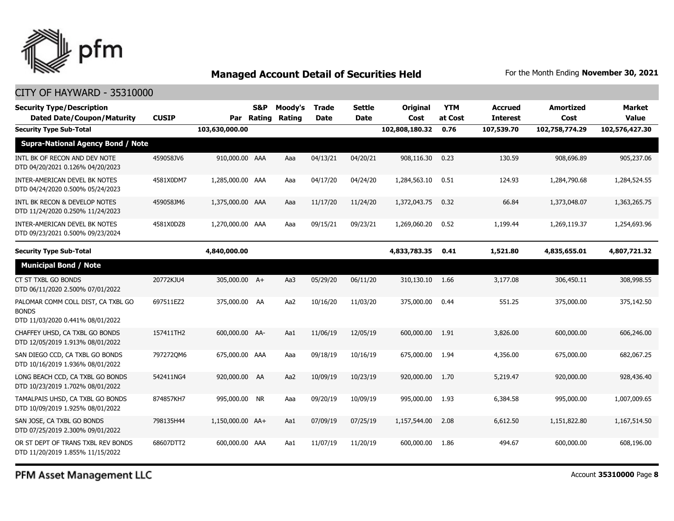

#### CITY OF HAYWARD - 35310000

| <b>Security Type/Description</b><br><b>Dated Date/Coupon/Maturity</b>                  | <b>CUSIP</b> |                  | S&P<br>Par Rating | Moody's<br>Rating | <b>Trade</b><br><b>Date</b> | Settle<br><b>Date</b> | <b>Original</b><br>Cost | <b>YTM</b><br>at Cost | <b>Accrued</b><br><b>Interest</b> | <b>Amortized</b><br>Cost | <b>Market</b><br><b>Value</b> |
|----------------------------------------------------------------------------------------|--------------|------------------|-------------------|-------------------|-----------------------------|-----------------------|-------------------------|-----------------------|-----------------------------------|--------------------------|-------------------------------|
| <b>Security Type Sub-Total</b>                                                         |              | 103,630,000.00   |                   |                   |                             |                       | 102,808,180.32          | 0.76                  | 107,539.70                        | 102,758,774.29           | 102,576,427.30                |
| <b>Supra-National Agency Bond / Note</b>                                               |              |                  |                   |                   |                             |                       |                         |                       |                                   |                          |                               |
| INTL BK OF RECON AND DEV NOTE<br>DTD 04/20/2021 0.126% 04/20/2023                      | 459058JV6    | 910,000.00 AAA   |                   | Aaa               | 04/13/21                    | 04/20/21              | 908,116.30              | 0.23                  | 130.59                            | 908,696.89               | 905,237.06                    |
| INTER-AMERICAN DEVEL BK NOTES<br>DTD 04/24/2020 0.500% 05/24/2023                      | 4581X0DM7    | 1,285,000.00 AAA |                   | Aaa               | 04/17/20                    | 04/24/20              | 1,284,563.10            | 0.51                  | 124.93                            | 1,284,790.68             | 1,284,524.55                  |
| INTL BK RECON & DEVELOP NOTES<br>DTD 11/24/2020 0.250% 11/24/2023                      | 459058JM6    | 1,375,000.00 AAA |                   | Aaa               | 11/17/20                    | 11/24/20              | 1,372,043.75            | 0.32                  | 66.84                             | 1,373,048.07             | 1,363,265.75                  |
| INTER-AMERICAN DEVEL BK NOTES<br>DTD 09/23/2021 0.500% 09/23/2024                      | 4581X0DZ8    | 1,270,000.00 AAA |                   | Aaa               | 09/15/21                    | 09/23/21              | 1,269,060.20            | 0.52                  | 1,199.44                          | 1,269,119.37             | 1,254,693.96                  |
| <b>Security Type Sub-Total</b>                                                         |              | 4,840,000.00     |                   |                   |                             |                       | 4,833,783.35            | 0.41                  | 1,521.80                          | 4,835,655.01             | 4,807,721.32                  |
| <b>Municipal Bond / Note</b>                                                           |              |                  |                   |                   |                             |                       |                         |                       |                                   |                          |                               |
| CT ST TXBL GO BONDS<br>DTD 06/11/2020 2.500% 07/01/2022                                | 20772KJU4    | 305,000.00 A+    |                   | Aa3               | 05/29/20                    | 06/11/20              | 310,130.10              | 1.66                  | 3,177,08                          | 306,450.11               | 308,998.55                    |
| PALOMAR COMM COLL DIST, CA TXBL GO<br><b>BONDS</b><br>DTD 11/03/2020 0.441% 08/01/2022 | 697511EZ2    | 375,000.00 AA    |                   | Aa2               | 10/16/20                    | 11/03/20              | 375,000.00              | 0.44                  | 551.25                            | 375,000.00               | 375,142.50                    |
| CHAFFEY UHSD, CA TXBL GO BONDS<br>DTD 12/05/2019 1.913% 08/01/2022                     | 157411TH2    | 600,000.00 AA-   |                   | Aa1               | 11/06/19                    | 12/05/19              | 600,000.00              | 1.91                  | 3,826.00                          | 600,000.00               | 606,246.00                    |
| SAN DIEGO CCD, CA TXBL GO BONDS<br>DTD 10/16/2019 1.936% 08/01/2022                    | 7972720M6    | 675,000.00 AAA   |                   | Aaa               | 09/18/19                    | 10/16/19              | 675,000.00              | 1.94                  | 4,356.00                          | 675,000.00               | 682,067.25                    |
| LONG BEACH CCD, CA TXBL GO BONDS<br>DTD 10/23/2019 1.702% 08/01/2022                   | 542411NG4    | 920,000.00 AA    |                   | Aa2               | 10/09/19                    | 10/23/19              | 920,000.00              | 1.70                  | 5,219.47                          | 920,000.00               | 928,436.40                    |
| TAMALPAIS UHSD, CA TXBL GO BONDS<br>DTD 10/09/2019 1.925% 08/01/2022                   | 874857KH7    | 995,000.00       | <b>NR</b>         | Aaa               | 09/20/19                    | 10/09/19              | 995,000.00              | 1.93                  | 6,384.58                          | 995,000.00               | 1,007,009.65                  |
| SAN JOSE, CA TXBL GO BONDS<br>DTD 07/25/2019 2.300% 09/01/2022                         | 798135H44    | 1,150,000.00 AA+ |                   | Aa1               | 07/09/19                    | 07/25/19              | 1,157,544.00            | 2.08                  | 6,612.50                          | 1,151,822.80             | 1,167,514.50                  |
| OR ST DEPT OF TRANS TXBL REV BONDS<br>DTD 11/20/2019 1.855% 11/15/2022                 | 68607DTT2    | 600,000.00 AAA   |                   | Aa1               | 11/07/19                    | 11/20/19              | 600,000,00              | 1.86                  | 494.67                            | 600,000.00               | 608,196.00                    |

PFM Asset Management LLC

Account **35310000** Page **8**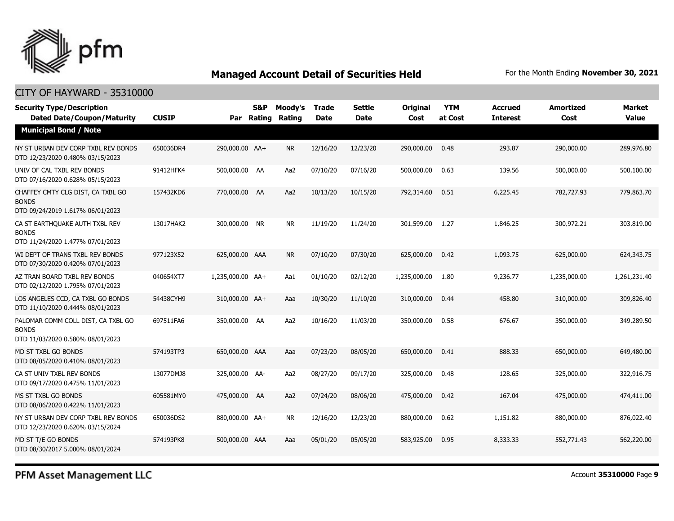

#### CITY OF HAYWARD - 35310000

| <b>Security Type/Description</b><br><b>Dated Date/Coupon/Maturity</b>                  | <b>CUSIP</b> |                  | S&P<br>Par Rating | Moody's<br>Rating | Trade<br><b>Date</b> | <b>Settle</b><br><b>Date</b> | <b>Original</b><br>Cost | <b>YTM</b><br>at Cost | <b>Accrued</b><br><b>Interest</b> | <b>Amortized</b><br>Cost | <b>Market</b><br><b>Value</b> |
|----------------------------------------------------------------------------------------|--------------|------------------|-------------------|-------------------|----------------------|------------------------------|-------------------------|-----------------------|-----------------------------------|--------------------------|-------------------------------|
| <b>Municipal Bond / Note</b>                                                           |              |                  |                   |                   |                      |                              |                         |                       |                                   |                          |                               |
| NY ST URBAN DEV CORP TXBL REV BONDS<br>DTD 12/23/2020 0.480% 03/15/2023                | 650036DR4    | 290,000.00 AA+   |                   | <b>NR</b>         | 12/16/20             | 12/23/20                     | 290,000.00              | 0.48                  | 293.87                            | 290,000.00               | 289,976.80                    |
| UNIV OF CAL TXBL REV BONDS<br>DTD 07/16/2020 0.628% 05/15/2023                         | 91412HFK4    | 500,000.00 AA    |                   | Aa2               | 07/10/20             | 07/16/20                     | 500,000.00              | 0.63                  | 139.56                            | 500,000.00               | 500,100.00                    |
| CHAFFEY CMTY CLG DIST, CA TXBL GO<br><b>BONDS</b><br>DTD 09/24/2019 1.617% 06/01/2023  | 157432KD6    | 770,000.00 AA    |                   | Aa2               | 10/13/20             | 10/15/20                     | 792,314.60              | 0.51                  | 6,225.45                          | 782,727.93               | 779,863.70                    |
| CA ST EARTHQUAKE AUTH TXBL REV<br><b>BONDS</b><br>DTD 11/24/2020 1.477% 07/01/2023     | 13017HAK2    | 300,000.00 NR    |                   | <b>NR</b>         | 11/19/20             | 11/24/20                     | 301,599.00              | 1.27                  | 1,846.25                          | 300,972.21               | 303,819.00                    |
| WI DEPT OF TRANS TXBL REV BONDS<br>DTD 07/30/2020 0.420% 07/01/2023                    | 977123X52    | 625,000.00 AAA   |                   | <b>NR</b>         | 07/10/20             | 07/30/20                     | 625,000.00              | 0.42                  | 1,093.75                          | 625,000.00               | 624,343.75                    |
| AZ TRAN BOARD TXBL REV BONDS<br>DTD 02/12/2020 1.795% 07/01/2023                       | 040654XT7    | 1,235,000.00 AA+ |                   | Aa1               | 01/10/20             | 02/12/20                     | 1,235,000.00            | 1.80                  | 9,236.77                          | 1,235,000.00             | 1,261,231.40                  |
| LOS ANGELES CCD, CA TXBL GO BONDS<br>DTD 11/10/2020 0.444% 08/01/2023                  | 54438CYH9    | 310,000.00 AA+   |                   | Aaa               | 10/30/20             | 11/10/20                     | 310,000.00              | 0.44                  | 458.80                            | 310,000.00               | 309,826.40                    |
| PALOMAR COMM COLL DIST, CA TXBL GO<br><b>BONDS</b><br>DTD 11/03/2020 0.580% 08/01/2023 | 697511FA6    | 350,000.00 AA    |                   | Aa2               | 10/16/20             | 11/03/20                     | 350,000.00              | 0.58                  | 676.67                            | 350,000.00               | 349,289.50                    |
| MD ST TXBL GO BONDS<br>DTD 08/05/2020 0.410% 08/01/2023                                | 574193TP3    | 650,000.00 AAA   |                   | Aaa               | 07/23/20             | 08/05/20                     | 650,000.00              | 0.41                  | 888.33                            | 650,000.00               | 649,480.00                    |
| CA ST UNIV TXBL REV BONDS<br>DTD 09/17/2020 0.475% 11/01/2023                          | 13077DMJ8    | 325,000.00 AA-   |                   | Aa2               | 08/27/20             | 09/17/20                     | 325,000.00              | 0.48                  | 128.65                            | 325,000.00               | 322,916.75                    |
| MS ST TXBL GO BONDS<br>DTD 08/06/2020 0.422% 11/01/2023                                | 605581MY0    | 475,000.00 AA    |                   | Aa2               | 07/24/20             | 08/06/20                     | 475,000.00              | 0.42                  | 167.04                            | 475,000.00               | 474,411.00                    |
| NY ST URBAN DEV CORP TXBL REV BONDS<br>DTD 12/23/2020 0.620% 03/15/2024                | 650036DS2    | 880,000.00 AA+   |                   | <b>NR</b>         | 12/16/20             | 12/23/20                     | 880,000.00              | 0.62                  | 1,151.82                          | 880,000.00               | 876,022.40                    |
| MD ST T/E GO BONDS<br>DTD 08/30/2017 5.000% 08/01/2024                                 | 574193PK8    | 500,000.00 AAA   |                   | Aaa               | 05/01/20             | 05/05/20                     | 583,925.00              | 0.95                  | 8,333.33                          | 552,771.43               | 562,220.00                    |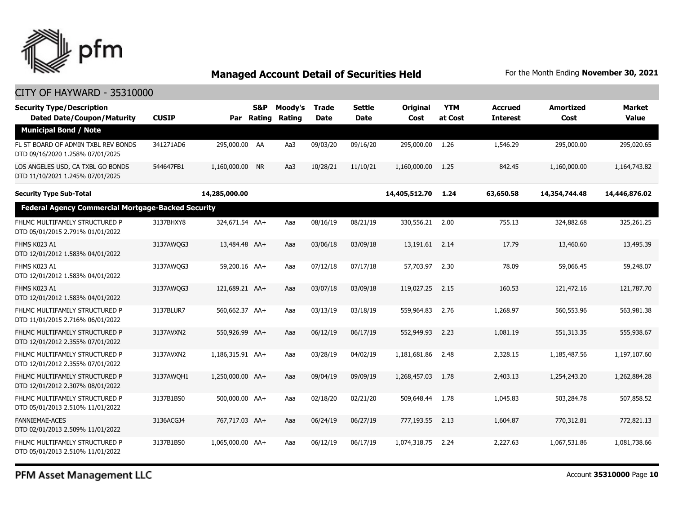

#### CITY OF HAYWARD - 35310000

| <b>Security Type/Description</b><br><b>Dated Date/Coupon/Maturity</b>   | <b>CUSIP</b> | Par              | S&P<br>Rating | Moody's<br>Rating | <b>Trade</b><br><b>Date</b> | <b>Settle</b><br>Date | <b>Original</b><br>Cost | <b>YTM</b><br>at Cost | <b>Accrued</b><br><b>Interest</b> | <b>Amortized</b><br>Cost | <b>Market</b><br><b>Value</b> |
|-------------------------------------------------------------------------|--------------|------------------|---------------|-------------------|-----------------------------|-----------------------|-------------------------|-----------------------|-----------------------------------|--------------------------|-------------------------------|
| <b>Municipal Bond / Note</b>                                            |              |                  |               |                   |                             |                       |                         |                       |                                   |                          |                               |
| FL ST BOARD OF ADMIN TXBL REV BONDS<br>DTD 09/16/2020 1.258% 07/01/2025 | 341271AD6    | 295,000.00 AA    |               | Aa3               | 09/03/20                    | 09/16/20              | 295,000.00              | 1.26                  | 1,546.29                          | 295,000.00               | 295,020.65                    |
| LOS ANGELES USD, CA TXBL GO BONDS<br>DTD 11/10/2021 1.245% 07/01/2025   | 544647FB1    | 1,160,000.00 NR  |               | Aa3               | 10/28/21                    | 11/10/21              | 1,160,000.00            | 1.25                  | 842.45                            | 1,160,000.00             | 1,164,743.82                  |
| <b>Security Type Sub-Total</b>                                          |              | 14,285,000.00    |               |                   |                             |                       | 14,405,512.70           | 1.24                  | 63,650.58                         | 14,354,744.48            | 14,446,876.02                 |
| <b>Federal Agency Commercial Mortgage-Backed Security</b>               |              |                  |               |                   |                             |                       |                         |                       |                                   |                          |                               |
| FHLMC MULTIFAMILY STRUCTURED P<br>DTD 05/01/2015 2.791% 01/01/2022      | 3137BHXY8    | 324,671.54 AA+   |               | Aaa               | 08/16/19                    | 08/21/19              | 330,556.21              | 2.00                  | 755.13                            | 324,882.68               | 325,261.25                    |
| FHMS K023 A1<br>DTD 12/01/2012 1.583% 04/01/2022                        | 3137AWQG3    | 13,484.48 AA+    |               | Aaa               | 03/06/18                    | 03/09/18              | 13,191.61               | 2.14                  | 17.79                             | 13,460.60                | 13,495.39                     |
| FHMS K023 A1<br>DTD 12/01/2012 1.583% 04/01/2022                        | 3137AWOG3    | 59,200.16 AA+    |               | Aaa               | 07/12/18                    | 07/17/18              | 57,703.97               | 2.30                  | 78.09                             | 59,066.45                | 59,248.07                     |
| FHMS K023 A1<br>DTD 12/01/2012 1.583% 04/01/2022                        | 3137AWQG3    | 121,689.21 AA+   |               | Aaa               | 03/07/18                    | 03/09/18              | 119,027.25              | 2.15                  | 160.53                            | 121,472.16               | 121,787.70                    |
| FHLMC MULTIFAMILY STRUCTURED P<br>DTD 11/01/2015 2.716% 06/01/2022      | 3137BLUR7    | 560,662.37 AA+   |               | Aaa               | 03/13/19                    | 03/18/19              | 559,964.83              | 2.76                  | 1,268.97                          | 560,553.96               | 563,981.38                    |
| FHLMC MULTIFAMILY STRUCTURED P<br>DTD 12/01/2012 2.355% 07/01/2022      | 3137AVXN2    | 550,926.99 AA+   |               | Aaa               | 06/12/19                    | 06/17/19              | 552,949.93              | 2.23                  | 1,081.19                          | 551,313.35               | 555,938.67                    |
| FHLMC MULTIFAMILY STRUCTURED P<br>DTD 12/01/2012 2.355% 07/01/2022      | 3137AVXN2    | 1,186,315.91 AA+ |               | Aaa               | 03/28/19                    | 04/02/19              | 1,181,681.86            | 2.48                  | 2,328.15                          | 1,185,487.56             | 1,197,107.60                  |
| FHLMC MULTIFAMILY STRUCTURED P<br>DTD 12/01/2012 2.307% 08/01/2022      | 3137AWOH1    | 1,250,000.00 AA+ |               | Aaa               | 09/04/19                    | 09/09/19              | 1,268,457.03            | 1.78                  | 2,403.13                          | 1,254,243.20             | 1,262,884.28                  |
| FHLMC MULTIFAMILY STRUCTURED P<br>DTD 05/01/2013 2.510% 11/01/2022      | 3137B1BS0    | 500,000.00 AA+   |               | Aaa               | 02/18/20                    | 02/21/20              | 509,648.44              | 1.78                  | 1,045.83                          | 503,284.78               | 507,858.52                    |
| <b>FANNIEMAE-ACES</b><br>DTD 02/01/2013 2.509% 11/01/2022               | 3136ACGJ4    | 767,717.03 AA+   |               | Aaa               | 06/24/19                    | 06/27/19              | 777,193.55              | 2.13                  | 1,604.87                          | 770,312.81               | 772,821.13                    |
| FHLMC MULTIFAMILY STRUCTURED P<br>DTD 05/01/2013 2.510% 11/01/2022      | 3137B1BS0    | 1.065.000.00 AA+ |               | Aaa               | 06/12/19                    | 06/17/19              | 1,074,318,75            | 2.24                  | 2,227.63                          | 1,067,531.86             | 1.081.738.66                  |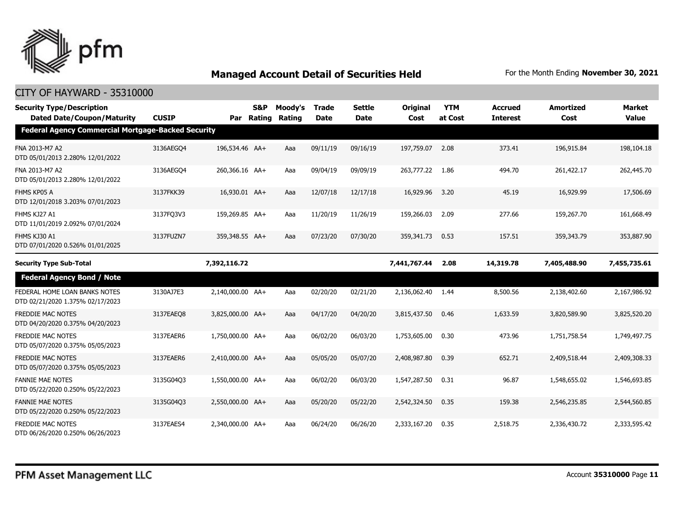

| <b>Security Type/Description</b><br><b>Dated Date/Coupon/Maturity</b> | <b>CUSIP</b> | Par              | <b>S&amp;P</b><br>Rating | Moody's<br>Rating | Trade<br><b>Date</b> | <b>Settle</b><br><b>Date</b> | Original<br>Cost | <b>YTM</b><br>at Cost | <b>Accrued</b><br><b>Interest</b> | <b>Amortized</b><br>Cost | <b>Market</b><br><b>Value</b> |
|-----------------------------------------------------------------------|--------------|------------------|--------------------------|-------------------|----------------------|------------------------------|------------------|-----------------------|-----------------------------------|--------------------------|-------------------------------|
| <b>Federal Agency Commercial Mortgage-Backed Security</b>             |              |                  |                          |                   |                      |                              |                  |                       |                                   |                          |                               |
| FNA 2013-M7 A2<br>DTD 05/01/2013 2.280% 12/01/2022                    | 3136AEGO4    | 196,534.46 AA+   |                          | Aaa               | 09/11/19             | 09/16/19                     | 197,759.07       | 2.08                  | 373.41                            | 196,915.84               | 198,104.18                    |
| FNA 2013-M7 A2<br>DTD 05/01/2013 2.280% 12/01/2022                    | 3136AEGO4    | 260,366.16 AA+   |                          | Aaa               | 09/04/19             | 09/09/19                     | 263,777.22       | 1.86                  | 494.70                            | 261,422.17               | 262,445.70                    |
| FHMS KP05 A<br>DTD 12/01/2018 3.203% 07/01/2023                       | 3137FKK39    | 16,930.01 AA+    |                          | Aaa               | 12/07/18             | 12/17/18                     | 16,929.96        | 3.20                  | 45.19                             | 16,929.99                | 17,506.69                     |
| FHMS KJ27 A1<br>DTD 11/01/2019 2.092% 07/01/2024                      | 3137FQ3V3    | 159,269.85 AA+   |                          | Aaa               | 11/20/19             | 11/26/19                     | 159,266.03       | 2.09                  | 277.66                            | 159,267.70               | 161,668.49                    |
| FHMS KJ30 A1<br>DTD 07/01/2020 0.526% 01/01/2025                      | 3137FUZN7    | 359,348.55 AA+   |                          | Aaa               | 07/23/20             | 07/30/20                     | 359,341.73       | 0.53                  | 157.51                            | 359,343.79               | 353,887.90                    |
| <b>Security Type Sub-Total</b>                                        |              | 7,392,116.72     |                          |                   |                      |                              | 7,441,767.44     | 2.08                  | 14,319.78                         | 7,405,488.90             | 7,455,735.61                  |
| <b>Federal Agency Bond / Note</b>                                     |              |                  |                          |                   |                      |                              |                  |                       |                                   |                          |                               |
| FEDERAL HOME LOAN BANKS NOTES<br>DTD 02/21/2020 1.375% 02/17/2023     | 3130AJ7E3    | 2,140,000.00 AA+ |                          | Aaa               | 02/20/20             | 02/21/20                     | 2,136,062.40     | 1.44                  | 8,500.56                          | 2,138,402.60             | 2,167,986.92                  |
| <b>FREDDIE MAC NOTES</b><br>DTD 04/20/2020 0.375% 04/20/2023          | 3137EAEO8    | 3,825,000.00 AA+ |                          | Aaa               | 04/17/20             | 04/20/20                     | 3,815,437.50     | 0.46                  | 1,633.59                          | 3,820,589.90             | 3,825,520,20                  |
| <b>FREDDIE MAC NOTES</b><br>DTD 05/07/2020 0.375% 05/05/2023          | 3137EAER6    | 1,750,000.00 AA+ |                          | Aaa               | 06/02/20             | 06/03/20                     | 1,753,605.00     | 0.30                  | 473.96                            | 1,751,758.54             | 1,749,497.75                  |
| <b>FREDDIE MAC NOTES</b><br>DTD 05/07/2020 0.375% 05/05/2023          | 3137EAER6    | 2,410,000.00 AA+ |                          | Aaa               | 05/05/20             | 05/07/20                     | 2,408,987.80     | 0.39                  | 652.71                            | 2,409,518.44             | 2,409,308.33                  |
| <b>FANNIE MAE NOTES</b><br>DTD 05/22/2020 0.250% 05/22/2023           | 3135G04Q3    | 1,550,000.00 AA+ |                          | Aaa               | 06/02/20             | 06/03/20                     | 1,547,287.50     | 0.31                  | 96.87                             | 1,548,655.02             | 1,546,693.85                  |
| <b>FANNIE MAE NOTES</b><br>DTD 05/22/2020 0.250% 05/22/2023           | 3135G04Q3    | 2,550,000.00 AA+ |                          | Aaa               | 05/20/20             | 05/22/20                     | 2,542,324.50     | 0.35                  | 159.38                            | 2,546,235.85             | 2,544,560.85                  |
| <b>FREDDIE MAC NOTES</b><br>DTD 06/26/2020 0.250% 06/26/2023          | 3137EAES4    | 2,340,000.00 AA+ |                          | Aaa               | 06/24/20             | 06/26/20                     | 2,333,167.20     | 0.35                  | 2,518.75                          | 2,336,430.72             | 2,333,595.42                  |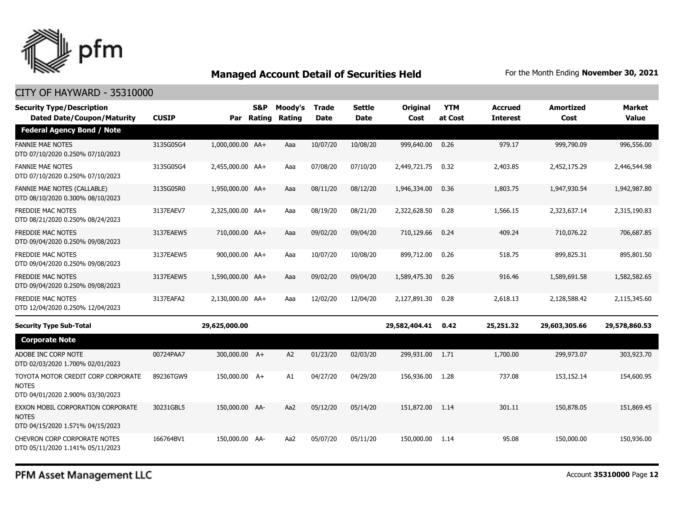

| <b>Security Type/Description</b><br><b>Dated Date/Coupon/Maturity</b>                  | <b>CUSIP</b> | Par              | <b>S&amp;P</b><br><b>Rating</b> | Moody's<br>Rating | <b>Trade</b><br><b>Date</b> | <b>Settle</b><br><b>Date</b> | Original<br>Cost | <b>YTM</b><br>at Cost | <b>Accrued</b><br><b>Interest</b> | <b>Amortized</b><br>Cost | Market<br><b>Value</b> |
|----------------------------------------------------------------------------------------|--------------|------------------|---------------------------------|-------------------|-----------------------------|------------------------------|------------------|-----------------------|-----------------------------------|--------------------------|------------------------|
| <b>Federal Agency Bond / Note</b>                                                      |              |                  |                                 |                   |                             |                              |                  |                       |                                   |                          |                        |
| <b>FANNIE MAE NOTES</b><br>DTD 07/10/2020 0.250% 07/10/2023                            | 3135G05G4    | 1,000,000.00 AA+ |                                 | Aaa               | 10/07/20                    | 10/08/20                     | 999,640.00       | 0.26                  | 979.17                            | 999,790.09               | 996,556.00             |
| <b>FANNIE MAE NOTES</b><br>DTD 07/10/2020 0.250% 07/10/2023                            | 3135G05G4    | 2,455,000.00 AA+ |                                 | Aaa               | 07/08/20                    | 07/10/20                     | 2,449,721.75     | 0.32                  | 2,403.85                          | 2,452,175.29             | 2,446,544.98           |
| <b>FANNIE MAE NOTES (CALLABLE)</b><br>DTD 08/10/2020 0.300% 08/10/2023                 | 3135G05R0    | 1,950,000.00 AA+ |                                 | Aaa               | 08/11/20                    | 08/12/20                     | 1,946,334.00     | 0.36                  | 1,803.75                          | 1,947,930.54             | 1,942,987.80           |
| <b>FREDDIE MAC NOTES</b><br>DTD 08/21/2020 0.250% 08/24/2023                           | 3137EAEV7    | 2,325,000.00 AA+ |                                 | Aaa               | 08/19/20                    | 08/21/20                     | 2,322,628.50     | 0.28                  | 1,566.15                          | 2,323,637.14             | 2,315,190.83           |
| <b>FREDDIE MAC NOTES</b><br>DTD 09/04/2020 0.250% 09/08/2023                           | 3137EAEW5    | 710,000.00 AA+   |                                 | Aaa               | 09/02/20                    | 09/04/20                     | 710,129.66       | 0.24                  | 409.24                            | 710,076.22               | 706,687.85             |
| <b>FREDDIE MAC NOTES</b><br>DTD 09/04/2020 0.250% 09/08/2023                           | 3137EAEW5    | 900,000.00 AA+   |                                 | Aaa               | 10/07/20                    | 10/08/20                     | 899,712.00       | 0.26                  | 518.75                            | 899,825.31               | 895,801.50             |
| <b>FREDDIE MAC NOTES</b><br>DTD 09/04/2020 0.250% 09/08/2023                           | 3137EAEW5    | 1,590,000.00 AA+ |                                 | Aaa               | 09/02/20                    | 09/04/20                     | 1,589,475.30     | 0.26                  | 916.46                            | 1,589,691.58             | 1,582,582.65           |
| <b>FREDDIE MAC NOTES</b><br>DTD 12/04/2020 0.250% 12/04/2023                           | 3137EAFA2    | 2.130.000.00 AA+ |                                 | Aaa               | 12/02/20                    | 12/04/20                     | 2,127,891.30     | 0.28                  | 2.618.13                          | 2,128,588.42             | 2,115,345,60           |
| <b>Security Type Sub-Total</b>                                                         |              | 29,625,000.00    |                                 |                   |                             |                              | 29,582,404.41    | 0.42                  | 25,251.32                         | 29,603,305.66            | 29,578,860.53          |
| <b>Corporate Note</b>                                                                  |              |                  |                                 |                   |                             |                              |                  |                       |                                   |                          |                        |
| ADOBE INC CORP NOTE<br>DTD 02/03/2020 1.700% 02/01/2023                                | 00724PAA7    | 300,000.00 A+    |                                 | A <sub>2</sub>    | 01/23/20                    | 02/03/20                     | 299,931.00       | 1.71                  | 1,700.00                          | 299,973.07               | 303,923.70             |
| TOYOTA MOTOR CREDIT CORP CORPORATE<br><b>NOTES</b><br>DTD 04/01/2020 2.900% 03/30/2023 | 89236TGW9    | 150,000.00 A+    |                                 | A1                | 04/27/20                    | 04/29/20                     | 156,936.00       | 1.28                  | 737.08                            | 153,152.14               | 154,600.95             |
| EXXON MOBIL CORPORATION CORPORATE<br><b>NOTES</b><br>DTD 04/15/2020 1.571% 04/15/2023  | 30231GBL5    | 150,000.00 AA-   |                                 | Aa2               | 05/12/20                    | 05/14/20                     | 151,872.00       | 1.14                  | 301.11                            | 150,878.05               | 151,869.45             |
| <b>CHEVRON CORP CORPORATE NOTES</b><br>DTD 05/11/2020 1.141% 05/11/2023                | 166764BV1    | 150,000.00 AA-   |                                 | Aa2               | 05/07/20                    | 05/11/20                     | 150,000.00       | 1.14                  | 95.08                             | 150,000.00               | 150,936.00             |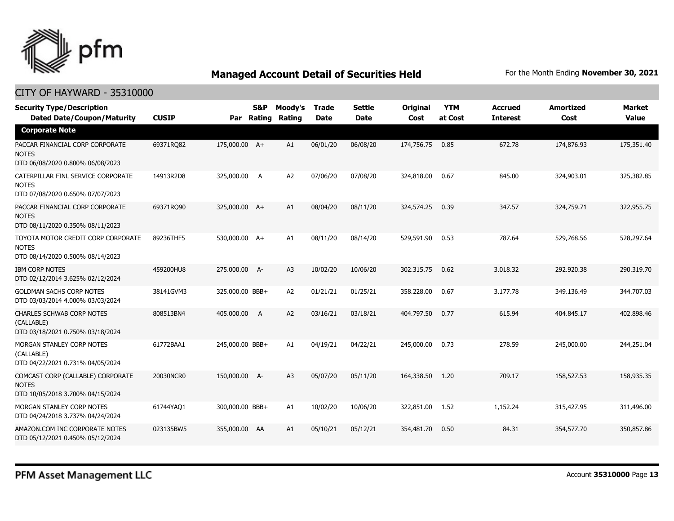

| <b>Security Type/Description</b><br><b>Dated Date/Coupon/Maturity</b>                  | <b>CUSIP</b> | Par             | S&P<br>Rating  | Moody's<br>Rating | <b>Trade</b><br><b>Date</b> | <b>Settle</b><br><b>Date</b> | <b>Original</b><br>Cost | <b>YTM</b><br>at Cost | <b>Accrued</b><br><b>Interest</b> | <b>Amortized</b><br>Cost | <b>Market</b><br><b>Value</b> |
|----------------------------------------------------------------------------------------|--------------|-----------------|----------------|-------------------|-----------------------------|------------------------------|-------------------------|-----------------------|-----------------------------------|--------------------------|-------------------------------|
| <b>Corporate Note</b>                                                                  |              |                 |                |                   |                             |                              |                         |                       |                                   |                          |                               |
| PACCAR FINANCIAL CORP CORPORATE<br><b>NOTES</b><br>DTD 06/08/2020 0.800% 06/08/2023    | 69371RQ82    | 175,000.00 A+   |                | A1                | 06/01/20                    | 06/08/20                     | 174,756.75              | 0.85                  | 672.78                            | 174,876.93               | 175,351.40                    |
| CATERPILLAR FINL SERVICE CORPORATE<br><b>NOTES</b><br>DTD 07/08/2020 0.650% 07/07/2023 | 14913R2D8    | 325,000.00      | A              | A <sub>2</sub>    | 07/06/20                    | 07/08/20                     | 324,818.00              | 0.67                  | 845.00                            | 324,903.01               | 325,382.85                    |
| PACCAR FINANCIAL CORP CORPORATE<br><b>NOTES</b><br>DTD 08/11/2020 0.350% 08/11/2023    | 69371RQ90    | 325,000.00 A+   |                | A1                | 08/04/20                    | 08/11/20                     | 324,574.25              | 0.39                  | 347.57                            | 324,759.71               | 322,955.75                    |
| TOYOTA MOTOR CREDIT CORP CORPORATE<br><b>NOTES</b><br>DTD 08/14/2020 0.500% 08/14/2023 | 89236THF5    | 530,000.00 A+   |                | A1                | 08/11/20                    | 08/14/20                     | 529,591.90              | 0.53                  | 787.64                            | 529,768.56               | 528,297.64                    |
| <b>IBM CORP NOTES</b><br>DTD 02/12/2014 3.625% 02/12/2024                              | 459200HU8    | 275,000.00 A-   |                | A <sub>3</sub>    | 10/02/20                    | 10/06/20                     | 302,315.75              | 0.62                  | 3,018.32                          | 292,920.38               | 290,319.70                    |
| <b>GOLDMAN SACHS CORP NOTES</b><br>DTD 03/03/2014 4.000% 03/03/2024                    | 38141GVM3    | 325,000.00 BBB+ |                | A <sub>2</sub>    | 01/21/21                    | 01/25/21                     | 358,228.00              | 0.67                  | 3,177.78                          | 349,136.49               | 344,707.03                    |
| <b>CHARLES SCHWAB CORP NOTES</b><br>(CALLABLE)<br>DTD 03/18/2021 0.750% 03/18/2024     | 808513BN4    | 405,000.00      | $\overline{A}$ | A2                | 03/16/21                    | 03/18/21                     | 404,797.50              | 0.77                  | 615.94                            | 404,845.17               | 402,898.46                    |
| MORGAN STANLEY CORP NOTES<br>(CALLABLE)<br>DTD 04/22/2021 0.731% 04/05/2024            | 61772BAA1    | 245,000.00 BBB+ |                | A1                | 04/19/21                    | 04/22/21                     | 245,000.00              | 0.73                  | 278.59                            | 245,000.00               | 244,251.04                    |
| COMCAST CORP (CALLABLE) CORPORATE<br><b>NOTES</b><br>DTD 10/05/2018 3.700% 04/15/2024  | 20030NCR0    | 150,000.00 A-   |                | A <sub>3</sub>    | 05/07/20                    | 05/11/20                     | 164,338.50              | 1.20                  | 709.17                            | 158,527.53               | 158,935.35                    |
| MORGAN STANLEY CORP NOTES<br>DTD 04/24/2018 3.737% 04/24/2024                          | 61744YAQ1    | 300,000.00 BBB+ |                | A1                | 10/02/20                    | 10/06/20                     | 322,851.00              | 1.52                  | 1,152.24                          | 315,427.95               | 311,496.00                    |
| AMAZON.COM INC CORPORATE NOTES<br>DTD 05/12/2021 0.450% 05/12/2024                     | 023135BW5    | 355,000.00 AA   |                | A1                | 05/10/21                    | 05/12/21                     | 354,481.70              | 0.50                  | 84.31                             | 354,577.70               | 350,857,86                    |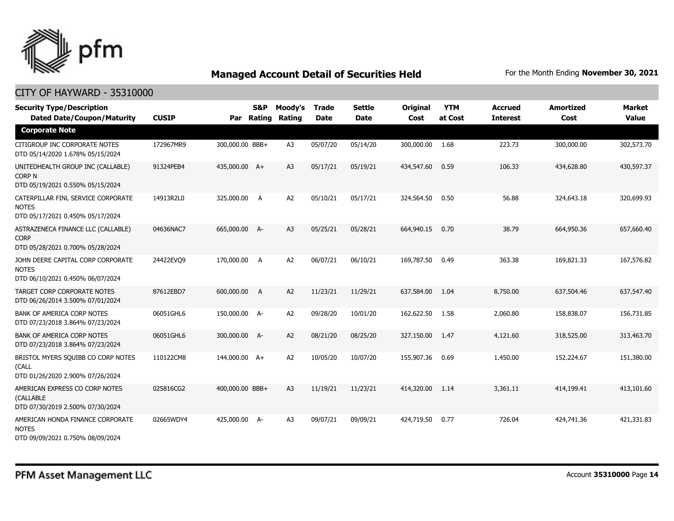

| <b>Security Type/Description</b><br><b>Dated Date/Coupon/Maturity</b>                  | <b>CUSIP</b> | Par             | S&P<br>Rating  | Moody's<br>Rating | <b>Trade</b><br><b>Date</b> | <b>Settle</b><br>Date | <b>Original</b><br>Cost | <b>YTM</b><br>at Cost | <b>Accrued</b><br><b>Interest</b> | <b>Amortized</b><br>Cost | <b>Market</b><br><b>Value</b> |
|----------------------------------------------------------------------------------------|--------------|-----------------|----------------|-------------------|-----------------------------|-----------------------|-------------------------|-----------------------|-----------------------------------|--------------------------|-------------------------------|
| <b>Corporate Note</b>                                                                  |              |                 |                |                   |                             |                       |                         |                       |                                   |                          |                               |
| CITIGROUP INC CORPORATE NOTES<br>DTD 05/14/2020 1.678% 05/15/2024                      | 172967MR9    | 300,000.00 BBB+ |                | A3                | 05/07/20                    | 05/14/20              | 300,000.00              | 1.68                  | 223.73                            | 300,000.00               | 302,573.70                    |
| UNITEDHEALTH GROUP INC (CALLABLE)<br><b>CORP N</b><br>DTD 05/19/2021 0.550% 05/15/2024 | 91324PEB4    | 435,000.00 A+   |                | A <sub>3</sub>    | 05/17/21                    | 05/19/21              | 434,547.60              | 0.59                  | 106.33                            | 434,628.80               | 430,597.37                    |
| CATERPILLAR FINL SERVICE CORPORATE<br><b>NOTES</b><br>DTD 05/17/2021 0.450% 05/17/2024 | 14913R2L0    | 325,000.00 A    |                | A2                | 05/10/21                    | 05/17/21              | 324,564.50              | 0.50                  | 56.88                             | 324,643.18               | 320,699.93                    |
| ASTRAZENECA FINANCE LLC (CALLABLE)<br><b>CORP</b><br>DTD 05/28/2021 0.700% 05/28/2024  | 04636NAC7    | 665,000.00 A-   |                | A <sub>3</sub>    | 05/25/21                    | 05/28/21              | 664,940.15              | 0.70                  | 38.79                             | 664,950.36               | 657,660.40                    |
| JOHN DEERE CAPITAL CORP CORPORATE<br><b>NOTES</b><br>DTD 06/10/2021 0.450% 06/07/2024  | 24422EVQ9    | 170,000.00 A    |                | A2                | 06/07/21                    | 06/10/21              | 169,787.50              | 0.49                  | 363.38                            | 169,821.33               | 167,576.82                    |
| TARGET CORP CORPORATE NOTES<br>DTD 06/26/2014 3.500% 07/01/2024                        | 87612EBD7    | 600,000.00      | $\overline{A}$ | A2                | 11/23/21                    | 11/29/21              | 637,584.00              | 1.04                  | 8,750.00                          | 637,504.46               | 637,547.40                    |
| <b>BANK OF AMERICA CORP NOTES</b><br>DTD 07/23/2018 3.864% 07/23/2024                  | 06051GHL6    | 150,000.00 A-   |                | A <sub>2</sub>    | 09/28/20                    | 10/01/20              | 162,622.50              | 1.58                  | 2,060.80                          | 158,838.07               | 156,731.85                    |
| <b>BANK OF AMERICA CORP NOTES</b><br>DTD 07/23/2018 3.864% 07/23/2024                  | 06051GHL6    | 300,000.00 A-   |                | A2                | 08/21/20                    | 08/25/20              | 327,150.00              | 1.47                  | 4,121.60                          | 318,525.00               | 313,463.70                    |
| BRISTOL MYERS SQUIBB CO CORP NOTES<br>(CALL<br>DTD 01/26/2020 2.900% 07/26/2024        | 110122CM8    | 144,000.00 A+   |                | A <sub>2</sub>    | 10/05/20                    | 10/07/20              | 155,907.36              | 0.69                  | 1,450.00                          | 152,224.67               | 151,380.00                    |
| AMERICAN EXPRESS CO CORP NOTES<br>(CALLABLE<br>DTD 07/30/2019 2.500% 07/30/2024        | 025816CG2    | 400,000.00 BBB+ |                | A <sub>3</sub>    | 11/19/21                    | 11/23/21              | 414,320,00              | 1.14                  | 3,361.11                          | 414,199.41               | 413,101.60                    |
| AMERICAN HONDA FINANCE CORPORATE<br><b>NOTES</b><br>DTD 09/09/2021 0.750% 08/09/2024   | 02665WDY4    | 425,000.00 A-   |                | A <sub>3</sub>    | 09/07/21                    | 09/09/21              | 424,719.50              | 0.77                  | 726.04                            | 424,741.36               | 421,331.83                    |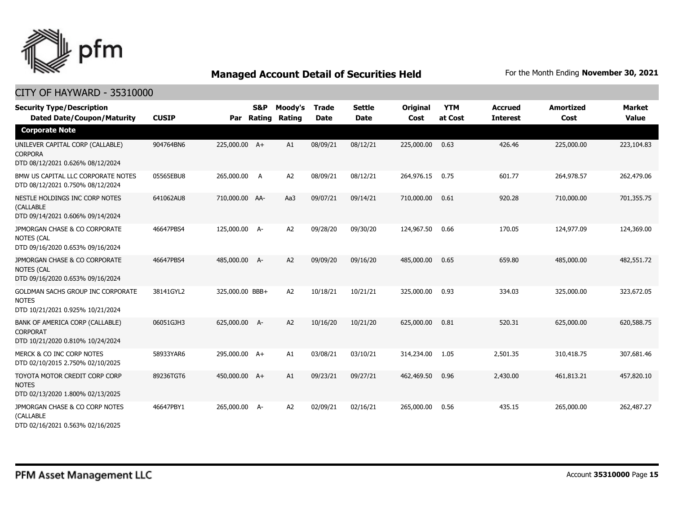

| <b>Security Type/Description</b><br><b>Dated Date/Coupon/Maturity</b>                  | <b>CUSIP</b> | Par             | <b>S&amp;P</b><br>Rating | Moody's<br>Rating | <b>Trade</b><br><b>Date</b> | <b>Settle</b><br><b>Date</b> | Original<br>Cost | <b>YTM</b><br>at Cost | <b>Accrued</b><br><b>Interest</b> | <b>Amortized</b><br>Cost | <b>Market</b><br><b>Value</b> |
|----------------------------------------------------------------------------------------|--------------|-----------------|--------------------------|-------------------|-----------------------------|------------------------------|------------------|-----------------------|-----------------------------------|--------------------------|-------------------------------|
| <b>Corporate Note</b>                                                                  |              |                 |                          |                   |                             |                              |                  |                       |                                   |                          |                               |
| UNILEVER CAPITAL CORP (CALLABLE)<br><b>CORPORA</b><br>DTD 08/12/2021 0.626% 08/12/2024 | 904764BN6    | 225,000.00 A+   |                          | A1                | 08/09/21                    | 08/12/21                     | 225,000.00       | 0.63                  | 426.46                            | 225,000.00               | 223,104.83                    |
| BMW US CAPITAL LLC CORPORATE NOTES<br>DTD 08/12/2021 0.750% 08/12/2024                 | 05565EBU8    | 265,000.00      | A                        | A <sub>2</sub>    | 08/09/21                    | 08/12/21                     | 264,976.15       | 0.75                  | 601.77                            | 264,978.57               | 262,479.06                    |
| NESTLE HOLDINGS INC CORP NOTES<br>(CALLABLE<br>DTD 09/14/2021 0.606% 09/14/2024        | 641062AU8    | 710,000.00 AA-  |                          | Aa3               | 09/07/21                    | 09/14/21                     | 710,000.00       | 0.61                  | 920.28                            | 710,000.00               | 701,355,75                    |
| JPMORGAN CHASE & CO CORPORATE<br><b>NOTES (CAL</b><br>DTD 09/16/2020 0.653% 09/16/2024 | 46647PBS4    | 125,000.00 A-   |                          | A2                | 09/28/20                    | 09/30/20                     | 124,967.50       | 0.66                  | 170.05                            | 124,977.09               | 124,369.00                    |
| JPMORGAN CHASE & CO CORPORATE<br><b>NOTES (CAL</b><br>DTD 09/16/2020 0.653% 09/16/2024 | 46647PBS4    | 485,000.00      | <b>A-</b>                | A2                | 09/09/20                    | 09/16/20                     | 485,000.00       | 0.65                  | 659.80                            | 485,000.00               | 482,551.72                    |
| GOLDMAN SACHS GROUP INC CORPORATE<br><b>NOTES</b><br>DTD 10/21/2021 0.925% 10/21/2024  | 38141GYL2    | 325,000.00 BBB+ |                          | A <sub>2</sub>    | 10/18/21                    | 10/21/21                     | 325,000.00       | 0.93                  | 334.03                            | 325,000.00               | 323,672.05                    |
| BANK OF AMERICA CORP (CALLABLE)<br><b>CORPORAT</b><br>DTD 10/21/2020 0.810% 10/24/2024 | 06051GJH3    | 625,000.00      | - A-                     | A2                | 10/16/20                    | 10/21/20                     | 625,000.00       | 0.81                  | 520.31                            | 625,000.00               | 620,588.75                    |
| MERCK & CO INC CORP NOTES<br>DTD 02/10/2015 2.750% 02/10/2025                          | 58933YAR6    | 295,000.00 A+   |                          | A1                | 03/08/21                    | 03/10/21                     | 314,234.00       | 1.05                  | 2,501.35                          | 310,418.75               | 307,681.46                    |
| TOYOTA MOTOR CREDIT CORP CORP<br><b>NOTES</b><br>DTD 02/13/2020 1.800% 02/13/2025      | 89236TGT6    | 450,000.00 A+   |                          | A1                | 09/23/21                    | 09/27/21                     | 462,469.50       | 0.96                  | 2,430.00                          | 461,813.21               | 457,820.10                    |
| JPMORGAN CHASE & CO CORP NOTES<br>(CALLABLE<br>DTD 02/16/2021 0.563% 02/16/2025        | 46647PBY1    | 265,000.00 A-   |                          | A <sub>2</sub>    | 02/09/21                    | 02/16/21                     | 265,000.00       | 0.56                  | 435.15                            | 265,000.00               | 262,487.27                    |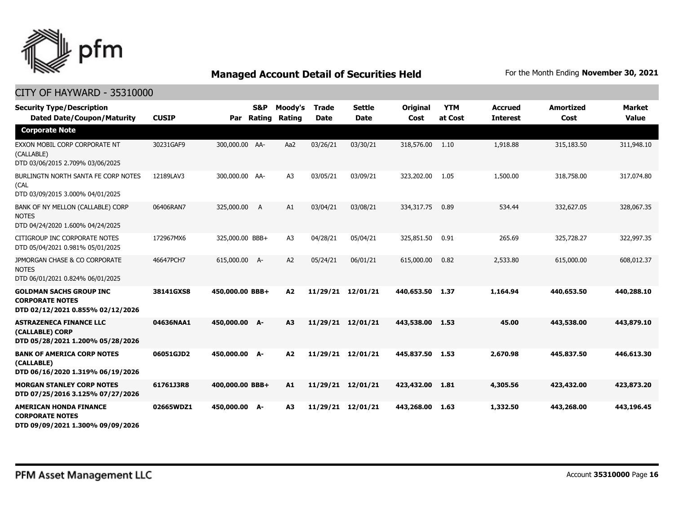

| <b>Security Type/Description</b><br><b>Dated Date/Coupon/Maturity</b>                        | <b>CUSIP</b> | Par             | <b>S&amp;P</b><br>Rating | Moody's<br>Rating | <b>Trade</b><br><b>Date</b> | <b>Settle</b><br><b>Date</b> | <b>Original</b><br>Cost | <b>YTM</b><br>at Cost | <b>Accrued</b><br><b>Interest</b> | <b>Amortized</b><br>Cost | <b>Market</b><br><b>Value</b> |
|----------------------------------------------------------------------------------------------|--------------|-----------------|--------------------------|-------------------|-----------------------------|------------------------------|-------------------------|-----------------------|-----------------------------------|--------------------------|-------------------------------|
| <b>Corporate Note</b>                                                                        |              |                 |                          |                   |                             |                              |                         |                       |                                   |                          |                               |
| EXXON MOBIL CORP CORPORATE NT<br>(CALLABLE)<br>DTD 03/06/2015 2.709% 03/06/2025              | 30231GAF9    | 300,000.00 AA-  |                          | Aa2               | 03/26/21                    | 03/30/21                     | 318,576.00              | 1.10                  | 1,918.88                          | 315,183.50               | 311,948.10                    |
| BURLINGTN NORTH SANTA FE CORP NOTES<br>(CAL<br>DTD 03/09/2015 3.000% 04/01/2025              | 12189LAV3    | 300,000.00 AA-  |                          | A <sub>3</sub>    | 03/05/21                    | 03/09/21                     | 323,202.00              | 1.05                  | 1,500.00                          | 318,758.00               | 317,074.80                    |
| BANK OF NY MELLON (CALLABLE) CORP<br><b>NOTES</b><br>DTD 04/24/2020 1.600% 04/24/2025        | 06406RAN7    | 325,000.00      | $\overline{A}$           | A1                | 03/04/21                    | 03/08/21                     | 334,317.75              | 0.89                  | 534.44                            | 332,627.05               | 328,067.35                    |
| CITIGROUP INC CORPORATE NOTES<br>DTD 05/04/2021 0.981% 05/01/2025                            | 172967MX6    | 325,000.00 BBB+ |                          | A <sub>3</sub>    | 04/28/21                    | 05/04/21                     | 325,851.50              | 0.91                  | 265.69                            | 325,728.27               | 322,997.35                    |
| JPMORGAN CHASE & CO CORPORATE<br><b>NOTES</b><br>DTD 06/01/2021 0.824% 06/01/2025            | 46647PCH7    | 615,000.00 A-   |                          | A <sub>2</sub>    | 05/24/21                    | 06/01/21                     | 615,000.00              | 0.82                  | 2,533.80                          | 615,000.00               | 608,012.37                    |
| <b>GOLDMAN SACHS GROUP INC</b><br><b>CORPORATE NOTES</b><br>DTD 02/12/2021 0.855% 02/12/2026 | 38141GXS8    | 450,000.00 BBB+ |                          | A2                | 11/29/21                    | 12/01/21                     | 440,653.50              | 1.37                  | 1,164.94                          | 440,653.50               | 440,288.10                    |
| <b>ASTRAZENECA FINANCE LLC</b><br>(CALLABLE) CORP<br>DTD 05/28/2021 1.200% 05/28/2026        | 04636NAA1    | 450,000.00 A-   |                          | A3                |                             | 11/29/21 12/01/21            | 443.538.00              | 1.53                  | 45.00                             | 443,538.00               | 443.879.10                    |
| <b>BANK OF AMERICA CORP NOTES</b><br>(CALLABLE)<br>DTD 06/16/2020 1.319% 06/19/2026          | 06051GJD2    | 450,000.00 A-   |                          | A2                |                             | 11/29/21 12/01/21            | 445,837.50 1.53         |                       | 2,670.98                          | 445,837.50               | 446,613.30                    |
| <b>MORGAN STANLEY CORP NOTES</b><br>DTD 07/25/2016 3.125% 07/27/2026                         | 61761J3R8    | 400,000.00 BBB+ |                          | A1                |                             | 11/29/21 12/01/21            | 423,432.00              | 1.81                  | 4,305.56                          | 423,432.00               | 423,873.20                    |
| <b>AMERICAN HONDA FINANCE</b><br><b>CORPORATE NOTES</b><br>DTD 09/09/2021 1.300% 09/09/2026  | 02665WDZ1    | 450,000.00 A-   |                          | A3                | 11/29/21                    | 12/01/21                     | 443,268.00              | 1.63                  | 1,332.50                          | 443,268.00               | 443,196.45                    |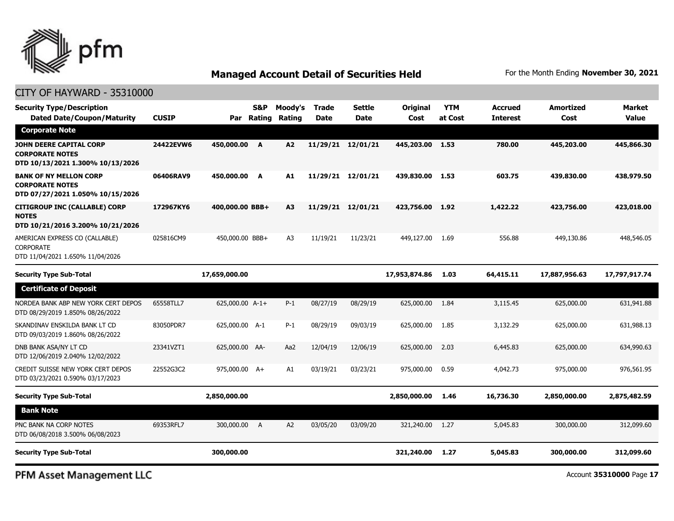

#### CITY OF HAYWARD - 35310000

| <b>Security Type/Description</b><br><b>Dated Date/Coupon/Maturity</b>                        | <b>CUSIP</b> | Par             | S&P<br>Rating | Moody's<br>Rating | Trade<br>Date | Settle<br><b>Date</b> | Original<br>Cost | <b>YTM</b><br>at Cost | <b>Accrued</b><br><b>Interest</b> | Amortized<br>Cost | Market<br>Value |
|----------------------------------------------------------------------------------------------|--------------|-----------------|---------------|-------------------|---------------|-----------------------|------------------|-----------------------|-----------------------------------|-------------------|-----------------|
| <b>Corporate Note</b>                                                                        |              |                 |               |                   |               |                       |                  |                       |                                   |                   |                 |
| <b>JOHN DEERE CAPITAL CORP</b><br><b>CORPORATE NOTES</b><br>DTD 10/13/2021 1.300% 10/13/2026 | 24422EVW6    | 450,000.00      | A             | A2                | 11/29/21      | 12/01/21              | 445,203.00       | 1.53                  | 780.00                            | 445,203.00        | 445,866.30      |
| <b>BANK OF NY MELLON CORP</b><br><b>CORPORATE NOTES</b><br>DTD 07/27/2021 1.050% 10/15/2026  | 06406RAV9    | 450,000.00      | A             | A1                | 11/29/21      | 12/01/21              | 439,830.00       | 1.53                  | 603.75                            | 439,830,00        | 438,979.50      |
| <b>CITIGROUP INC (CALLABLE) CORP</b><br><b>NOTES</b><br>DTD 10/21/2016 3.200% 10/21/2026     | 172967KY6    | 400,000,00 BBB+ |               | A3                | 11/29/21      | 12/01/21              | 423,756.00       | 1.92                  | 1,422.22                          | 423,756.00        | 423,018,00      |
| AMERICAN EXPRESS CO (CALLABLE)<br><b>CORPORATE</b><br>DTD 11/04/2021 1.650% 11/04/2026       | 025816CM9    | 450,000.00 BBB+ |               | A <sub>3</sub>    | 11/19/21      | 11/23/21              | 449,127.00       | 1.69                  | 556.88                            | 449,130.86        | 448,546.05      |

| <b>Security Type Sub-Total</b>                                          |           | 17,659,000.00   |   |       |          |          | 17,953,874.86 | 1.03 | 64,415.11 | 17,887,956.63 | 17,797,917.74 |
|-------------------------------------------------------------------------|-----------|-----------------|---|-------|----------|----------|---------------|------|-----------|---------------|---------------|
| <b>Certificate of Deposit</b>                                           |           |                 |   |       |          |          |               |      |           |               |               |
| NORDEA BANK ABP NEW YORK CERT DEPOS<br>DTD 08/29/2019 1.850% 08/26/2022 | 65558TLL7 | 625,000.00 A-1+ |   | $P-1$ | 08/27/19 | 08/29/19 | 625,000.00    | 1.84 | 3,115.45  | 625,000.00    | 631,941.88    |
| SKANDINAV ENSKILDA BANK LT CD<br>DTD 09/03/2019 1.860% 08/26/2022       | 83050PDR7 | 625,000.00 A-1  |   | $P-1$ | 08/29/19 | 09/03/19 | 625,000.00    | 1.85 | 3,132.29  | 625,000.00    | 631,988.13    |
| DNB BANK ASA/NY LT CD<br>DTD 12/06/2019 2.040% 12/02/2022               | 23341VZT1 | 625,000.00 AA-  |   | Aa2   | 12/04/19 | 12/06/19 | 625,000.00    | 2.03 | 6,445.83  | 625,000.00    | 634,990.63    |
| CREDIT SUISSE NEW YORK CERT DEPOS<br>DTD 03/23/2021 0.590% 03/17/2023   | 22552G3C2 | 975,000.00 A+   |   | A1    | 03/19/21 | 03/23/21 | 975,000.00    | 0.59 | 4,042.73  | 975,000.00    | 976,561.95    |
| <b>Security Type Sub-Total</b>                                          |           | 2,850,000.00    |   |       |          |          | 2,850,000.00  | 1.46 | 16,736.30 | 2,850,000.00  | 2,875,482.59  |
| <b>Bank Note</b>                                                        |           |                 |   |       |          |          |               |      |           |               |               |
| PNC BANK NA CORP NOTES<br>DTD 06/08/2018 3.500% 06/08/2023              | 69353RFL7 | 300,000,00      | A | A2    | 03/05/20 | 03/09/20 | 321,240.00    | 1.27 | 5,045.83  | 300,000.00    | 312,099.60    |
| <b>Security Type Sub-Total</b>                                          |           | 300,000.00      |   |       |          |          | 321,240.00    | 1.27 | 5,045.83  | 300,000.00    | 312,099.60    |

PFM Asset Management LLC

Account **35310000** Page **17**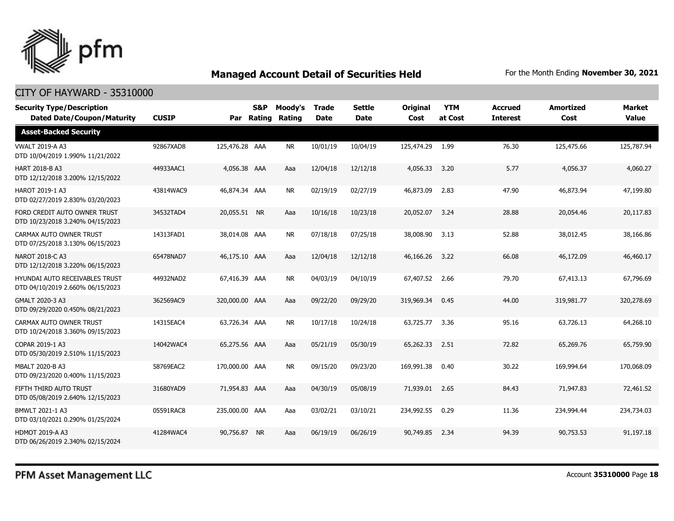

| <b>Security Type/Description</b><br><b>Dated Date/Coupon/Maturity</b> | <b>CUSIP</b> |                | S&P<br>Par Rating | Moody's<br><b>Rating</b> | <b>Trade</b><br><b>Date</b> | <b>Settle</b><br><b>Date</b> | <b>Original</b><br>Cost | <b>YTM</b><br>at Cost | <b>Accrued</b><br><b>Interest</b> | <b>Amortized</b><br>Cost | <b>Market</b><br><b>Value</b> |
|-----------------------------------------------------------------------|--------------|----------------|-------------------|--------------------------|-----------------------------|------------------------------|-------------------------|-----------------------|-----------------------------------|--------------------------|-------------------------------|
| <b>Asset-Backed Security</b>                                          |              |                |                   |                          |                             |                              |                         |                       |                                   |                          |                               |
| <b>VWALT 2019-A A3</b><br>DTD 10/04/2019 1.990% 11/21/2022            | 92867XAD8    | 125,476.28 AAA |                   | NR.                      | 10/01/19                    | 10/04/19                     | 125,474.29              | 1.99                  | 76.30                             | 125,475.66               | 125,787.94                    |
| <b>HART 2018-B A3</b><br>DTD 12/12/2018 3.200% 12/15/2022             | 44933AAC1    | 4,056.38 AAA   |                   | Aaa                      | 12/04/18                    | 12/12/18                     | 4,056.33                | 3.20                  | 5.77                              | 4,056.37                 | 4,060.27                      |
| HAROT 2019-1 A3<br>DTD 02/27/2019 2.830% 03/20/2023                   | 43814WAC9    | 46,874.34 AAA  |                   | <b>NR</b>                | 02/19/19                    | 02/27/19                     | 46,873.09               | 2.83                  | 47.90                             | 46,873.94                | 47,199.80                     |
| FORD CREDIT AUTO OWNER TRUST<br>DTD 10/23/2018 3.240% 04/15/2023      | 34532TAD4    | 20,055.51 NR   |                   | Aaa                      | 10/16/18                    | 10/23/18                     | 20,052.07               | 3.24                  | 28.88                             | 20,054.46                | 20.117.83                     |
| CARMAX AUTO OWNER TRUST<br>DTD 07/25/2018 3.130% 06/15/2023           | 14313FAD1    | 38,014.08 AAA  |                   | <b>NR</b>                | 07/18/18                    | 07/25/18                     | 38,008.90               | 3.13                  | 52.88                             | 38,012.45                | 38,166.86                     |
| NAROT 2018-C A3<br>DTD 12/12/2018 3.220% 06/15/2023                   | 65478NAD7    | 46,175.10 AAA  |                   | Aaa                      | 12/04/18                    | 12/12/18                     | 46,166,26               | 3.22                  | 66.08                             | 46,172.09                | 46,460.17                     |
| HYUNDAI AUTO RECEIVABLES TRUST<br>DTD 04/10/2019 2.660% 06/15/2023    | 44932NAD2    | 67,416.39 AAA  |                   | <b>NR</b>                | 04/03/19                    | 04/10/19                     | 67,407.52               | 2.66                  | 79.70                             | 67,413.13                | 67,796.69                     |
| GMALT 2020-3 A3<br>DTD 09/29/2020 0.450% 08/21/2023                   | 362569AC9    | 320,000.00 AAA |                   | Aaa                      | 09/22/20                    | 09/29/20                     | 319,969.34              | 0.45                  | 44.00                             | 319,981.77               | 320,278.69                    |
| CARMAX AUTO OWNER TRUST<br>DTD 10/24/2018 3.360% 09/15/2023           | 14315EAC4    | 63,726.34 AAA  |                   | <b>NR</b>                | 10/17/18                    | 10/24/18                     | 63,725.77               | 3.36                  | 95.16                             | 63,726.13                | 64,268.10                     |
| COPAR 2019-1 A3<br>DTD 05/30/2019 2.510% 11/15/2023                   | 14042WAC4    | 65,275.56 AAA  |                   | Aaa                      | 05/21/19                    | 05/30/19                     | 65,262.33               | 2.51                  | 72.82                             | 65,269.76                | 65,759.90                     |
| <b>MBALT 2020-B A3</b><br>DTD 09/23/2020 0.400% 11/15/2023            | 58769EAC2    | 170,000.00 AAA |                   | <b>NR</b>                | 09/15/20                    | 09/23/20                     | 169,991.38              | 0.40                  | 30.22                             | 169,994.64               | 170,068.09                    |
| FIFTH THIRD AUTO TRUST<br>DTD 05/08/2019 2.640% 12/15/2023            | 31680YAD9    | 71,954.83 AAA  |                   | Aaa                      | 04/30/19                    | 05/08/19                     | 71,939.01               | 2.65                  | 84.43                             | 71,947.83                | 72,461.52                     |
| BMWLT 2021-1 A3<br>DTD 03/10/2021 0.290% 01/25/2024                   | 05591RAC8    | 235,000.00 AAA |                   | Aaa                      | 03/02/21                    | 03/10/21                     | 234,992.55              | 0.29                  | 11.36                             | 234,994.44               | 234,734.03                    |
| <b>HDMOT 2019-A A3</b><br>DTD 06/26/2019 2.340% 02/15/2024            | 41284WAC4    | 90,756.87      | <b>NR</b>         | Aaa                      | 06/19/19                    | 06/26/19                     | 90,749.85               | 2.34                  | 94.39                             | 90,753.53                | 91,197.18                     |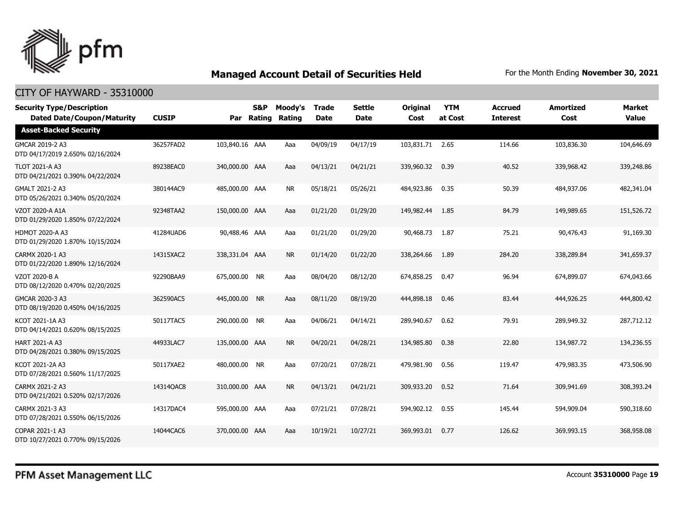

| <b>Security Type/Description</b><br><b>Dated Date/Coupon/Maturity</b> | <b>CUSIP</b> | Par            | <b>S&amp;P</b><br>Rating | Moody's<br>Rating | <b>Trade</b><br><b>Date</b> | <b>Settle</b><br>Date | <b>Original</b><br>Cost | <b>YTM</b><br>at Cost | <b>Accrued</b><br><b>Interest</b> | <b>Amortized</b><br>Cost | Market<br><b>Value</b> |
|-----------------------------------------------------------------------|--------------|----------------|--------------------------|-------------------|-----------------------------|-----------------------|-------------------------|-----------------------|-----------------------------------|--------------------------|------------------------|
| <b>Asset-Backed Security</b>                                          |              |                |                          |                   |                             |                       |                         |                       |                                   |                          |                        |
| GMCAR 2019-2 A3<br>DTD 04/17/2019 2.650% 02/16/2024                   | 36257FAD2    | 103,840.16 AAA |                          | Aaa               | 04/09/19                    | 04/17/19              | 103,831.71 2.65         |                       | 114.66                            | 103,836.30               | 104,646.69             |
| <b>TLOT 2021-A A3</b><br>DTD 04/21/2021 0.390% 04/22/2024             | 89238EAC0    | 340,000.00 AAA |                          | Aaa               | 04/13/21                    | 04/21/21              | 339,960.32              | 0.39                  | 40.52                             | 339,968.42               | 339,248.86             |
| GMALT 2021-2 A3<br>DTD 05/26/2021 0.340% 05/20/2024                   | 380144AC9    | 485,000.00 AAA |                          | NR                | 05/18/21                    | 05/26/21              | 484,923.86              | 0.35                  | 50.39                             | 484,937.06               | 482,341.04             |
| <b>VZOT 2020-A A1A</b><br>DTD 01/29/2020 1.850% 07/22/2024            | 92348TAA2    | 150,000.00 AAA |                          | Aaa               | 01/21/20                    | 01/29/20              | 149,982.44              | 1.85                  | 84.79                             | 149,989.65               | 151,526.72             |
| <b>HDMOT 2020-A A3</b><br>DTD 01/29/2020 1.870% 10/15/2024            | 41284UAD6    | 90,488.46 AAA  |                          | Aaa               | 01/21/20                    | 01/29/20              | 90,468.73               | 1.87                  | 75.21                             | 90,476.43                | 91,169.30              |
| CARMX 2020-1 A3<br>DTD 01/22/2020 1.890% 12/16/2024                   | 14315XAC2    | 338,331.04 AAA |                          | <b>NR</b>         | 01/14/20                    | 01/22/20              | 338,264.66              | 1.89                  | 284.20                            | 338,289.84               | 341,659.37             |
| VZOT 2020-B A<br>DTD 08/12/2020 0.470% 02/20/2025                     | 92290BAA9    | 675,000.00 NR  |                          | Aaa               | 08/04/20                    | 08/12/20              | 674,858.25              | 0.47                  | 96.94                             | 674,899.07               | 674,043.66             |
| GMCAR 2020-3 A3<br>DTD 08/19/2020 0.450% 04/16/2025                   | 362590AC5    | 445,000.00     | <b>NR</b>                | Aaa               | 08/11/20                    | 08/19/20              | 444,898.18              | 0.46                  | 83.44                             | 444,926.25               | 444,800.42             |
| KCOT 2021-1A A3<br>DTD 04/14/2021 0.620% 08/15/2025                   | 50117TAC5    | 290,000.00 NR  |                          | Aaa               | 04/06/21                    | 04/14/21              | 289,940.67              | 0.62                  | 79.91                             | 289,949.32               | 287,712.12             |
| <b>HART 2021-A A3</b><br>DTD 04/28/2021 0.380% 09/15/2025             | 44933LAC7    | 135,000.00 AAA |                          | <b>NR</b>         | 04/20/21                    | 04/28/21              | 134,985.80              | 0.38                  | 22.80                             | 134,987.72               | 134,236.55             |
| KCOT 2021-2A A3<br>DTD 07/28/2021 0.560% 11/17/2025                   | 50117XAE2    | 480,000.00 NR  |                          | Aaa               | 07/20/21                    | 07/28/21              | 479,981.90              | 0.56                  | 119.47                            | 479,983.35               | 473,506.90             |
| CARMX 2021-2 A3<br>DTD 04/21/2021 0.520% 02/17/2026                   | 14314QAC8    | 310,000.00 AAA |                          | <b>NR</b>         | 04/13/21                    | 04/21/21              | 309,933.20              | 0.52                  | 71.64                             | 309,941.69               | 308,393.24             |
| CARMX 2021-3 A3<br>DTD 07/28/2021 0.550% 06/15/2026                   | 14317DAC4    | 595,000.00 AAA |                          | Aaa               | 07/21/21                    | 07/28/21              | 594,902.12              | 0.55                  | 145.44                            | 594,909.04               | 590,318.60             |
| COPAR 2021-1 A3<br>DTD 10/27/2021 0.770% 09/15/2026                   | 14044CAC6    | 370,000.00 AAA |                          | Aaa               | 10/19/21                    | 10/27/21              | 369,993.01              | 0.77                  | 126.62                            | 369,993.15               | 368,958.08             |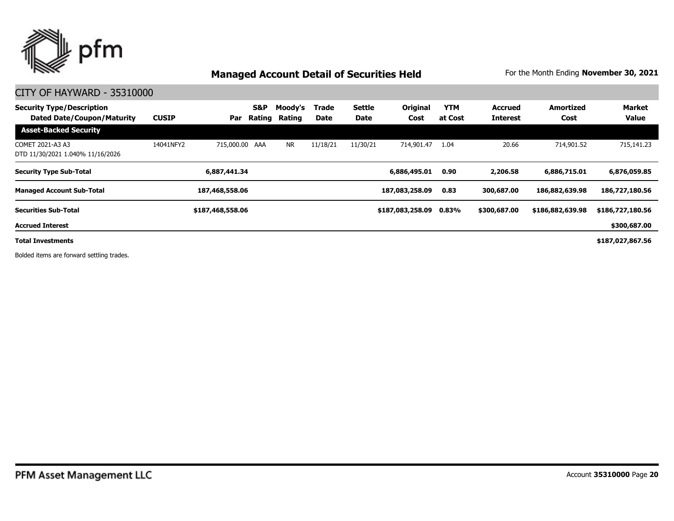

#### CITY OF HAYWARD - 35310000

| <b>Security Type/Description</b><br><b>Dated Date/Coupon/Maturity</b> | <b>CUSIP</b> | Par              | <b>S&amp;P</b><br>Rating | Moody's<br>Rating | Trade<br>Date | Settle<br>Date | <b>Original</b><br>Cost | <b>YTM</b><br>at Cost | <b>Accrued</b><br><b>Interest</b> | <b>Amortized</b><br>Cost | <b>Market</b><br><b>Value</b> |
|-----------------------------------------------------------------------|--------------|------------------|--------------------------|-------------------|---------------|----------------|-------------------------|-----------------------|-----------------------------------|--------------------------|-------------------------------|
| <b>Asset-Backed Security</b>                                          |              |                  |                          |                   |               |                |                         |                       |                                   |                          |                               |
| COMET 2021-A3 A3<br>DTD 11/30/2021 1.040% 11/16/2026                  | 14041NFY2    | 715,000.00 AAA   |                          | <b>NR</b>         | 11/18/21      | 11/30/21       | 714,901.47              | 1.04                  | 20.66                             | 714,901.52               | 715,141.23                    |
| <b>Security Type Sub-Total</b>                                        |              | 6,887,441.34     |                          |                   |               |                | 6,886,495.01            | 0.90                  | 2,206.58                          | 6,886,715.01             | 6,876,059.85                  |
| <b>Managed Account Sub-Total</b>                                      |              | 187,468,558.06   |                          |                   |               |                | 187,083,258.09          | 0.83                  | 300,687.00                        | 186,882,639.98           | 186,727,180.56                |
| <b>Securities Sub-Total</b>                                           |              | \$187,468,558.06 |                          |                   |               |                | \$187,083,258.09        | 0.83%                 | \$300,687.00                      | \$186,882,639.98         | \$186,727,180.56              |
| <b>Accrued Interest</b>                                               |              |                  |                          |                   |               |                |                         |                       |                                   |                          | \$300,687.00                  |
| <b>Total Investments</b>                                              |              |                  |                          |                   |               |                |                         |                       |                                   |                          | \$187,027,867.56              |

Bolded items are forward settling trades.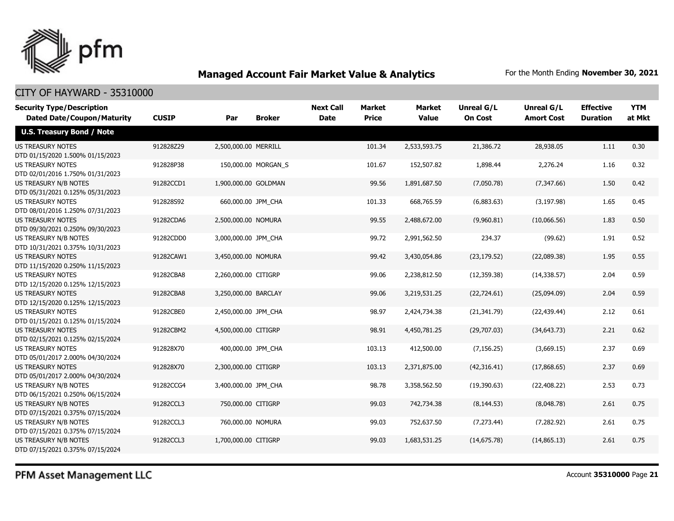

### CITY OF HAYWARD - 35310000

| <b>Security Type/Description</b>                             | <b>CUSIP</b> |                      | <b>Broker</b>       | <b>Next Call</b><br><b>Date</b> | <b>Market</b><br><b>Price</b> | <b>Market</b><br><b>Value</b> | Unreal G/L<br><b>On Cost</b> | Unreal G/L<br><b>Amort Cost</b> | <b>Effective</b><br><b>Duration</b> | <b>YTM</b><br>at Mkt |
|--------------------------------------------------------------|--------------|----------------------|---------------------|---------------------------------|-------------------------------|-------------------------------|------------------------------|---------------------------------|-------------------------------------|----------------------|
| <b>Dated Date/Coupon/Maturity</b>                            |              | Par                  |                     |                                 |                               |                               |                              |                                 |                                     |                      |
| <b>U.S. Treasury Bond / Note</b>                             |              |                      |                     |                                 |                               |                               |                              |                                 |                                     |                      |
| <b>US TREASURY NOTES</b><br>DTD 01/15/2020 1.500% 01/15/2023 | 912828Z29    | 2,500,000.00 MERRILL |                     |                                 | 101.34                        | 2,533,593.75                  | 21,386.72                    | 28,938.05                       | 1.11                                | 0.30                 |
| <b>US TREASURY NOTES</b><br>DTD 02/01/2016 1.750% 01/31/2023 | 912828P38    |                      | 150,000.00 MORGAN_S |                                 | 101.67                        | 152,507.82                    | 1,898.44                     | 2,276.24                        | 1.16                                | 0.32                 |
| US TREASURY N/B NOTES<br>DTD 05/31/2021 0.125% 05/31/2023    | 91282CCD1    | 1,900,000.00 GOLDMAN |                     |                                 | 99.56                         | 1,891,687.50                  | (7,050.78)                   | (7,347.66)                      | 1.50                                | 0.42                 |
| <b>US TREASURY NOTES</b><br>DTD 08/01/2016 1.250% 07/31/2023 | 912828S92    | 660,000.00 JPM_CHA   |                     |                                 | 101.33                        | 668,765.59                    | (6,883.63)                   | (3, 197.98)                     | 1.65                                | 0.45                 |
| <b>US TREASURY NOTES</b><br>DTD 09/30/2021 0.250% 09/30/2023 | 91282CDA6    | 2,500,000.00 NOMURA  |                     |                                 | 99.55                         | 2,488,672.00                  | (9,960.81)                   | (10,066.56)                     | 1.83                                | 0.50                 |
| US TREASURY N/B NOTES<br>DTD 10/31/2021 0.375% 10/31/2023    | 91282CDD0    | 3,000,000.00 JPM CHA |                     |                                 | 99.72                         | 2,991,562.50                  | 234.37                       | (99.62)                         | 1.91                                | 0.52                 |
| <b>US TREASURY NOTES</b><br>DTD 11/15/2020 0.250% 11/15/2023 | 91282CAW1    | 3,450,000.00 NOMURA  |                     |                                 | 99.42                         | 3,430,054.86                  | (23, 179.52)                 | (22,089.38)                     | 1.95                                | 0.55                 |
| <b>US TREASURY NOTES</b><br>DTD 12/15/2020 0.125% 12/15/2023 | 91282CBA8    | 2,260,000.00 CITIGRP |                     |                                 | 99.06                         | 2,238,812.50                  | (12, 359.38)                 | (14, 338.57)                    | 2.04                                | 0.59                 |
| <b>US TREASURY NOTES</b><br>DTD 12/15/2020 0.125% 12/15/2023 | 91282CBA8    | 3,250,000.00 BARCLAY |                     |                                 | 99.06                         | 3,219,531.25                  | (22, 724.61)                 | (25,094.09)                     | 2.04                                | 0.59                 |
| <b>US TREASURY NOTES</b><br>DTD 01/15/2021 0.125% 01/15/2024 | 91282CBE0    | 2,450,000.00 JPM CHA |                     |                                 | 98.97                         | 2,424,734.38                  | (21, 341.79)                 | (22, 439.44)                    | 2.12                                | 0.61                 |
| <b>US TREASURY NOTES</b><br>DTD 02/15/2021 0.125% 02/15/2024 | 91282CBM2    | 4,500,000.00 CITIGRP |                     |                                 | 98.91                         | 4,450,781.25                  | (29,707.03)                  | (34, 643.73)                    | 2.21                                | 0.62                 |
| <b>US TREASURY NOTES</b><br>DTD 05/01/2017 2.000% 04/30/2024 | 912828X70    | 400,000.00 JPM CHA   |                     |                                 | 103.13                        | 412,500.00                    | (7, 156.25)                  | (3,669.15)                      | 2.37                                | 0.69                 |
| <b>US TREASURY NOTES</b><br>DTD 05/01/2017 2.000% 04/30/2024 | 912828X70    | 2,300,000.00 CITIGRP |                     |                                 | 103.13                        | 2,371,875.00                  | (42,316.41)                  | (17,868.65)                     | 2.37                                | 0.69                 |
| US TREASURY N/B NOTES<br>DTD 06/15/2021 0.250% 06/15/2024    | 91282CCG4    | 3,400,000.00 JPM CHA |                     |                                 | 98.78                         | 3,358,562.50                  | (19,390.63)                  | (22, 408.22)                    | 2.53                                | 0.73                 |
| US TREASURY N/B NOTES<br>DTD 07/15/2021 0.375% 07/15/2024    | 91282CCL3    | 750,000.00 CITIGRP   |                     |                                 | 99.03                         | 742,734.38                    | (8, 144.53)                  | (8,048.78)                      | 2.61                                | 0.75                 |
| US TREASURY N/B NOTES<br>DTD 07/15/2021 0.375% 07/15/2024    | 91282CCL3    | 760,000.00 NOMURA    |                     |                                 | 99.03                         | 752,637.50                    | (7, 273.44)                  | (7,282.92)                      | 2.61                                | 0.75                 |
| US TREASURY N/B NOTES<br>DTD 07/15/2021 0.375% 07/15/2024    | 91282CCL3    | 1,700,000.00 CITIGRP |                     |                                 | 99.03                         | 1,683,531.25                  | (14, 675.78)                 | (14,865.13)                     | 2.61                                | 0.75                 |

PFM Asset Management LLC

Account **35310000** Page **21**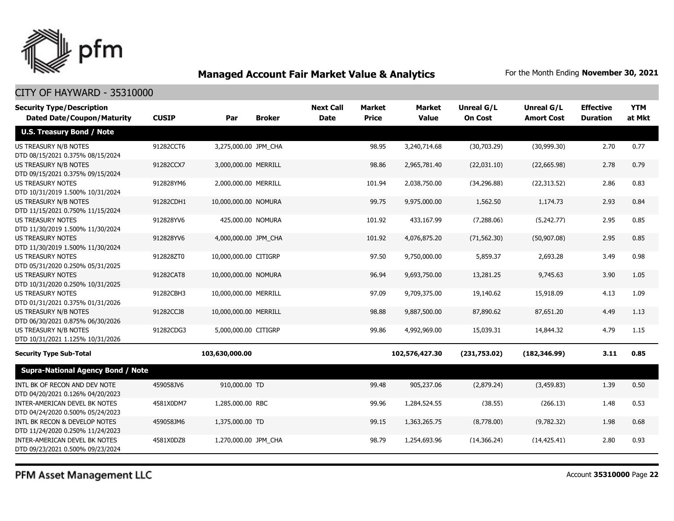

#### CITY OF HAYWARD - 35310000

| <b>Security Type/Description</b><br><b>Dated Date/Coupon/Maturity</b> | <b>CUSIP</b> | Par                   | <b>Broker</b> | <b>Next Call</b><br><b>Date</b> | <b>Market</b><br><b>Price</b> | Market<br><b>Value</b> | Unreal G/L<br><b>On Cost</b> | Unreal G/L<br><b>Amort Cost</b> | <b>Effective</b><br><b>Duration</b> | <b>YTM</b><br>at Mkt |
|-----------------------------------------------------------------------|--------------|-----------------------|---------------|---------------------------------|-------------------------------|------------------------|------------------------------|---------------------------------|-------------------------------------|----------------------|
| <b>U.S. Treasury Bond / Note</b>                                      |              |                       |               |                                 |                               |                        |                              |                                 |                                     |                      |
| US TREASURY N/B NOTES<br>DTD 08/15/2021 0.375% 08/15/2024             | 91282CCT6    | 3,275,000.00 JPM_CHA  |               |                                 | 98.95                         | 3,240,714.68           | (30,703.29)                  | (30,999.30)                     | 2.70                                | 0.77                 |
| US TREASURY N/B NOTES<br>DTD 09/15/2021 0.375% 09/15/2024             | 91282CCX7    | 3,000,000.00 MERRILL  |               |                                 | 98.86                         | 2,965,781.40           | (22,031.10)                  | (22,665.98)                     | 2.78                                | 0.79                 |
| <b>US TREASURY NOTES</b><br>DTD 10/31/2019 1.500% 10/31/2024          | 912828YM6    | 2,000,000.00 MERRILL  |               |                                 | 101.94                        | 2,038,750.00           | (34, 296.88)                 | (22, 313.52)                    | 2.86                                | 0.83                 |
| US TREASURY N/B NOTES<br>DTD 11/15/2021 0.750% 11/15/2024             | 91282CDH1    | 10,000,000.00 NOMURA  |               |                                 | 99.75                         | 9,975,000.00           | 1,562.50                     | 1,174.73                        | 2.93                                | 0.84                 |
| <b>US TREASURY NOTES</b><br>DTD 11/30/2019 1.500% 11/30/2024          | 912828YV6    | 425,000.00 NOMURA     |               |                                 | 101.92                        | 433,167.99             | (7,288.06)                   | (5,242.77)                      | 2.95                                | 0.85                 |
| <b>US TREASURY NOTES</b><br>DTD 11/30/2019 1.500% 11/30/2024          | 912828YV6    | 4,000,000.00 JPM_CHA  |               |                                 | 101.92                        | 4,076,875.20           | (71, 562.30)                 | (50,907.08)                     | 2.95                                | 0.85                 |
| US TREASURY NOTES<br>DTD 05/31/2020 0.250% 05/31/2025                 | 912828ZT0    | 10,000,000.00 CITIGRP |               |                                 | 97.50                         | 9,750,000.00           | 5,859.37                     | 2,693.28                        | 3.49                                | 0.98                 |
| <b>US TREASURY NOTES</b><br>DTD 10/31/2020 0.250% 10/31/2025          | 91282CAT8    | 10,000,000.00 NOMURA  |               |                                 | 96.94                         | 9,693,750.00           | 13,281.25                    | 9,745.63                        | 3.90                                | 1.05                 |
| <b>US TREASURY NOTES</b><br>DTD 01/31/2021 0.375% 01/31/2026          | 91282CBH3    | 10,000,000.00 MERRILL |               |                                 | 97.09                         | 9,709,375.00           | 19,140.62                    | 15,918.09                       | 4.13                                | 1.09                 |
| <b>US TREASURY N/B NOTES</b><br>DTD 06/30/2021 0.875% 06/30/2026      | 91282CCJ8    | 10,000,000.00 MERRILL |               |                                 | 98.88                         | 9,887,500.00           | 87,890.62                    | 87,651.20                       | 4.49                                | 1.13                 |
| US TREASURY N/B NOTES<br>DTD 10/31/2021 1.125% 10/31/2026             | 91282CDG3    | 5,000,000.00 CITIGRP  |               |                                 | 99.86                         | 4,992,969.00           | 15,039.31                    | 14,844.32                       | 4.79                                | 1.15                 |
| <b>Security Type Sub-Total</b>                                        |              | 103,630,000.00        |               |                                 |                               | 102,576,427.30         | (231,753.02)                 | (182, 346.99)                   | 3.11                                | 0.85                 |
| <b>Supra-National Agency Bond / Note</b>                              |              |                       |               |                                 |                               |                        |                              |                                 |                                     |                      |
| INTL BK OF RECON AND DEV NOTE<br>DTD 04/20/2021 0.126% 04/20/2023     | 459058JV6    | 910,000.00 TD         |               |                                 | 99.48                         | 905,237.06             | (2,879.24)                   | (3,459.83)                      | 1.39                                | 0.50                 |
| INTER-AMERICAN DEVEL BK NOTES<br>DTD 04/24/2020 0.500% 05/24/2023     | 4581X0DM7    | 1,285,000.00 RBC      |               |                                 | 99.96                         | 1,284,524.55           | (38.55)                      | (266.13)                        | 1.48                                | 0.53                 |
| INTL BK RECON & DEVELOP NOTES<br>DTD 11/24/2020 0.250% 11/24/2023     | 459058JM6    | 1,375,000.00 TD       |               |                                 | 99.15                         | 1,363,265.75           | (8,778.00)                   | (9,782.32)                      | 1.98                                | 0.68                 |
| INTER-AMERICAN DEVEL BK NOTES<br>DTD 09/23/2021 0.500% 09/23/2024     | 4581X0DZ8    | 1,270,000.00 JPM_CHA  |               |                                 | 98.79                         | 1,254,693.96           | (14, 366.24)                 | (14, 425.41)                    | 2.80                                | 0.93                 |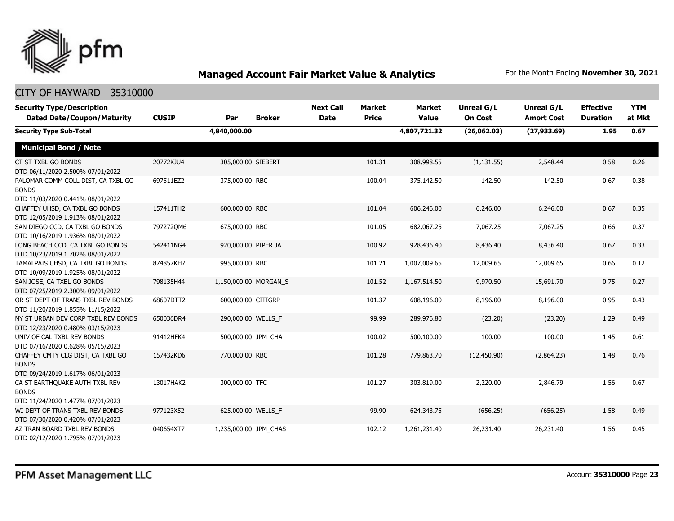

| <b>Security Type/Description</b><br><b>Dated Date/Coupon/Maturity</b>                  | <b>CUSIP</b> | Par                   | <b>Broker</b> | <b>Next Call</b><br>Date | <b>Market</b><br><b>Price</b> | <b>Market</b><br><b>Value</b> | <b>Unreal G/L</b><br><b>On Cost</b> | <b>Unreal G/L</b><br><b>Amort Cost</b> | <b>Effective</b><br><b>Duration</b> | <b>YTM</b><br>at Mkt |
|----------------------------------------------------------------------------------------|--------------|-----------------------|---------------|--------------------------|-------------------------------|-------------------------------|-------------------------------------|----------------------------------------|-------------------------------------|----------------------|
| <b>Security Type Sub-Total</b>                                                         |              | 4,840,000.00          |               |                          |                               | 4,807,721.32                  | (26,062.03)                         | (27, 933.69)                           | 1.95                                | 0.67                 |
| <b>Municipal Bond / Note</b>                                                           |              |                       |               |                          |                               |                               |                                     |                                        |                                     |                      |
| CT ST TXBL GO BONDS<br>DTD 06/11/2020 2.500% 07/01/2022                                | 20772KJU4    | 305,000.00 SIEBERT    |               |                          | 101.31                        | 308,998.55                    | (1, 131.55)                         | 2,548.44                               | 0.58                                | 0.26                 |
| PALOMAR COMM COLL DIST, CA TXBL GO<br><b>BONDS</b><br>DTD 11/03/2020 0.441% 08/01/2022 | 697511EZ2    | 375,000.00 RBC        |               |                          | 100.04                        | 375,142.50                    | 142.50                              | 142.50                                 | 0.67                                | 0.38                 |
| CHAFFEY UHSD, CA TXBL GO BONDS<br>DTD 12/05/2019 1.913% 08/01/2022                     | 157411TH2    | 600,000.00 RBC        |               |                          | 101.04                        | 606,246.00                    | 6,246.00                            | 6,246.00                               | 0.67                                | 0.35                 |
| SAN DIEGO CCD, CA TXBL GO BONDS<br>DTD 10/16/2019 1.936% 08/01/2022                    | 7972720M6    | 675,000.00 RBC        |               |                          | 101.05                        | 682,067.25                    | 7,067.25                            | 7,067.25                               | 0.66                                | 0.37                 |
| LONG BEACH CCD, CA TXBL GO BONDS<br>DTD 10/23/2019 1.702% 08/01/2022                   | 542411NG4    | 920,000.00 PIPER JA   |               |                          | 100.92                        | 928,436.40                    | 8,436.40                            | 8,436.40                               | 0.67                                | 0.33                 |
| TAMALPAIS UHSD, CA TXBL GO BONDS<br>DTD 10/09/2019 1.925% 08/01/2022                   | 874857KH7    | 995,000.00 RBC        |               |                          | 101.21                        | 1,007,009.65                  | 12,009.65                           | 12,009.65                              | 0.66                                | 0.12                 |
| SAN JOSE, CA TXBL GO BONDS<br>DTD 07/25/2019 2.300% 09/01/2022                         | 798135H44    | 1,150,000.00 MORGAN S |               |                          | 101.52                        | 1,167,514.50                  | 9,970.50                            | 15,691.70                              | 0.75                                | 0.27                 |
| OR ST DEPT OF TRANS TXBL REV BONDS<br>DTD 11/20/2019 1.855% 11/15/2022                 | 68607DTT2    | 600,000.00 CITIGRP    |               |                          | 101.37                        | 608,196.00                    | 8,196.00                            | 8,196.00                               | 0.95                                | 0.43                 |
| NY ST URBAN DEV CORP TXBL REV BONDS<br>DTD 12/23/2020 0.480% 03/15/2023                | 650036DR4    | 290,000.00 WELLS F    |               |                          | 99.99                         | 289,976.80                    | (23.20)                             | (23.20)                                | 1.29                                | 0.49                 |
| UNIV OF CAL TXBL REV BONDS<br>DTD 07/16/2020 0.628% 05/15/2023                         | 91412HFK4    | 500,000.00 JPM_CHA    |               |                          | 100.02                        | 500,100.00                    | 100.00                              | 100.00                                 | 1.45                                | 0.61                 |
| CHAFFEY CMTY CLG DIST, CA TXBL GO<br><b>BONDS</b><br>DTD 09/24/2019 1.617% 06/01/2023  | 157432KD6    | 770,000.00 RBC        |               |                          | 101.28                        | 779,863.70                    | (12, 450.90)                        | (2,864.23)                             | 1.48                                | 0.76                 |
| CA ST EARTHQUAKE AUTH TXBL REV<br><b>BONDS</b><br>DTD 11/24/2020 1.477% 07/01/2023     | 13017HAK2    | 300,000.00 TFC        |               |                          | 101.27                        | 303,819.00                    | 2,220.00                            | 2,846.79                               | 1.56                                | 0.67                 |
| WI DEPT OF TRANS TXBL REV BONDS<br>DTD 07/30/2020 0.420% 07/01/2023                    | 977123X52    | 625,000.00 WELLS F    |               |                          | 99.90                         | 624,343.75                    | (656.25)                            | (656.25)                               | 1.58                                | 0.49                 |
| AZ TRAN BOARD TXBL REV BONDS<br>DTD 02/12/2020 1.795% 07/01/2023                       | 040654XT7    | 1,235,000.00 JPM CHAS |               |                          | 102.12                        | 1,261,231.40                  | 26,231.40                           | 26,231.40                              | 1.56                                | 0.45                 |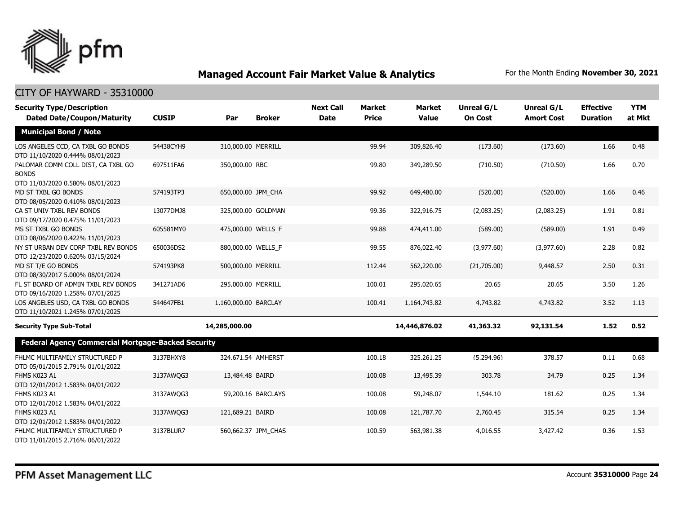

| <b>Security Type/Description</b>                                                       |              |                      |                     | <b>Next Call</b> | <b>Market</b> | <b>Market</b> | <b>Unreal G/L</b> | Unreal G/L        | <b>Effective</b> | <b>YTM</b> |
|----------------------------------------------------------------------------------------|--------------|----------------------|---------------------|------------------|---------------|---------------|-------------------|-------------------|------------------|------------|
| <b>Dated Date/Coupon/Maturity</b>                                                      | <b>CUSIP</b> | Par                  | <b>Broker</b>       | <b>Date</b>      | <b>Price</b>  | <b>Value</b>  | <b>On Cost</b>    | <b>Amort Cost</b> | <b>Duration</b>  | at Mkt     |
| <b>Municipal Bond / Note</b>                                                           |              |                      |                     |                  |               |               |                   |                   |                  |            |
| LOS ANGELES CCD, CA TXBL GO BONDS<br>DTD 11/10/2020 0.444% 08/01/2023                  | 54438CYH9    | 310,000.00 MERRILL   |                     |                  | 99.94         | 309,826.40    | (173.60)          | (173.60)          | 1.66             | 0.48       |
| PALOMAR COMM COLL DIST, CA TXBL GO<br><b>BONDS</b><br>DTD 11/03/2020 0.580% 08/01/2023 | 697511FA6    | 350,000.00 RBC       |                     |                  | 99.80         | 349,289.50    | (710.50)          | (710.50)          | 1.66             | 0.70       |
| MD ST TXBL GO BONDS<br>DTD 08/05/2020 0.410% 08/01/2023                                | 574193TP3    | 650,000.00 JPM CHA   |                     |                  | 99.92         | 649,480.00    | (520.00)          | (520.00)          | 1.66             | 0.46       |
| CA ST UNIV TXBL REV BONDS<br>DTD 09/17/2020 0.475% 11/01/2023                          | 13077DMJ8    |                      | 325,000.00 GOLDMAN  |                  | 99.36         | 322,916.75    | (2,083.25)        | (2,083.25)        | 1.91             | 0.81       |
| MS ST TXBL GO BONDS<br>DTD 08/06/2020 0.422% 11/01/2023                                | 605581MY0    | 475,000.00 WELLS F   |                     |                  | 99.88         | 474,411.00    | (589.00)          | (589.00)          | 1.91             | 0.49       |
| NY ST URBAN DEV CORP TXBL REV BONDS<br>DTD 12/23/2020 0.620% 03/15/2024                | 650036DS2    | 880,000.00 WELLS F   |                     |                  | 99.55         | 876,022.40    | (3,977.60)        | (3,977.60)        | 2.28             | 0.82       |
| MD ST T/E GO BONDS<br>DTD 08/30/2017 5.000% 08/01/2024                                 | 574193PK8    | 500,000.00 MERRILL   |                     |                  | 112.44        | 562,220.00    | (21,705.00)       | 9,448.57          | 2.50             | 0.31       |
| FL ST BOARD OF ADMIN TXBL REV BONDS<br>DTD 09/16/2020 1.258% 07/01/2025                | 341271AD6    | 295,000.00 MERRILL   |                     |                  | 100.01        | 295,020.65    | 20.65             | 20.65             | 3.50             | 1.26       |
| LOS ANGELES USD, CA TXBL GO BONDS<br>DTD 11/10/2021 1.245% 07/01/2025                  | 544647FB1    | 1,160,000.00 BARCLAY |                     |                  | 100.41        | 1,164,743.82  | 4,743.82          | 4,743.82          | 3.52             | 1.13       |
| <b>Security Type Sub-Total</b>                                                         |              | 14,285,000.00        |                     |                  |               | 14,446,876.02 | 41,363.32         | 92,131.54         | 1.52             | 0.52       |
| <b>Federal Agency Commercial Mortgage-Backed Security</b>                              |              |                      |                     |                  |               |               |                   |                   |                  |            |
| FHLMC MULTIFAMILY STRUCTURED P<br>DTD 05/01/2015 2.791% 01/01/2022                     | 3137BHXY8    | 324,671.54 AMHERST   |                     |                  | 100.18        | 325,261.25    | (5,294.96)        | 378.57            | 0.11             | 0.68       |
| FHMS K023 A1<br>DTD 12/01/2012 1.583% 04/01/2022                                       | 3137AWQG3    | 13,484.48 BAIRD      |                     |                  | 100.08        | 13,495.39     | 303.78            | 34.79             | 0.25             | 1.34       |
| FHMS K023 A1<br>DTD 12/01/2012 1.583% 04/01/2022                                       | 3137AWQG3    |                      | 59,200.16 BARCLAYS  |                  | 100.08        | 59,248.07     | 1,544.10          | 181.62            | 0.25             | 1.34       |
| FHMS K023 A1<br>DTD 12/01/2012 1.583% 04/01/2022                                       | 3137AWQG3    | 121,689.21 BAIRD     |                     |                  | 100.08        | 121,787.70    | 2,760.45          | 315.54            | 0.25             | 1.34       |
| FHLMC MULTIFAMILY STRUCTURED P<br>DTD 11/01/2015 2.716% 06/01/2022                     | 3137BLUR7    |                      | 560,662.37 JPM CHAS |                  | 100.59        | 563,981.38    | 4,016.55          | 3,427.42          | 0.36             | 1.53       |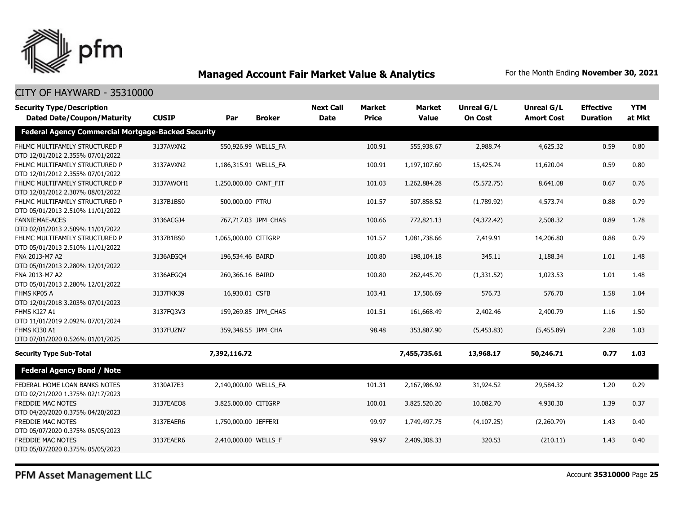

### CITY OF HAYWARD - 35310000

| <b>Security Type/Description</b>                                   |              |                       |                     | <b>Next Call</b> | <b>Market</b> | <b>Market</b> | <b>Unreal G/L</b> | Unreal G/L        | <b>Effective</b> | <b>YTM</b> |
|--------------------------------------------------------------------|--------------|-----------------------|---------------------|------------------|---------------|---------------|-------------------|-------------------|------------------|------------|
| <b>Dated Date/Coupon/Maturity</b>                                  | <b>CUSIP</b> | Par                   | <b>Broker</b>       | <b>Date</b>      | <b>Price</b>  | <b>Value</b>  | <b>On Cost</b>    | <b>Amort Cost</b> | <b>Duration</b>  | at Mkt     |
| <b>Federal Agency Commercial Mortgage-Backed Security</b>          |              |                       |                     |                  |               |               |                   |                   |                  |            |
| FHLMC MULTIFAMILY STRUCTURED P<br>DTD 12/01/2012 2.355% 07/01/2022 | 3137AVXN2    |                       | 550,926.99 WELLS_FA |                  | 100.91        | 555,938.67    | 2,988.74          | 4,625.32          | 0.59             | 0.80       |
| FHLMC MULTIFAMILY STRUCTURED P<br>DTD 12/01/2012 2.355% 07/01/2022 | 3137AVXN2    | 1,186,315.91 WELLS FA |                     |                  | 100.91        | 1,197,107.60  | 15,425.74         | 11,620.04         | 0.59             | 0.80       |
| FHLMC MULTIFAMILY STRUCTURED P<br>DTD 12/01/2012 2.307% 08/01/2022 | 3137AWOH1    | 1,250,000.00 CANT FIT |                     |                  | 101.03        | 1,262,884.28  | (5, 572.75)       | 8,641.08          | 0.67             | 0.76       |
| FHLMC MULTIFAMILY STRUCTURED P<br>DTD 05/01/2013 2.510% 11/01/2022 | 3137B1BS0    | 500,000.00 PTRU       |                     |                  | 101.57        | 507,858.52    | (1,789.92)        | 4,573.74          | 0.88             | 0.79       |
| <b>FANNIEMAE-ACES</b><br>DTD 02/01/2013 2.509% 11/01/2022          | 3136ACGJ4    |                       | 767,717.03 JPM_CHAS |                  | 100.66        | 772,821.13    | (4,372.42)        | 2,508.32          | 0.89             | 1.78       |
| FHLMC MULTIFAMILY STRUCTURED P<br>DTD 05/01/2013 2.510% 11/01/2022 | 3137B1BS0    | 1,065,000.00 CITIGRP  |                     |                  | 101.57        | 1,081,738.66  | 7,419.91          | 14,206.80         | 0.88             | 0.79       |
| FNA 2013-M7 A2<br>DTD 05/01/2013 2.280% 12/01/2022                 | 3136AEGO4    | 196,534.46 BAIRD      |                     |                  | 100.80        | 198,104.18    | 345.11            | 1,188.34          | 1.01             | 1.48       |
| FNA 2013-M7 A2<br>DTD 05/01/2013 2.280% 12/01/2022                 | 3136AEGO4    | 260,366.16 BAIRD      |                     |                  | 100.80        | 262,445.70    | (1,331.52)        | 1,023.53          | 1.01             | 1.48       |
| FHMS KP05 A<br>DTD 12/01/2018 3.203% 07/01/2023                    | 3137FKK39    | 16,930.01 CSFB        |                     |                  | 103.41        | 17,506.69     | 576.73            | 576.70            | 1.58             | 1.04       |
| FHMS KJ27 A1<br>DTD 11/01/2019 2.092% 07/01/2024                   | 3137FQ3V3    |                       | 159,269.85 JPM CHAS |                  | 101.51        | 161,668.49    | 2,402.46          | 2,400.79          | 1.16             | 1.50       |
| FHMS KJ30 A1<br>DTD 07/01/2020 0.526% 01/01/2025                   | 3137FUZN7    |                       | 359,348.55 JPM CHA  |                  | 98.48         | 353,887.90    | (5,453.83)        | (5,455.89)        | 2.28             | 1.03       |
| <b>Security Type Sub-Total</b>                                     |              | 7,392,116.72          |                     |                  |               | 7,455,735.61  | 13,968.17         | 50,246.71         | 0.77             | 1.03       |
| <b>Federal Agency Bond / Note</b>                                  |              |                       |                     |                  |               |               |                   |                   |                  |            |
| FEDERAL HOME LOAN BANKS NOTES<br>DTD 02/21/2020 1.375% 02/17/2023  | 3130AJ7E3    | 2,140,000.00 WELLS_FA |                     |                  | 101.31        | 2,167,986.92  | 31,924.52         | 29,584.32         | 1.20             | 0.29       |
| <b>FREDDIE MAC NOTES</b><br>DTD 04/20/2020 0.375% 04/20/2023       | 3137EAEO8    | 3,825,000.00 CITIGRP  |                     |                  | 100.01        | 3,825,520.20  | 10,082.70         | 4,930.30          | 1.39             | 0.37       |
| FREDDIE MAC NOTES<br>DTD 05/07/2020 0.375% 05/05/2023              | 3137EAER6    | 1,750,000.00 JEFFERI  |                     |                  | 99.97         | 1,749,497.75  | (4, 107.25)       | (2,260.79)        | 1.43             | 0.40       |
| FREDDIE MAC NOTES<br>DTD 05/07/2020 0.375% 05/05/2023              | 3137EAER6    | 2,410,000.00 WELLS_F  |                     |                  | 99.97         | 2,409,308.33  | 320.53            | (210.11)          | 1.43             | 0.40       |

PFM Asset Management LLC

Account **35310000** Page **25**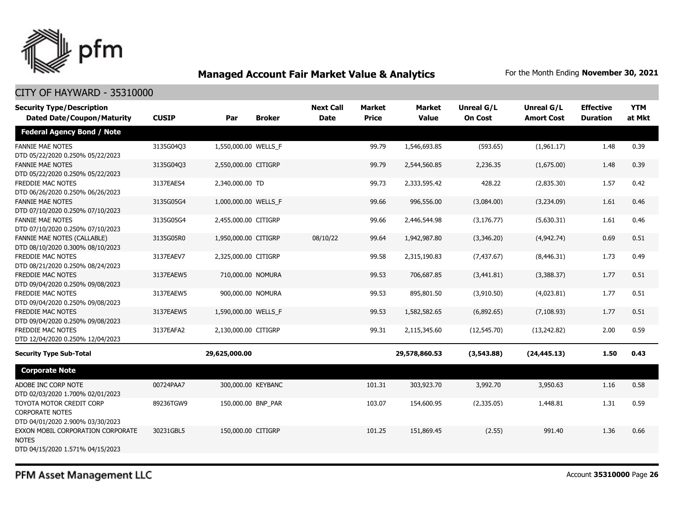

#### CITY OF HAYWARD - 35310000

| <b>Security Type/Description</b><br><b>Dated Date/Coupon/Maturity</b>                  | <b>CUSIP</b> | Par                  | <b>Broker</b> | <b>Next Call</b><br><b>Date</b> | <b>Market</b><br><b>Price</b> | <b>Market</b><br><b>Value</b> | Unreal G/L<br><b>On Cost</b> | Unreal G/L<br><b>Amort Cost</b> | <b>Effective</b><br><b>Duration</b> | <b>YTM</b><br>at Mkt |
|----------------------------------------------------------------------------------------|--------------|----------------------|---------------|---------------------------------|-------------------------------|-------------------------------|------------------------------|---------------------------------|-------------------------------------|----------------------|
| <b>Federal Agency Bond / Note</b>                                                      |              |                      |               |                                 |                               |                               |                              |                                 |                                     |                      |
| <b>FANNIE MAE NOTES</b><br>DTD 05/22/2020 0.250% 05/22/2023                            | 3135G04Q3    | 1,550,000.00 WELLS_F |               |                                 | 99.79                         | 1,546,693.85                  | (593.65)                     | (1,961.17)                      | 1.48                                | 0.39                 |
| <b>FANNIE MAE NOTES</b><br>DTD 05/22/2020 0.250% 05/22/2023                            | 3135G04Q3    | 2,550,000.00 CITIGRP |               |                                 | 99.79                         | 2,544,560.85                  | 2,236.35                     | (1,675.00)                      | 1.48                                | 0.39                 |
| FREDDIE MAC NOTES<br>DTD 06/26/2020 0.250% 06/26/2023                                  | 3137EAES4    | 2,340,000.00 TD      |               |                                 | 99.73                         | 2,333,595.42                  | 428.22                       | (2,835.30)                      | 1.57                                | 0.42                 |
| <b>FANNIE MAE NOTES</b><br>DTD 07/10/2020 0.250% 07/10/2023                            | 3135G05G4    | 1,000,000.00 WELLS_F |               |                                 | 99.66                         | 996,556.00                    | (3,084.00)                   | (3,234.09)                      | 1.61                                | 0.46                 |
| <b>FANNIE MAE NOTES</b><br>DTD 07/10/2020 0.250% 07/10/2023                            | 3135G05G4    | 2,455,000.00 CITIGRP |               |                                 | 99.66                         | 2,446,544.98                  | (3, 176.77)                  | (5,630.31)                      | 1.61                                | 0.46                 |
| FANNIE MAE NOTES (CALLABLE)<br>DTD 08/10/2020 0.300% 08/10/2023                        | 3135G05R0    | 1,950,000.00 CITIGRP |               | 08/10/22                        | 99.64                         | 1,942,987.80                  | (3,346.20)                   | (4,942.74)                      | 0.69                                | 0.51                 |
| <b>FREDDIE MAC NOTES</b><br>DTD 08/21/2020 0.250% 08/24/2023                           | 3137EAEV7    | 2,325,000.00 CITIGRP |               |                                 | 99.58                         | 2,315,190.83                  | (7, 437.67)                  | (8,446.31)                      | 1.73                                | 0.49                 |
| <b>FREDDIE MAC NOTES</b><br>DTD 09/04/2020 0.250% 09/08/2023                           | 3137EAEW5    | 710,000.00 NOMURA    |               |                                 | 99.53                         | 706,687.85                    | (3,441.81)                   | (3,388.37)                      | 1.77                                | 0.51                 |
| FREDDIE MAC NOTES<br>DTD 09/04/2020 0.250% 09/08/2023                                  | 3137EAEW5    | 900,000.00 NOMURA    |               |                                 | 99.53                         | 895,801.50                    | (3,910.50)                   | (4,023.81)                      | 1.77                                | 0.51                 |
| <b>FREDDIE MAC NOTES</b><br>DTD 09/04/2020 0.250% 09/08/2023                           | 3137EAEW5    | 1,590,000.00 WELLS_F |               |                                 | 99.53                         | 1,582,582.65                  | (6,892.65)                   | (7, 108.93)                     | 1.77                                | 0.51                 |
| FREDDIE MAC NOTES<br>DTD 12/04/2020 0.250% 12/04/2023                                  | 3137EAFA2    | 2,130,000.00 CITIGRP |               |                                 | 99.31                         | 2,115,345.60                  | (12,545.70)                  | (13, 242.82)                    | 2.00                                | 0.59                 |
| <b>Security Type Sub-Total</b>                                                         |              | 29,625,000.00        |               |                                 |                               | 29,578,860.53                 | (3,543.88)                   | (24, 445.13)                    | 1.50                                | 0.43                 |
| <b>Corporate Note</b>                                                                  |              |                      |               |                                 |                               |                               |                              |                                 |                                     |                      |
| ADOBE INC CORP NOTE<br>DTD 02/03/2020 1.700% 02/01/2023                                | 00724PAA7    | 300,000.00 KEYBANC   |               |                                 | 101.31                        | 303,923.70                    | 3,992.70                     | 3,950.63                        | 1.16                                | 0.58                 |
| TOYOTA MOTOR CREDIT CORP<br><b>CORPORATE NOTES</b><br>DTD 04/01/2020 2.900% 03/30/2023 | 89236TGW9    | 150,000.00 BNP_PAR   |               |                                 | 103.07                        | 154,600.95                    | (2,335.05)                   | 1,448.81                        | 1.31                                | 0.59                 |
| EXXON MOBIL CORPORATION CORPORATE<br><b>NOTES</b><br>DTD 04/15/2020 1.571% 04/15/2023  | 30231GBL5    | 150,000.00 CITIGRP   |               |                                 | 101.25                        | 151,869.45                    | (2.55)                       | 991.40                          | 1.36                                | 0.66                 |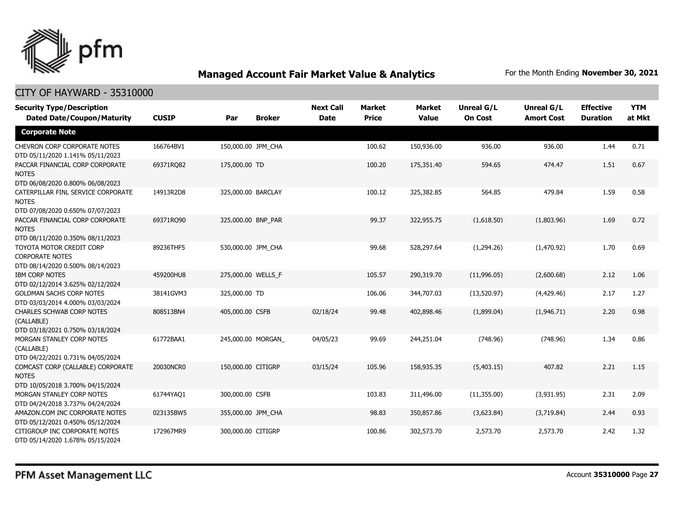

| <b>Security Type/Description</b><br><b>Dated Date/Coupon/Maturity</b>                  | <b>CUSIP</b> | Par<br><b>Broker</b> | <b>Next Call</b><br><b>Date</b> | <b>Market</b><br><b>Price</b> | <b>Market</b><br><b>Value</b> | <b>Unreal G/L</b><br><b>On Cost</b> | <b>Unreal G/L</b><br><b>Amort Cost</b> | <b>Effective</b><br><b>Duration</b> | <b>YTM</b><br>at Mkt |
|----------------------------------------------------------------------------------------|--------------|----------------------|---------------------------------|-------------------------------|-------------------------------|-------------------------------------|----------------------------------------|-------------------------------------|----------------------|
| <b>Corporate Note</b>                                                                  |              |                      |                                 |                               |                               |                                     |                                        |                                     |                      |
| <b>CHEVRON CORP CORPORATE NOTES</b><br>DTD 05/11/2020 1.141% 05/11/2023                | 166764BV1    | 150,000.00 JPM CHA   |                                 | 100.62                        | 150,936.00                    | 936.00                              | 936.00                                 | 1.44                                | 0.71                 |
| PACCAR FINANCIAL CORP CORPORATE<br><b>NOTES</b><br>DTD 06/08/2020 0.800% 06/08/2023    | 69371RQ82    | 175,000.00 TD        |                                 | 100.20                        | 175,351.40                    | 594.65                              | 474.47                                 | 1.51                                | 0.67                 |
| CATERPILLAR FINL SERVICE CORPORATE<br><b>NOTES</b><br>DTD 07/08/2020 0.650% 07/07/2023 | 14913R2D8    | 325,000.00 BARCLAY   |                                 | 100.12                        | 325,382.85                    | 564.85                              | 479.84                                 | 1.59                                | 0.58                 |
| PACCAR FINANCIAL CORP CORPORATE<br><b>NOTES</b><br>DTD 08/11/2020 0.350% 08/11/2023    | 69371RO90    | 325,000.00 BNP PAR   |                                 | 99.37                         | 322,955.75                    | (1,618.50)                          | (1,803.96)                             | 1.69                                | 0.72                 |
| TOYOTA MOTOR CREDIT CORP<br><b>CORPORATE NOTES</b><br>DTD 08/14/2020 0.500% 08/14/2023 | 89236THF5    | 530,000.00 JPM CHA   |                                 | 99.68                         | 528,297.64                    | (1,294.26)                          | (1,470.92)                             | 1.70                                | 0.69                 |
| <b>IBM CORP NOTES</b><br>DTD 02/12/2014 3.625% 02/12/2024                              | 459200HU8    | 275,000.00 WELLS_F   |                                 | 105.57                        | 290,319.70                    | (11,996.05)                         | (2,600.68)                             | 2.12                                | 1.06                 |
| <b>GOLDMAN SACHS CORP NOTES</b><br>DTD 03/03/2014 4.000% 03/03/2024                    | 38141GVM3    | 325,000.00 TD        |                                 | 106.06                        | 344,707.03                    | (13,520.97)                         | (4,429.46)                             | 2.17                                | 1.27                 |
| <b>CHARLES SCHWAB CORP NOTES</b><br>(CALLABLE)<br>DTD 03/18/2021 0.750% 03/18/2024     | 808513BN4    | 405,000.00 CSFB      | 02/18/24                        | 99.48                         | 402,898.46                    | (1,899.04)                          | (1,946.71)                             | 2.20                                | 0.98                 |
| MORGAN STANLEY CORP NOTES<br>(CALLABLE)<br>DTD 04/22/2021 0.731% 04/05/2024            | 61772BAA1    | 245,000.00 MORGAN    | 04/05/23                        | 99.69                         | 244,251.04                    | (748.96)                            | (748.96)                               | 1.34                                | 0.86                 |
| COMCAST CORP (CALLABLE) CORPORATE<br><b>NOTES</b><br>DTD 10/05/2018 3.700% 04/15/2024  | 20030NCR0    | 150,000.00 CITIGRP   | 03/15/24                        | 105.96                        | 158,935.35                    | (5,403.15)                          | 407.82                                 | 2.21                                | 1.15                 |
| MORGAN STANLEY CORP NOTES<br>DTD 04/24/2018 3.737% 04/24/2024                          | 61744YAQ1    | 300,000.00 CSFB      |                                 | 103.83                        | 311,496.00                    | (11,355.00)                         | (3,931.95)                             | 2.31                                | 2.09                 |
| AMAZON.COM INC CORPORATE NOTES<br>DTD 05/12/2021 0.450% 05/12/2024                     | 023135BW5    | 355,000.00 JPM_CHA   |                                 | 98.83                         | 350,857.86                    | (3,623.84)                          | (3,719.84)                             | 2.44                                | 0.93                 |
| CITIGROUP INC CORPORATE NOTES<br>DTD 05/14/2020 1.678% 05/15/2024                      | 172967MR9    | 300,000.00 CITIGRP   |                                 | 100.86                        | 302,573.70                    | 2,573.70                            | 2,573.70                               | 2.42                                | 1.32                 |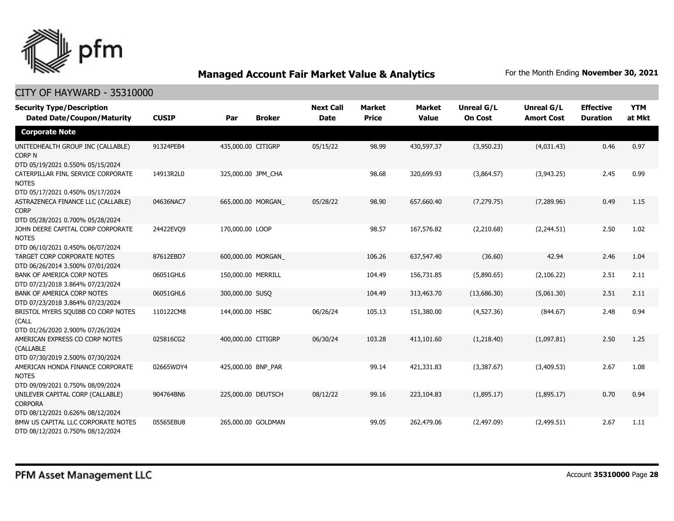

| <b>Security Type/Description</b>                                                |              |                    |               | <b>Next Call</b> | <b>Market</b> | <b>Market</b> | <b>Unreal G/L</b> | Unreal G/L        | <b>Effective</b> | <b>YTM</b> |
|---------------------------------------------------------------------------------|--------------|--------------------|---------------|------------------|---------------|---------------|-------------------|-------------------|------------------|------------|
| <b>Dated Date/Coupon/Maturity</b>                                               | <b>CUSIP</b> | Par                | <b>Broker</b> | <b>Date</b>      | <b>Price</b>  | Value         | <b>On Cost</b>    | <b>Amort Cost</b> | <b>Duration</b>  | at Mkt     |
| <b>Corporate Note</b>                                                           |              |                    |               |                  |               |               |                   |                   |                  |            |
| UNITEDHEALTH GROUP INC (CALLABLE)<br>CORP N                                     | 91324PEB4    | 435,000.00 CITIGRP |               | 05/15/22         | 98.99         | 430,597.37    | (3,950.23)        | (4,031.43)        | 0.46             | 0.97       |
| DTD 05/19/2021 0.550% 05/15/2024                                                |              |                    |               |                  |               |               |                   |                   |                  |            |
| CATERPILLAR FINL SERVICE CORPORATE<br><b>NOTES</b>                              | 14913R2L0    | 325,000.00 JPM CHA |               |                  | 98.68         | 320,699.93    | (3,864.57)        | (3,943.25)        | 2.45             | 0.99       |
| DTD 05/17/2021 0.450% 05/17/2024                                                |              |                    |               |                  |               |               |                   |                   |                  |            |
| ASTRAZENECA FINANCE LLC (CALLABLE)<br><b>CORP</b>                               | 04636NAC7    | 665,000.00 MORGAN  |               | 05/28/22         | 98.90         | 657,660.40    | (7, 279.75)       | (7,289.96)        | 0.49             | 1.15       |
| DTD 05/28/2021 0.700% 05/28/2024                                                |              |                    |               |                  |               |               |                   |                   |                  |            |
| JOHN DEERE CAPITAL CORP CORPORATE<br><b>NOTES</b>                               | 24422EVO9    | 170,000.00 LOOP    |               |                  | 98.57         | 167,576.82    | (2,210.68)        | (2,244.51)        | 2.50             | 1.02       |
| DTD 06/10/2021 0.450% 06/07/2024                                                |              |                    |               |                  |               |               |                   |                   |                  |            |
| TARGET CORP CORPORATE NOTES<br>DTD 06/26/2014 3.500% 07/01/2024                 | 87612EBD7    | 600,000.00 MORGAN_ |               |                  | 106.26        | 637,547.40    | (36.60)           | 42.94             | 2.46             | 1.04       |
| BANK OF AMERICA CORP NOTES                                                      | 06051GHL6    | 150,000.00 MERRILL |               |                  | 104.49        | 156,731.85    | (5,890.65)        | (2,106.22)        | 2.51             | 2.11       |
| DTD 07/23/2018 3.864% 07/23/2024                                                |              |                    |               |                  |               |               |                   |                   |                  |            |
| <b>BANK OF AMERICA CORP NOTES</b><br>DTD 07/23/2018 3.864% 07/23/2024           | 06051GHL6    | 300,000.00 SUSO    |               |                  | 104.49        | 313,463.70    | (13,686.30)       | (5,061.30)        | 2.51             | 2.11       |
| BRISTOL MYERS SQUIBB CO CORP NOTES<br>(CALL                                     | 110122CM8    | 144,000.00 HSBC    |               | 06/26/24         | 105.13        | 151,380.00    | (4,527.36)        | (844.67)          | 2.48             | 0.94       |
| DTD 01/26/2020 2.900% 07/26/2024                                                |              |                    |               |                  |               |               |                   |                   |                  |            |
| AMERICAN EXPRESS CO CORP NOTES<br>(CALLABLE<br>DTD 07/30/2019 2.500% 07/30/2024 | 025816CG2    | 400,000.00 CITIGRP |               | 06/30/24         | 103.28        | 413,101.60    | (1,218.40)        | (1,097.81)        | 2.50             | 1.25       |
|                                                                                 | 02665WDY4    | 425,000.00 BNP PAR |               |                  |               | 421,331.83    | (3,387.67)        | (3,409.53)        | 2.67             | 1.08       |
| AMERICAN HONDA FINANCE CORPORATE<br><b>NOTES</b>                                |              |                    |               |                  | 99.14         |               |                   |                   |                  |            |
| DTD 09/09/2021 0.750% 08/09/2024                                                |              |                    |               |                  |               |               |                   |                   |                  |            |
| UNILEVER CAPITAL CORP (CALLABLE)<br><b>CORPORA</b>                              | 904764BN6    | 225,000.00 DEUTSCH |               | 08/12/22         | 99.16         | 223,104.83    | (1,895.17)        | (1,895.17)        | 0.70             | 0.94       |
| DTD 08/12/2021 0.626% 08/12/2024                                                |              |                    |               |                  |               |               |                   |                   |                  |            |
| BMW US CAPITAL LLC CORPORATE NOTES<br>DTD 08/12/2021 0.750% 08/12/2024          | 05565EBU8    | 265,000.00 GOLDMAN |               |                  | 99.05         | 262,479.06    | (2,497.09)        | (2,499.51)        | 2.67             | 1.11       |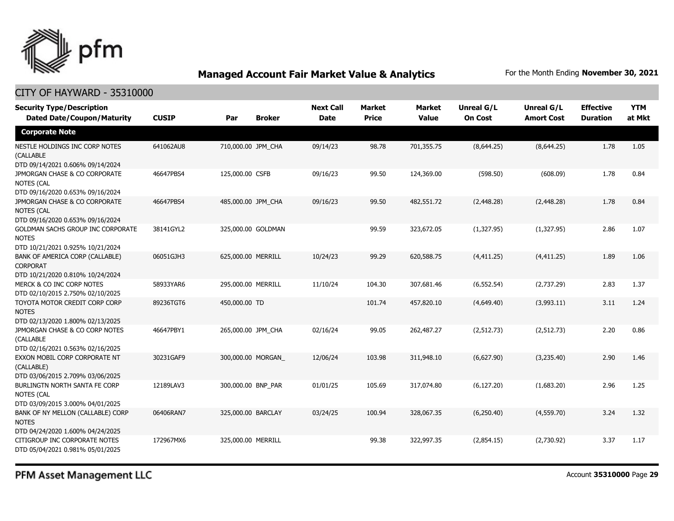

### CITY OF HAYWARD - 35310000

| <b>Security Type/Description</b><br><b>Dated Date/Coupon/Maturity</b>                  | <b>CUSIP</b> | Par                | <b>Broker</b> | <b>Next Call</b><br><b>Date</b> | <b>Market</b><br><b>Price</b> | <b>Market</b><br><b>Value</b> | <b>Unreal G/L</b><br><b>On Cost</b> | <b>Unreal G/L</b><br><b>Amort Cost</b> | <b>Effective</b><br><b>Duration</b> | <b>YTM</b><br>at Mkt |
|----------------------------------------------------------------------------------------|--------------|--------------------|---------------|---------------------------------|-------------------------------|-------------------------------|-------------------------------------|----------------------------------------|-------------------------------------|----------------------|
| <b>Corporate Note</b>                                                                  |              |                    |               |                                 |                               |                               |                                     |                                        |                                     |                      |
| NESTLE HOLDINGS INC CORP NOTES<br>(CALLABLE<br>DTD 09/14/2021 0.606% 09/14/2024        | 641062AU8    | 710,000.00 JPM_CHA |               | 09/14/23                        | 98.78                         | 701,355.75                    | (8,644.25)                          | (8,644.25)                             | 1.78                                | 1.05                 |
| JPMORGAN CHASE & CO CORPORATE<br>NOTES (CAL<br>DTD 09/16/2020 0.653% 09/16/2024        | 46647PBS4    | 125,000.00 CSFB    |               | 09/16/23                        | 99.50                         | 124,369.00                    | (598.50)                            | (608.09)                               | 1.78                                | 0.84                 |
| JPMORGAN CHASE & CO CORPORATE<br><b>NOTES (CAL</b><br>DTD 09/16/2020 0.653% 09/16/2024 | 46647PBS4    | 485,000.00 JPM CHA |               | 09/16/23                        | 99.50                         | 482,551.72                    | (2,448.28)                          | (2,448.28)                             | 1.78                                | 0.84                 |
| GOLDMAN SACHS GROUP INC CORPORATE<br><b>NOTES</b><br>DTD 10/21/2021 0.925% 10/21/2024  | 38141GYL2    | 325,000.00 GOLDMAN |               |                                 | 99.59                         | 323,672.05                    | (1,327.95)                          | (1,327.95)                             | 2.86                                | 1.07                 |
| BANK OF AMERICA CORP (CALLABLE)<br><b>CORPORAT</b><br>DTD 10/21/2020 0.810% 10/24/2024 | 06051GJH3    | 625,000.00 MERRILL |               | 10/24/23                        | 99.29                         | 620,588.75                    | (4,411.25)                          | (4,411.25)                             | 1.89                                | 1.06                 |
| MERCK & CO INC CORP NOTES<br>DTD 02/10/2015 2.750% 02/10/2025                          | 58933YAR6    | 295,000.00 MERRILL |               | 11/10/24                        | 104.30                        | 307,681.46                    | (6, 552.54)                         | (2,737.29)                             | 2.83                                | 1.37                 |
| TOYOTA MOTOR CREDIT CORP CORP<br><b>NOTES</b><br>DTD 02/13/2020 1.800% 02/13/2025      | 89236TGT6    | 450,000.00 TD      |               |                                 | 101.74                        | 457,820.10                    | (4,649.40)                          | (3,993.11)                             | 3.11                                | 1.24                 |
| JPMORGAN CHASE & CO CORP NOTES<br>(CALLABLE<br>DTD 02/16/2021 0.563% 02/16/2025        | 46647PBY1    | 265,000.00 JPM_CHA |               | 02/16/24                        | 99.05                         | 262,487.27                    | (2, 512.73)                         | (2,512.73)                             | 2.20                                | 0.86                 |
| EXXON MOBIL CORP CORPORATE NT<br>(CALLABLE)<br>DTD 03/06/2015 2.709% 03/06/2025        | 30231GAF9    | 300,000.00 MORGAN  |               | 12/06/24                        | 103.98                        | 311,948.10                    | (6,627.90)                          | (3,235.40)                             | 2.90                                | 1.46                 |
| BURLINGTN NORTH SANTA FE CORP<br>NOTES (CAL<br>DTD 03/09/2015 3.000% 04/01/2025        | 12189LAV3    | 300,000.00 BNP PAR |               | 01/01/25                        | 105.69                        | 317,074.80                    | (6, 127.20)                         | (1,683.20)                             | 2.96                                | 1.25                 |
| BANK OF NY MELLON (CALLABLE) CORP<br><b>NOTES</b><br>DTD 04/24/2020 1.600% 04/24/2025  | 06406RAN7    | 325,000.00 BARCLAY |               | 03/24/25                        | 100.94                        | 328,067.35                    | (6,250.40)                          | (4,559.70)                             | 3.24                                | 1.32                 |
| CITIGROUP INC CORPORATE NOTES<br>DTD 05/04/2021 0.981% 05/01/2025                      | 172967MX6    | 325,000.00 MERRILL |               |                                 | 99.38                         | 322,997.35                    | (2,854.15)                          | (2,730.92)                             | 3.37                                | 1.17                 |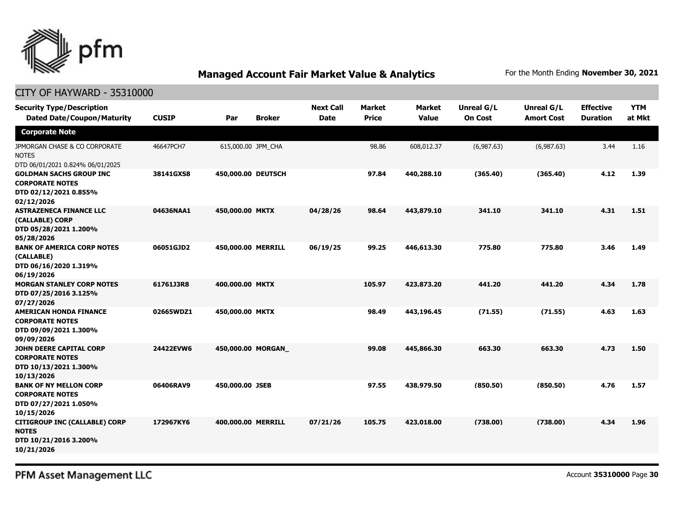

### CITY OF HAYWARD - 35310000

| <b>Security Type/Description</b><br><b>Dated Date/Coupon/Maturity</b>                           | <b>CUSIP</b> | Par                | <b>Broker</b> | <b>Next Call</b><br><b>Date</b> | <b>Market</b><br><b>Price</b> | <b>Market</b><br><b>Value</b> | Unreal G/L<br><b>On Cost</b> | <b>Unreal G/L</b><br><b>Amort Cost</b> | <b>Effective</b><br><b>Duration</b> | <b>YTM</b><br>at Mkt |
|-------------------------------------------------------------------------------------------------|--------------|--------------------|---------------|---------------------------------|-------------------------------|-------------------------------|------------------------------|----------------------------------------|-------------------------------------|----------------------|
| <b>Corporate Note</b>                                                                           |              |                    |               |                                 |                               |                               |                              |                                        |                                     |                      |
| JPMORGAN CHASE & CO CORPORATE<br><b>NOTES</b><br>DTD 06/01/2021 0.824% 06/01/2025               | 46647PCH7    | 615,000.00 JPM_CHA |               |                                 | 98.86                         | 608,012.37                    | (6,987.63)                   | (6,987.63)                             | 3.44                                | 1.16                 |
| <b>GOLDMAN SACHS GROUP INC</b><br><b>CORPORATE NOTES</b><br>DTD 02/12/2021 0.855%<br>02/12/2026 | 38141GXS8    | 450,000.00 DEUTSCH |               |                                 | 97.84                         | 440,288.10                    | (365.40)                     | (365.40)                               | 4.12                                | 1.39                 |
| <b>ASTRAZENECA FINANCE LLC</b><br>(CALLABLE) CORP<br>DTD 05/28/2021 1.200%<br>05/28/2026        | 04636NAA1    | 450,000.00 MKTX    |               | 04/28/26                        | 98.64                         | 443,879.10                    | 341.10                       | 341.10                                 | 4.31                                | 1.51                 |
| <b>BANK OF AMERICA CORP NOTES</b><br>(CALLABLE)<br>DTD 06/16/2020 1.319%<br>06/19/2026          | 06051GJD2    | 450,000.00 MERRILL |               | 06/19/25                        | 99.25                         | 446,613.30                    | 775.80                       | 775.80                                 | 3.46                                | 1.49                 |
| <b>MORGAN STANLEY CORP NOTES</b><br>DTD 07/25/2016 3.125%<br>07/27/2026                         | 61761J3R8    | 400,000.00 MKTX    |               |                                 | 105.97                        | 423,873.20                    | 441.20                       | 441.20                                 | 4.34                                | 1.78                 |
| <b>AMERICAN HONDA FINANCE</b><br><b>CORPORATE NOTES</b><br>DTD 09/09/2021 1.300%<br>09/09/2026  | 02665WDZ1    | 450,000.00 MKTX    |               |                                 | 98.49                         | 443,196.45                    | (71.55)                      | (71.55)                                | 4.63                                | 1.63                 |
| JOHN DEERE CAPITAL CORP<br><b>CORPORATE NOTES</b><br>DTD 10/13/2021 1.300%<br>10/13/2026        | 24422EVW6    | 450,000.00 MORGAN  |               |                                 | 99.08                         | 445,866.30                    | 663.30                       | 663.30                                 | 4.73                                | 1.50                 |
| <b>BANK OF NY MELLON CORP</b><br><b>CORPORATE NOTES</b><br>DTD 07/27/2021 1.050%<br>10/15/2026  | 06406RAV9    | 450,000.00 JSEB    |               |                                 | 97.55                         | 438,979.50                    | (850.50)                     | (850.50)                               | 4.76                                | 1.57                 |
| <b>CITIGROUP INC (CALLABLE) CORP</b><br><b>NOTES</b><br>DTD 10/21/2016 3.200%<br>10/21/2026     | 172967KY6    | 400,000.00 MERRILL |               | 07/21/26                        | 105.75                        | 423,018.00                    | (738.00)                     | (738.00)                               | 4.34                                | 1.96                 |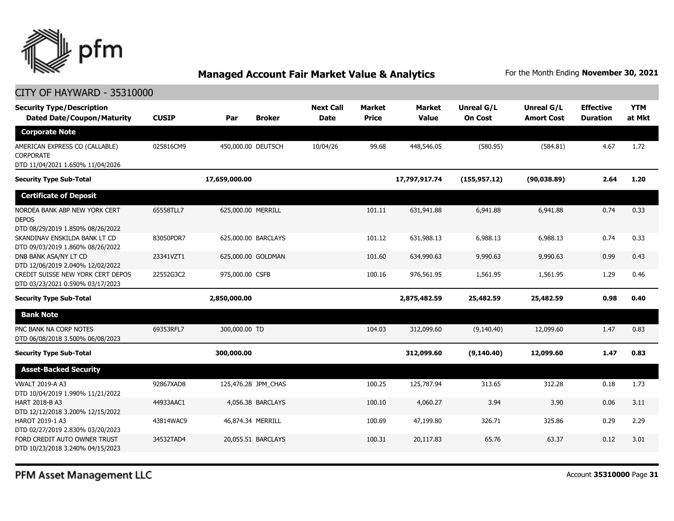

| CITY OF HAYWARD - 35310000                                                        |              |                      |                                 |                               |                               |                              |                                 |                                     |                      |  |
|-----------------------------------------------------------------------------------|--------------|----------------------|---------------------------------|-------------------------------|-------------------------------|------------------------------|---------------------------------|-------------------------------------|----------------------|--|
| <b>Security Type/Description</b><br><b>Dated Date/Coupon/Maturity</b>             | <b>CUSIP</b> | <b>Broker</b><br>Par | <b>Next Call</b><br><b>Date</b> | <b>Market</b><br><b>Price</b> | <b>Market</b><br><b>Value</b> | Unreal G/L<br><b>On Cost</b> | Unreal G/L<br><b>Amort Cost</b> | <b>Effective</b><br><b>Duration</b> | <b>YTM</b><br>at Mkt |  |
| <b>Corporate Note</b>                                                             |              |                      |                                 |                               |                               |                              |                                 |                                     |                      |  |
| AMERICAN EXPRESS CO (CALLABLE)<br>CORPORATE<br>DTD 11/04/2021 1.650% 11/04/2026   | 025816CM9    | 450,000.00 DEUTSCH   | 10/04/26                        | 99.68                         | 448,546.05                    | (580.95)                     | (584.81)                        | 4.67                                | 1.72                 |  |
| <b>Security Type Sub-Total</b>                                                    |              | 17,659,000.00        |                                 |                               | 17,797,917.74                 | (155, 957.12)                | (90, 038.89)                    | 2.64                                | 1.20                 |  |
| <b>Certificate of Deposit</b>                                                     |              |                      |                                 |                               |                               |                              |                                 |                                     |                      |  |
| NORDEA BANK ABP NEW YORK CERT<br><b>DEPOS</b><br>DTD 08/29/2019 1.850% 08/26/2022 | 65558TLL7    | 625,000.00 MERRILL   |                                 | 101.11                        | 631,941.88                    | 6,941.88                     | 6,941,88                        | 0.74                                | 0.33                 |  |
| SKANDINAV ENSKILDA BANK LT CD<br>DTD 09/03/2019 1.860% 08/26/2022                 | 83050PDR7    | 625,000.00 BARCLAYS  |                                 | 101.12                        | 631,988.13                    | 6,988.13                     | 6,988.13                        | 0.74                                | 0.33                 |  |
| DNB BANK ASA/NY LT CD<br>DTD 12/06/2019 2.040% 12/02/2022                         | 23341VZT1    | 625,000.00 GOLDMAN   |                                 | 101.60                        | 634,990.63                    | 9,990.63                     | 9,990.63                        | 0.99                                | 0.43                 |  |
| CREDIT SUISSE NEW YORK CERT DEPOS<br>DTD 03/23/2021 0.590% 03/17/2023             | 22552G3C2    | 975,000.00 CSFB      |                                 | 100.16                        | 976,561.95                    | 1,561.95                     | 1,561.95                        | 1.29                                | 0.46                 |  |
| <b>Security Type Sub-Total</b>                                                    |              | 2,850,000.00         |                                 |                               | 2,875,482.59                  | 25,482.59                    | 25,482.59                       | 0.98                                | 0.40                 |  |
| <b>Bank Note</b>                                                                  |              |                      |                                 |                               |                               |                              |                                 |                                     |                      |  |
| PNC BANK NA CORP NOTES<br>DTD 06/08/2018 3.500% 06/08/2023                        | 69353RFL7    | 300,000.00 TD        |                                 | 104.03                        | 312,099.60                    | (9,140.40)                   | 12,099.60                       | 1.47                                | 0.83                 |  |
| <b>Security Type Sub-Total</b>                                                    |              | 300,000.00           |                                 |                               | 312,099.60                    | (9, 140.40)                  | 12,099.60                       | 1.47                                | 0.83                 |  |
| <b>Asset-Backed Security</b>                                                      |              |                      |                                 |                               |                               |                              |                                 |                                     |                      |  |
| <b>VWALT 2019-A A3</b><br>DTD 10/04/2019 1.990% 11/21/2022                        | 92867XAD8    | 125,476.28 JPM_CHAS  |                                 | 100.25                        | 125,787.94                    | 313.65                       | 312.28                          | 0.18                                | 1.73                 |  |
| HART 2018-B A3<br>DTD 12/12/2018 3.200% 12/15/2022                                | 44933AAC1    | 4,056.38 BARCLAYS    |                                 | 100.10                        | 4,060.27                      | 3.94                         | 3.90                            | 0.06                                | 3.11                 |  |
| HAROT 2019-1 A3<br>DTD 02/27/2019 2.830% 03/20/2023                               | 43814WAC9    | 46,874.34 MERRILL    |                                 | 100.69                        | 47,199.80                     | 326.71                       | 325.86                          | 0.29                                | 2.29                 |  |
| FORD CREDIT AUTO OWNER TRUST<br>DTD 10/23/2018 3.240% 04/15/2023                  | 34532TAD4    | 20.055.51 BARCLAYS   |                                 | 100.31                        | 20,117.83                     | 65.76                        | 63.37                           | 0.12                                | 3.01                 |  |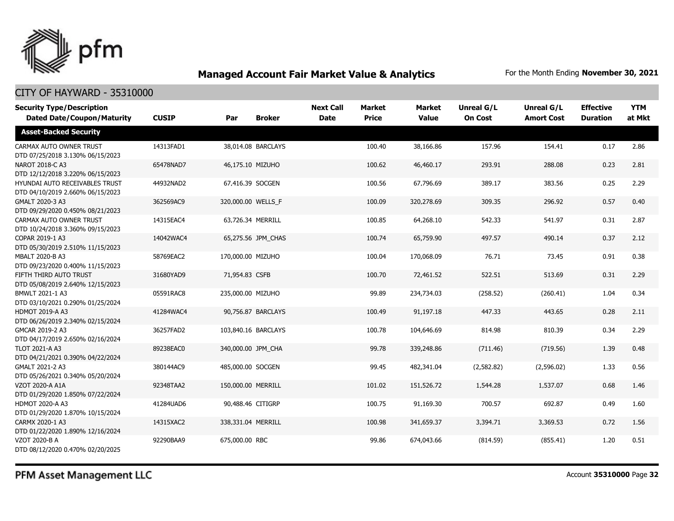

| <b>Security Type/Description</b><br><b>Dated Date/Coupon/Maturity</b> | <b>CUSIP</b> | Par                | <b>Broker</b>       | <b>Next Call</b><br><b>Date</b> | <b>Market</b><br><b>Price</b> | <b>Market</b><br><b>Value</b> | <b>Unreal G/L</b><br><b>On Cost</b> | Unreal G/L<br><b>Amort Cost</b> | <b>Effective</b><br><b>Duration</b> | <b>YTM</b><br>at Mkt |
|-----------------------------------------------------------------------|--------------|--------------------|---------------------|---------------------------------|-------------------------------|-------------------------------|-------------------------------------|---------------------------------|-------------------------------------|----------------------|
| <b>Asset-Backed Security</b>                                          |              |                    |                     |                                 |                               |                               |                                     |                                 |                                     |                      |
| CARMAX AUTO OWNER TRUST<br>DTD 07/25/2018 3.130% 06/15/2023           | 14313FAD1    |                    | 38,014.08 BARCLAYS  |                                 | 100.40                        | 38,166.86                     | 157.96                              | 154.41                          | 0.17                                | 2.86                 |
| NAROT 2018-C A3<br>DTD 12/12/2018 3.220% 06/15/2023                   | 65478NAD7    | 46,175.10 MIZUHO   |                     |                                 | 100.62                        | 46,460.17                     | 293.91                              | 288.08                          | 0.23                                | 2.81                 |
| HYUNDAI AUTO RECEIVABLES TRUST<br>DTD 04/10/2019 2.660% 06/15/2023    | 44932NAD2    | 67,416.39 SOCGEN   |                     |                                 | 100.56                        | 67,796.69                     | 389.17                              | 383.56                          | 0.25                                | 2.29                 |
| GMALT 2020-3 A3<br>DTD 09/29/2020 0.450% 08/21/2023                   | 362569AC9    | 320,000.00 WELLS_F |                     |                                 | 100.09                        | 320,278.69                    | 309.35                              | 296.92                          | 0.57                                | 0.40                 |
| CARMAX AUTO OWNER TRUST<br>DTD 10/24/2018 3.360% 09/15/2023           | 14315EAC4    | 63,726.34 MERRILL  |                     |                                 | 100.85                        | 64,268.10                     | 542.33                              | 541.97                          | 0.31                                | 2.87                 |
| COPAR 2019-1 A3<br>DTD 05/30/2019 2.510% 11/15/2023                   | 14042WAC4    |                    | 65,275.56 JPM_CHAS  |                                 | 100.74                        | 65,759.90                     | 497.57                              | 490.14                          | 0.37                                | 2.12                 |
| MBALT 2020-B A3<br>DTD 09/23/2020 0.400% 11/15/2023                   | 58769EAC2    | 170,000.00 MIZUHO  |                     |                                 | 100.04                        | 170,068.09                    | 76.71                               | 73.45                           | 0.91                                | 0.38                 |
| FIFTH THIRD AUTO TRUST<br>DTD 05/08/2019 2.640% 12/15/2023            | 31680YAD9    | 71,954.83 CSFB     |                     |                                 | 100.70                        | 72,461.52                     | 522.51                              | 513.69                          | 0.31                                | 2.29                 |
| BMWLT 2021-1 A3<br>DTD 03/10/2021 0.290% 01/25/2024                   | 05591RAC8    | 235,000.00 MIZUHO  |                     |                                 | 99.89                         | 234,734.03                    | (258.52)                            | (260.41)                        | 1.04                                | 0.34                 |
| <b>HDMOT 2019-A A3</b><br>DTD 06/26/2019 2.340% 02/15/2024            | 41284WAC4    |                    | 90,756.87 BARCLAYS  |                                 | 100.49                        | 91,197.18                     | 447.33                              | 443.65                          | 0.28                                | 2.11                 |
| GMCAR 2019-2 A3<br>DTD 04/17/2019 2.650% 02/16/2024                   | 36257FAD2    |                    | 103,840.16 BARCLAYS |                                 | 100.78                        | 104,646.69                    | 814.98                              | 810.39                          | 0.34                                | 2.29                 |
| <b>TLOT 2021-A A3</b><br>DTD 04/21/2021 0.390% 04/22/2024             | 89238EAC0    | 340,000.00 JPM CHA |                     |                                 | 99.78                         | 339,248.86                    | (711.46)                            | (719.56)                        | 1.39                                | 0.48                 |
| GMALT 2021-2 A3<br>DTD 05/26/2021 0.340% 05/20/2024                   | 380144AC9    | 485,000.00 SOCGEN  |                     |                                 | 99.45                         | 482,341.04                    | (2,582.82)                          | (2,596.02)                      | 1.33                                | 0.56                 |
| <b>VZOT 2020-A A1A</b><br>DTD 01/29/2020 1.850% 07/22/2024            | 92348TAA2    | 150,000.00 MERRILL |                     |                                 | 101.02                        | 151,526.72                    | 1,544.28                            | 1,537.07                        | 0.68                                | 1.46                 |
| <b>HDMOT 2020-A A3</b><br>DTD 01/29/2020 1.870% 10/15/2024            | 41284UAD6    | 90,488.46 CITIGRP  |                     |                                 | 100.75                        | 91,169.30                     | 700.57                              | 692.87                          | 0.49                                | 1.60                 |
| CARMX 2020-1 A3<br>DTD 01/22/2020 1.890% 12/16/2024                   | 14315XAC2    | 338,331.04 MERRILL |                     |                                 | 100.98                        | 341,659.37                    | 3,394.71                            | 3,369.53                        | 0.72                                | 1.56                 |
| VZOT 2020-B A<br>DTD 08/12/2020 0.470% 02/20/2025                     | 92290BAA9    | 675,000.00 RBC     |                     |                                 | 99.86                         | 674,043.66                    | (814.59)                            | (855.41)                        | 1.20                                | 0.51                 |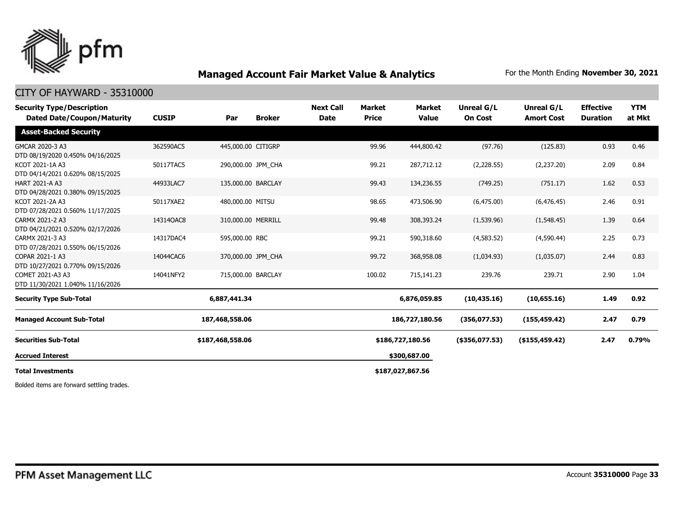

#### CITY OF HAYWARD - 35310000

| <b>Security Type/Description</b><br><b>Dated Date/Coupon/Maturity</b> | <b>CUSIP</b> | Par                | <b>Broker</b> | <b>Next Call</b><br><b>Date</b> | Market<br><b>Price</b> | <b>Market</b><br><b>Value</b> | Unreal G/L<br><b>On Cost</b> | Unreal G/L<br><b>Amort Cost</b> | <b>Effective</b><br><b>Duration</b> | <b>YTM</b><br>at Mkt |
|-----------------------------------------------------------------------|--------------|--------------------|---------------|---------------------------------|------------------------|-------------------------------|------------------------------|---------------------------------|-------------------------------------|----------------------|
| <b>Asset-Backed Security</b>                                          |              |                    |               |                                 |                        |                               |                              |                                 |                                     |                      |
| GMCAR 2020-3 A3<br>DTD 08/19/2020 0.450% 04/16/2025                   | 362590AC5    | 445,000.00 CITIGRP |               |                                 | 99.96                  | 444,800.42                    | (97.76)                      | (125.83)                        | 0.93                                | 0.46                 |
| KCOT 2021-1A A3<br>DTD 04/14/2021 0.620% 08/15/2025                   | 50117TAC5    | 290,000.00 JPM CHA |               |                                 | 99.21                  | 287,712.12                    | (2,228.55)                   | (2,237.20)                      | 2.09                                | 0.84                 |
| <b>HART 2021-A A3</b><br>DTD 04/28/2021 0.380% 09/15/2025             | 44933LAC7    | 135,000.00 BARCLAY |               |                                 | 99.43                  | 134,236.55                    | (749.25)                     | (751.17)                        | 1.62                                | 0.53                 |
| KCOT 2021-2A A3<br>DTD 07/28/2021 0.560% 11/17/2025                   | 50117XAE2    | 480,000.00 MITSU   |               |                                 | 98.65                  | 473,506.90                    | (6, 475.00)                  | (6, 476.45)                     | 2.46                                | 0.91                 |
| CARMX 2021-2 A3<br>DTD 04/21/2021 0.520% 02/17/2026                   | 14314QAC8    | 310,000.00 MERRILL |               |                                 | 99.48                  | 308,393.24                    | (1,539.96)                   | (1,548.45)                      | 1.39                                | 0.64                 |
| CARMX 2021-3 A3<br>DTD 07/28/2021 0.550% 06/15/2026                   | 14317DAC4    | 595,000.00 RBC     |               |                                 | 99.21                  | 590,318.60                    | (4,583.52)                   | (4,590.44)                      | 2.25                                | 0.73                 |
| COPAR 2021-1 A3<br>DTD 10/27/2021 0.770% 09/15/2026                   | 14044CAC6    | 370,000.00 JPM CHA |               |                                 | 99.72                  | 368,958.08                    | (1,034.93)                   | (1,035.07)                      | 2.44                                | 0.83                 |
| COMET 2021-A3 A3<br>DTD 11/30/2021 1.040% 11/16/2026                  | 14041NFY2    | 715,000.00 BARCLAY |               |                                 | 100.02                 | 715,141.23                    | 239.76                       | 239.71                          | 2.90                                | 1.04                 |
| <b>Security Type Sub-Total</b>                                        |              | 6,887,441.34       |               |                                 |                        | 6,876,059.85                  | (10, 435.16)                 | (10,655.16)                     | 1.49                                | 0.92                 |
| <b>Managed Account Sub-Total</b>                                      |              | 187,468,558.06     |               |                                 |                        | 186,727,180.56                | (356,077.53)                 | (155, 459.42)                   | 2.47                                | 0.79                 |
| <b>Securities Sub-Total</b>                                           |              | \$187,468,558.06   |               |                                 |                        | \$186,727,180.56              | $($ \$356,077.53)            | $($ \$155,459.42)               | 2.47                                | 0.79%                |
| <b>Accrued Interest</b>                                               |              |                    |               |                                 |                        | \$300,687.00                  |                              |                                 |                                     |                      |
| <b>Total Investments</b>                                              |              |                    |               |                                 |                        | \$187,027,867.56              |                              |                                 |                                     |                      |

Bolded items are forward settling trades.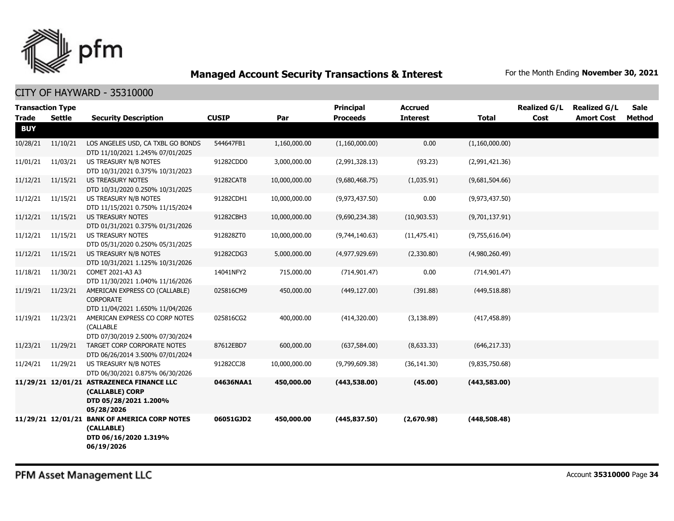

| <b>Transaction Type</b><br><b>Trade</b> | <b>Settle</b> | <b>Security Description</b>                                                                         | <b>CUSIP</b> | Par           | <b>Principal</b><br><b>Proceeds</b> | <b>Accrued</b><br><b>Interest</b> | <b>Total</b>   | <b>Realized G/L</b><br>Cost | <b>Realized G/L</b><br><b>Amort Cost</b> | <b>Sale</b><br>Method |
|-----------------------------------------|---------------|-----------------------------------------------------------------------------------------------------|--------------|---------------|-------------------------------------|-----------------------------------|----------------|-----------------------------|------------------------------------------|-----------------------|
| <b>BUY</b>                              |               |                                                                                                     |              |               |                                     |                                   |                |                             |                                          |                       |
| 10/28/21                                | 11/10/21      | LOS ANGELES USD, CA TXBL GO BONDS<br>DTD 11/10/2021 1.245% 07/01/2025                               | 544647FB1    | 1,160,000.00  | (1,160,000.00)                      | 0.00                              | (1,160,000.00) |                             |                                          |                       |
| 11/01/21                                | 11/03/21      | US TREASURY N/B NOTES<br>DTD 10/31/2021 0.375% 10/31/2023                                           | 91282CDD0    | 3,000,000.00  | (2,991,328.13)                      | (93.23)                           | (2,991,421.36) |                             |                                          |                       |
| 11/12/21                                | 11/15/21      | <b>US TREASURY NOTES</b><br>DTD 10/31/2020 0.250% 10/31/2025                                        | 91282CAT8    | 10,000,000.00 | (9,680,468.75)                      | (1,035.91)                        | (9,681,504.66) |                             |                                          |                       |
| 11/12/21                                | 11/15/21      | US TREASURY N/B NOTES<br>DTD 11/15/2021 0.750% 11/15/2024                                           | 91282CDH1    | 10,000,000.00 | (9,973,437.50)                      | 0.00                              | (9,973,437.50) |                             |                                          |                       |
| 11/12/21                                | 11/15/21      | <b>US TREASURY NOTES</b><br>DTD 01/31/2021 0.375% 01/31/2026                                        | 91282CBH3    | 10,000,000.00 | (9,690,234.38)                      | (10,903.53)                       | (9,701,137.91) |                             |                                          |                       |
| 11/12/21                                | 11/15/21      | US TREASURY NOTES<br>DTD 05/31/2020 0.250% 05/31/2025                                               | 912828ZT0    | 10,000,000.00 | (9,744,140.63)                      | (11, 475.41)                      | (9,755,616.04) |                             |                                          |                       |
| 11/12/21                                | 11/15/21      | US TREASURY N/B NOTES<br>DTD 10/31/2021 1.125% 10/31/2026                                           | 91282CDG3    | 5,000,000.00  | (4,977,929.69)                      | (2,330.80)                        | (4,980,260.49) |                             |                                          |                       |
| 11/18/21                                | 11/30/21      | COMET 2021-A3 A3<br>DTD 11/30/2021 1.040% 11/16/2026                                                | 14041NFY2    | 715,000.00    | (714, 901.47)                       | 0.00                              | (714, 901.47)  |                             |                                          |                       |
| 11/19/21                                | 11/23/21      | AMERICAN EXPRESS CO (CALLABLE)<br><b>CORPORATE</b><br>DTD 11/04/2021 1.650% 11/04/2026              | 025816CM9    | 450,000.00    | (449, 127.00)                       | (391.88)                          | (449, 518.88)  |                             |                                          |                       |
| 11/19/21                                | 11/23/21      | AMERICAN EXPRESS CO CORP NOTES<br>(CALLABLE<br>DTD 07/30/2019 2.500% 07/30/2024                     | 025816CG2    | 400,000.00    | (414,320.00)                        | (3, 138.89)                       | (417, 458.89)  |                             |                                          |                       |
| 11/23/21                                | 11/29/21      | TARGET CORP CORPORATE NOTES<br>DTD 06/26/2014 3.500% 07/01/2024                                     | 87612EBD7    | 600,000.00    | (637, 584.00)                       | (8,633.33)                        | (646, 217.33)  |                             |                                          |                       |
| 11/24/21                                | 11/29/21      | US TREASURY N/B NOTES<br>DTD 06/30/2021 0.875% 06/30/2026                                           | 91282CCJ8    | 10,000,000.00 | (9,799,609.38)                      | (36, 141.30)                      | (9,835,750.68) |                             |                                          |                       |
|                                         |               | 11/29/21 12/01/21 ASTRAZENECA FINANCE LLC<br>(CALLABLE) CORP<br>DTD 05/28/2021 1.200%<br>05/28/2026 | 04636NAA1    | 450,000.00    | (443,538.00)                        | (45.00)                           | (443,583.00)   |                             |                                          |                       |
|                                         |               | 11/29/21 12/01/21 BANK OF AMERICA CORP NOTES<br>(CALLABLE)<br>DTD 06/16/2020 1.319%<br>06/19/2026   | 06051GJD2    | 450,000.00    | (445, 837.50)                       | (2,670.98)                        | (448,508.48)   |                             |                                          |                       |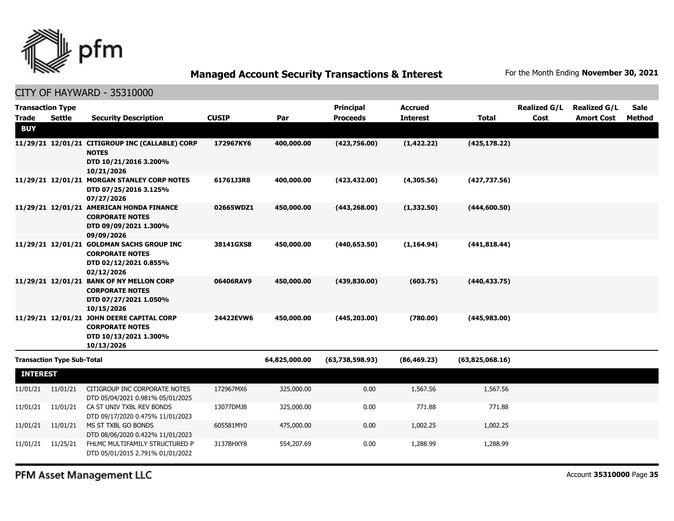

#### CITY OF HAYWARD - 35310000

| <b>Transaction Type</b> |                                   |                                                                    |              |               | <b>Principal</b> | <b>Accrued</b>  |                 | <b>Realized G/L</b> | <b>Realized G/L</b> | Sale          |
|-------------------------|-----------------------------------|--------------------------------------------------------------------|--------------|---------------|------------------|-----------------|-----------------|---------------------|---------------------|---------------|
| <b>Trade</b>            | <b>Settle</b>                     | <b>Security Description</b>                                        | <b>CUSIP</b> | Par           | <b>Proceeds</b>  | <b>Interest</b> | <b>Total</b>    | Cost                | <b>Amort Cost</b>   | <b>Method</b> |
| <b>BUY</b>              |                                   |                                                                    |              |               |                  |                 |                 |                     |                     |               |
|                         |                                   | 11/29/21 12/01/21 CITIGROUP INC (CALLABLE) CORP                    | 172967KY6    | 400,000.00    | (423,756.00)     | (1, 422.22)     | (425, 178.22)   |                     |                     |               |
|                         |                                   | <b>NOTES</b><br>DTD 10/21/2016 3.200%                              |              |               |                  |                 |                 |                     |                     |               |
|                         |                                   | 10/21/2026                                                         |              |               |                  |                 |                 |                     |                     |               |
|                         |                                   | 11/29/21 12/01/21 MORGAN STANLEY CORP NOTES                        | 61761J3R8    | 400,000.00    | (423, 432.00)    | (4,305.56)      | (427, 737.56)   |                     |                     |               |
|                         |                                   | DTD 07/25/2016 3.125%<br>07/27/2026                                |              |               |                  |                 |                 |                     |                     |               |
|                         |                                   | 11/29/21 12/01/21 AMERICAN HONDA FINANCE                           | 02665WDZ1    | 450,000.00    | (443, 268.00)    | (1,332.50)      | (444, 600.50)   |                     |                     |               |
|                         |                                   | <b>CORPORATE NOTES</b>                                             |              |               |                  |                 |                 |                     |                     |               |
|                         |                                   | DTD 09/09/2021 1.300%                                              |              |               |                  |                 |                 |                     |                     |               |
|                         |                                   | 09/09/2026<br>11/29/21 12/01/21 GOLDMAN SACHS GROUP INC            | 38141GXS8    | 450,000.00    | (440, 653.50)    | (1, 164.94)     | (441, 818.44)   |                     |                     |               |
|                         |                                   | <b>CORPORATE NOTES</b>                                             |              |               |                  |                 |                 |                     |                     |               |
|                         |                                   | DTD 02/12/2021 0.855%                                              |              |               |                  |                 |                 |                     |                     |               |
|                         |                                   | 02/12/2026<br>11/29/21 12/01/21 BANK OF NY MELLON CORP             | 06406RAV9    | 450,000.00    | (439, 830.00)    | (603.75)        | (440, 433.75)   |                     |                     |               |
|                         |                                   | <b>CORPORATE NOTES</b>                                             |              |               |                  |                 |                 |                     |                     |               |
|                         |                                   | DTD 07/27/2021 1.050%                                              |              |               |                  |                 |                 |                     |                     |               |
|                         |                                   | 10/15/2026<br>11/29/21 12/01/21 JOHN DEERE CAPITAL CORP            | 24422EVW6    | 450,000.00    | (445, 203.00)    | (780.00)        | (445, 983.00)   |                     |                     |               |
|                         |                                   | <b>CORPORATE NOTES</b>                                             |              |               |                  |                 |                 |                     |                     |               |
|                         |                                   | DTD 10/13/2021 1.300%                                              |              |               |                  |                 |                 |                     |                     |               |
|                         |                                   | 10/13/2026                                                         |              |               |                  |                 |                 |                     |                     |               |
|                         | <b>Transaction Type Sub-Total</b> |                                                                    |              | 64,825,000.00 | (63,738,598.93)  | (86, 469.23)    | (63,825,068.16) |                     |                     |               |
| <b>INTEREST</b>         |                                   |                                                                    |              |               |                  |                 |                 |                     |                     |               |
| 11/01/21                | 11/01/21                          | CITIGROUP INC CORPORATE NOTES                                      | 172967MX6    | 325,000.00    | 0.00             | 1,567.56        | 1,567.56        |                     |                     |               |
| 11/01/21                | 11/01/21                          | DTD 05/04/2021 0.981% 05/01/2025<br>CA ST UNIV TXBL REV BONDS      | 13077DMJ8    | 325,000.00    | 0.00             | 771.88          | 771.88          |                     |                     |               |
|                         |                                   | DTD 09/17/2020 0.475% 11/01/2023                                   |              |               |                  |                 |                 |                     |                     |               |
| 11/01/21                | 11/01/21                          | MS ST TXBL GO BONDS                                                | 605581MY0    | 475,000.00    | 0.00             | 1,002.25        | 1,002.25        |                     |                     |               |
|                         |                                   | DTD 08/06/2020 0.422% 11/01/2023                                   |              |               |                  |                 |                 |                     |                     |               |
| 11/01/21                | 11/25/21                          | FHLMC MULTIFAMILY STRUCTURED P<br>DTD 05/01/2015 2.791% 01/01/2022 | 3137BHXY8    | 554,207.69    | 0.00             | 1,288.99        | 1,288.99        |                     |                     |               |
|                         |                                   |                                                                    |              |               |                  |                 |                 |                     |                     |               |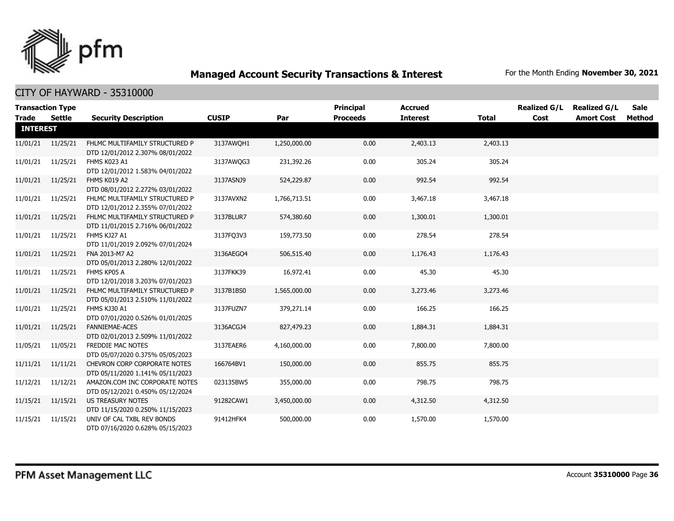

|                 | <b>Transaction Type</b> |                                                                         |              |              | <b>Principal</b> | <b>Accrued</b>  |              | <b>Realized G/L</b> | <b>Realized G/L</b> | Sale   |
|-----------------|-------------------------|-------------------------------------------------------------------------|--------------|--------------|------------------|-----------------|--------------|---------------------|---------------------|--------|
| <b>Trade</b>    | <b>Settle</b>           | <b>Security Description</b>                                             | <b>CUSIP</b> | Par          | <b>Proceeds</b>  | <b>Interest</b> | <b>Total</b> | Cost                | <b>Amort Cost</b>   | Method |
| <b>INTEREST</b> |                         |                                                                         |              |              |                  |                 |              |                     |                     |        |
|                 | 11/01/21 11/25/21       | FHLMC MULTIFAMILY STRUCTURED P<br>DTD 12/01/2012 2.307% 08/01/2022      | 3137AWOH1    | 1,250,000.00 | 0.00             | 2,403.13        | 2,403.13     |                     |                     |        |
|                 | 11/01/21 11/25/21       | FHMS K023 A1<br>DTD 12/01/2012 1.583% 04/01/2022                        | 3137AWQG3    | 231,392.26   | 0.00             | 305.24          | 305.24       |                     |                     |        |
|                 | 11/01/21 11/25/21       | FHMS K019 A2<br>DTD 08/01/2012 2.272% 03/01/2022                        | 3137ASNJ9    | 524,229.87   | 0.00             | 992.54          | 992.54       |                     |                     |        |
|                 | 11/01/21 11/25/21       | FHLMC MULTIFAMILY STRUCTURED P<br>DTD 12/01/2012 2.355% 07/01/2022      | 3137AVXN2    | 1,766,713.51 | 0.00             | 3,467.18        | 3,467.18     |                     |                     |        |
| 11/01/21        | 11/25/21                | FHLMC MULTIFAMILY STRUCTURED P<br>DTD 11/01/2015 2.716% 06/01/2022      | 3137BLUR7    | 574,380.60   | 0.00             | 1,300.01        | 1,300.01     |                     |                     |        |
|                 | 11/01/21 11/25/21       | FHMS KJ27 A1<br>DTD 11/01/2019 2.092% 07/01/2024                        | 3137FQ3V3    | 159,773.50   | 0.00             | 278.54          | 278.54       |                     |                     |        |
| 11/01/21        | 11/25/21                | FNA 2013-M7 A2<br>DTD 05/01/2013 2.280% 12/01/2022                      | 3136AEGO4    | 506,515.40   | 0.00             | 1,176.43        | 1,176.43     |                     |                     |        |
| 11/01/21        | 11/25/21                | FHMS KP05 A<br>DTD 12/01/2018 3.203% 07/01/2023                         | 3137FKK39    | 16,972.41    | 0.00             | 45.30           | 45.30        |                     |                     |        |
|                 | 11/01/21 11/25/21       | FHLMC MULTIFAMILY STRUCTURED P<br>DTD 05/01/2013 2.510% 11/01/2022      | 3137B1BS0    | 1,565,000.00 | 0.00             | 3,273.46        | 3,273.46     |                     |                     |        |
| 11/01/21        | 11/25/21                | FHMS KJ30 A1<br>DTD 07/01/2020 0.526% 01/01/2025                        | 3137FUZN7    | 379,271.14   | 0.00             | 166.25          | 166.25       |                     |                     |        |
|                 | 11/01/21 11/25/21       | <b>FANNIEMAE-ACES</b><br>DTD 02/01/2013 2.509% 11/01/2022               | 3136ACGJ4    | 827,479.23   | 0.00             | 1,884.31        | 1,884.31     |                     |                     |        |
| 11/05/21        | 11/05/21                | FREDDIE MAC NOTES<br>DTD 05/07/2020 0.375% 05/05/2023                   | 3137EAER6    | 4,160,000.00 | 0.00             | 7,800.00        | 7,800.00     |                     |                     |        |
|                 | 11/11/21 11/11/21       | <b>CHEVRON CORP CORPORATE NOTES</b><br>DTD 05/11/2020 1.141% 05/11/2023 | 166764BV1    | 150,000.00   | 0.00             | 855.75          | 855.75       |                     |                     |        |
| 11/12/21        | 11/12/21                | AMAZON.COM INC CORPORATE NOTES<br>DTD 05/12/2021 0.450% 05/12/2024      | 023135BW5    | 355,000.00   | 0.00             | 798.75          | 798.75       |                     |                     |        |
|                 | 11/15/21  11/15/21      | US TREASURY NOTES<br>DTD 11/15/2020 0.250% 11/15/2023                   | 91282CAW1    | 3,450,000.00 | 0.00             | 4,312.50        | 4,312.50     |                     |                     |        |
|                 | 11/15/21 11/15/21       | UNIV OF CAL TXBL REV BONDS<br>DTD 07/16/2020 0.628% 05/15/2023          | 91412HFK4    | 500,000.00   | 0.00             | 1,570.00        | 1,570.00     |                     |                     |        |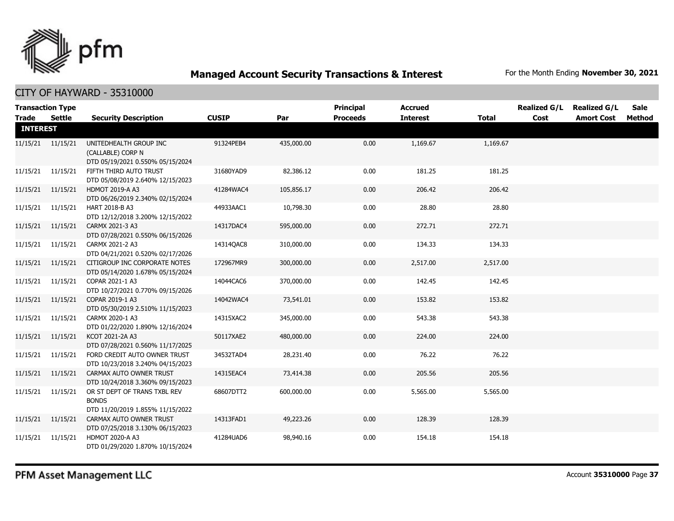

CITY OF HAYWARD - 35310000

|                 | <b>Transaction Type</b> |                                                                                  |              |            | Principal       | <b>Accrued</b>  |              | <b>Realized G/L</b> | <b>Realized G/L</b> | Sale   |
|-----------------|-------------------------|----------------------------------------------------------------------------------|--------------|------------|-----------------|-----------------|--------------|---------------------|---------------------|--------|
| Trade Settle    |                         | <b>Security Description</b>                                                      | <b>CUSIP</b> | Par        | <b>Proceeds</b> | <b>Interest</b> | <b>Total</b> | Cost                | <b>Amort Cost</b>   | Method |
| <b>INTEREST</b> |                         |                                                                                  |              |            |                 |                 |              |                     |                     |        |
|                 | 11/15/21 11/15/21       | UNITEDHEALTH GROUP INC<br>(CALLABLE) CORP N<br>DTD 05/19/2021 0.550% 05/15/2024  | 91324PEB4    | 435,000.00 | 0.00            | 1,169.67        | 1,169.67     |                     |                     |        |
| 11/15/21        | 11/15/21                | FIFTH THIRD AUTO TRUST<br>DTD 05/08/2019 2.640% 12/15/2023                       | 31680YAD9    | 82,386.12  | 0.00            | 181.25          | 181.25       |                     |                     |        |
|                 | 11/15/21 11/15/21       | <b>HDMOT 2019-A A3</b><br>DTD 06/26/2019 2.340% 02/15/2024                       | 41284WAC4    | 105,856.17 | 0.00            | 206.42          | 206.42       |                     |                     |        |
|                 | 11/15/21  11/15/21      | HART 2018-B A3<br>DTD 12/12/2018 3.200% 12/15/2022                               | 44933AAC1    | 10,798.30  | 0.00            | 28.80           | 28.80        |                     |                     |        |
|                 | 11/15/21 11/15/21       | CARMX 2021-3 A3<br>DTD 07/28/2021 0.550% 06/15/2026                              | 14317DAC4    | 595,000.00 | 0.00            | 272.71          | 272.71       |                     |                     |        |
|                 | 11/15/21 11/15/21       | CARMX 2021-2 A3<br>DTD 04/21/2021 0.520% 02/17/2026                              | 14314QAC8    | 310,000.00 | 0.00            | 134.33          | 134.33       |                     |                     |        |
|                 | 11/15/21  11/15/21      | CITIGROUP INC CORPORATE NOTES<br>DTD 05/14/2020 1.678% 05/15/2024                | 172967MR9    | 300,000.00 | 0.00            | 2,517.00        | 2,517.00     |                     |                     |        |
|                 | 11/15/21 11/15/21       | COPAR 2021-1 A3<br>DTD 10/27/2021 0.770% 09/15/2026                              | 14044CAC6    | 370,000.00 | 0.00            | 142.45          | 142.45       |                     |                     |        |
|                 | 11/15/21 11/15/21       | COPAR 2019-1 A3<br>DTD 05/30/2019 2.510% 11/15/2023                              | 14042WAC4    | 73,541.01  | 0.00            | 153.82          | 153.82       |                     |                     |        |
| 11/15/21        | 11/15/21                | CARMX 2020-1 A3<br>DTD 01/22/2020 1.890% 12/16/2024                              | 14315XAC2    | 345,000.00 | 0.00            | 543.38          | 543.38       |                     |                     |        |
|                 | 11/15/21  11/15/21      | KCOT 2021-2A A3<br>DTD 07/28/2021 0.560% 11/17/2025                              | 50117XAE2    | 480,000.00 | 0.00            | 224.00          | 224.00       |                     |                     |        |
|                 | 11/15/21 11/15/21       | FORD CREDIT AUTO OWNER TRUST<br>DTD 10/23/2018 3.240% 04/15/2023                 | 34532TAD4    | 28,231.40  | 0.00            | 76.22           | 76.22        |                     |                     |        |
|                 | 11/15/21 11/15/21       | CARMAX AUTO OWNER TRUST<br>DTD 10/24/2018 3.360% 09/15/2023                      | 14315EAC4    | 73,414.38  | 0.00            | 205.56          | 205.56       |                     |                     |        |
|                 | 11/15/21  11/15/21      | OR ST DEPT OF TRANS TXBL REV<br><b>BONDS</b><br>DTD 11/20/2019 1.855% 11/15/2022 | 68607DTT2    | 600,000.00 | 0.00            | 5,565.00        | 5,565.00     |                     |                     |        |
|                 | 11/15/21 11/15/21       | CARMAX AUTO OWNER TRUST<br>DTD 07/25/2018 3.130% 06/15/2023                      | 14313FAD1    | 49,223.26  | 0.00            | 128.39          | 128.39       |                     |                     |        |
| 11/15/21        | 11/15/21                | HDMOT 2020-A A3<br>DTD 01/29/2020 1.870% 10/15/2024                              | 41284UAD6    | 98,940.16  | 0.00            | 154.18          | 154.18       |                     |                     |        |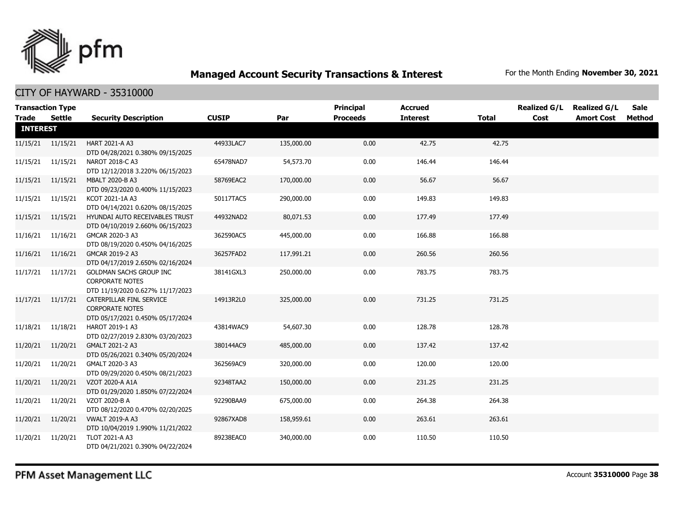

| Trade Settle    | <b>Transaction Type</b> | <b>Security Description</b>                                                                  | <b>CUSIP</b> | Par        | Principal<br><b>Proceeds</b> | <b>Accrued</b><br><b>Interest</b> | <b>Total</b> | <b>Realized G/L</b><br>Cost | <b>Realized G/L</b><br><b>Amort Cost</b> | <b>Sale</b><br>Method |
|-----------------|-------------------------|----------------------------------------------------------------------------------------------|--------------|------------|------------------------------|-----------------------------------|--------------|-----------------------------|------------------------------------------|-----------------------|
| <b>INTEREST</b> |                         |                                                                                              |              |            |                              |                                   |              |                             |                                          |                       |
|                 | 11/15/21 11/15/21       | <b>HART 2021-A A3</b><br>DTD 04/28/2021 0.380% 09/15/2025                                    | 44933LAC7    | 135,000.00 | 0.00                         | 42.75                             | 42.75        |                             |                                          |                       |
|                 | 11/15/21 11/15/21       | NAROT 2018-C A3<br>DTD 12/12/2018 3.220% 06/15/2023                                          | 65478NAD7    | 54,573.70  | 0.00                         | 146.44                            | 146.44       |                             |                                          |                       |
|                 | 11/15/21  11/15/21      | <b>MBALT 2020-B A3</b><br>DTD 09/23/2020 0.400% 11/15/2023                                   | 58769EAC2    | 170,000.00 | 0.00                         | 56.67                             | 56.67        |                             |                                          |                       |
|                 | 11/15/21 11/15/21       | KCOT 2021-1A A3<br>DTD 04/14/2021 0.620% 08/15/2025                                          | 50117TAC5    | 290,000.00 | 0.00                         | 149.83                            | 149.83       |                             |                                          |                       |
|                 | 11/15/21  11/15/21      | HYUNDAI AUTO RECEIVABLES TRUST<br>DTD 04/10/2019 2.660% 06/15/2023                           | 44932NAD2    | 80,071.53  | 0.00                         | 177.49                            | 177.49       |                             |                                          |                       |
|                 | 11/16/21 11/16/21       | GMCAR 2020-3 A3<br>DTD 08/19/2020 0.450% 04/16/2025                                          | 362590AC5    | 445,000.00 | 0.00                         | 166.88                            | 166.88       |                             |                                          |                       |
|                 | 11/16/21 11/16/21       | GMCAR 2019-2 A3<br>DTD 04/17/2019 2.650% 02/16/2024                                          | 36257FAD2    | 117,991.21 | 0.00                         | 260.56                            | 260.56       |                             |                                          |                       |
|                 | 11/17/21 11/17/21       | <b>GOLDMAN SACHS GROUP INC</b><br><b>CORPORATE NOTES</b><br>DTD 11/19/2020 0.627% 11/17/2023 | 38141GXL3    | 250,000.00 | 0.00                         | 783.75                            | 783.75       |                             |                                          |                       |
|                 | 11/17/21 11/17/21       | CATERPILLAR FINL SERVICE<br><b>CORPORATE NOTES</b><br>DTD 05/17/2021 0.450% 05/17/2024       | 14913R2L0    | 325,000,00 | 0.00                         | 731.25                            | 731.25       |                             |                                          |                       |
|                 | 11/18/21 11/18/21       | HAROT 2019-1 A3<br>DTD 02/27/2019 2.830% 03/20/2023                                          | 43814WAC9    | 54,607.30  | 0.00                         | 128.78                            | 128.78       |                             |                                          |                       |
|                 | 11/20/21 11/20/21       | GMALT 2021-2 A3<br>DTD 05/26/2021 0.340% 05/20/2024                                          | 380144AC9    | 485,000.00 | 0.00                         | 137.42                            | 137.42       |                             |                                          |                       |
| 11/20/21        | 11/20/21                | GMALT 2020-3 A3<br>DTD 09/29/2020 0.450% 08/21/2023                                          | 362569AC9    | 320,000.00 | 0.00                         | 120.00                            | 120.00       |                             |                                          |                       |
| 11/20/21        | 11/20/21                | VZOT 2020-A A1A<br>DTD 01/29/2020 1.850% 07/22/2024                                          | 92348TAA2    | 150,000.00 | 0.00                         | 231.25                            | 231.25       |                             |                                          |                       |
| 11/20/21        | 11/20/21                | VZOT 2020-B A<br>DTD 08/12/2020 0.470% 02/20/2025                                            | 92290BAA9    | 675,000.00 | 0.00                         | 264.38                            | 264.38       |                             |                                          |                       |
| 11/20/21        | 11/20/21                | <b>VWALT 2019-A A3</b><br>DTD 10/04/2019 1.990% 11/21/2022                                   | 92867XAD8    | 158,959.61 | 0.00                         | 263.61                            | 263.61       |                             |                                          |                       |
| 11/20/21        | 11/20/21                | TLOT 2021-A A3<br>DTD 04/21/2021 0.390% 04/22/2024                                           | 89238EAC0    | 340,000.00 | 0.00                         | 110.50                            | 110.50       |                             |                                          |                       |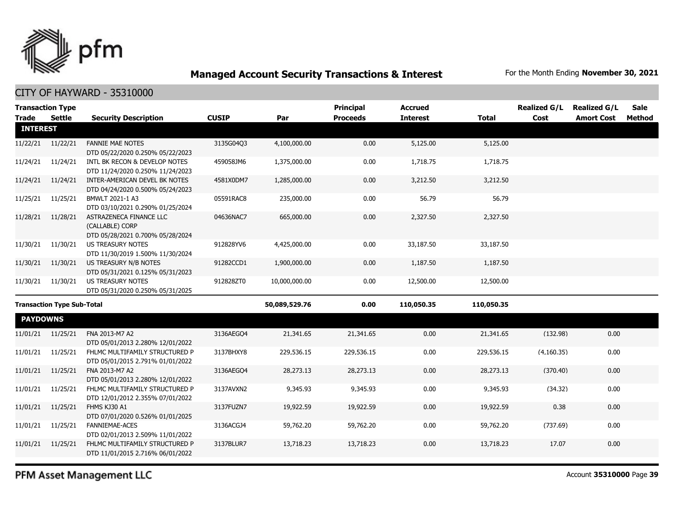

|                 | <b>Transaction Type</b>           |                                                                                |              |               | <b>Principal</b> | <b>Accrued</b>  |              | <b>Realized G/L</b> | <b>Realized G/L</b> | <b>Sale</b> |
|-----------------|-----------------------------------|--------------------------------------------------------------------------------|--------------|---------------|------------------|-----------------|--------------|---------------------|---------------------|-------------|
| <b>Trade</b>    | <b>Settle</b>                     | <b>Security Description</b>                                                    | <b>CUSIP</b> | Par           | <b>Proceeds</b>  | <b>Interest</b> | <b>Total</b> | Cost                | <b>Amort Cost</b>   | Method      |
| <b>INTEREST</b> |                                   |                                                                                |              |               |                  |                 |              |                     |                     |             |
| 11/22/21        | 11/22/21                          | <b>FANNIE MAE NOTES</b><br>DTD 05/22/2020 0.250% 05/22/2023                    | 3135G04Q3    | 4,100,000.00  | 0.00             | 5,125.00        | 5,125.00     |                     |                     |             |
| 11/24/21        | 11/24/21                          | INTL BK RECON & DEVELOP NOTES<br>DTD 11/24/2020 0.250% 11/24/2023              | 459058JM6    | 1,375,000.00  | 0.00             | 1,718.75        | 1,718.75     |                     |                     |             |
| 11/24/21        | 11/24/21                          | INTER-AMERICAN DEVEL BK NOTES<br>DTD 04/24/2020 0.500% 05/24/2023              | 4581X0DM7    | 1,285,000.00  | 0.00             | 3,212.50        | 3,212.50     |                     |                     |             |
| 11/25/21        | 11/25/21                          | BMWLT 2021-1 A3<br>DTD 03/10/2021 0.290% 01/25/2024                            | 05591RAC8    | 235,000.00    | 0.00             | 56.79           | 56.79        |                     |                     |             |
| 11/28/21        | 11/28/21                          | ASTRAZENECA FINANCE LLC<br>(CALLABLE) CORP<br>DTD 05/28/2021 0.700% 05/28/2024 | 04636NAC7    | 665,000.00    | 0.00             | 2,327.50        | 2,327.50     |                     |                     |             |
| 11/30/21        | 11/30/21                          | <b>US TREASURY NOTES</b><br>DTD 11/30/2019 1.500% 11/30/2024                   | 912828YV6    | 4,425,000.00  | 0.00             | 33,187.50       | 33,187.50    |                     |                     |             |
| 11/30/21        | 11/30/21                          | US TREASURY N/B NOTES<br>DTD 05/31/2021 0.125% 05/31/2023                      | 91282CCD1    | 1,900,000.00  | 0.00             | 1,187.50        | 1,187.50     |                     |                     |             |
| 11/30/21        | 11/30/21                          | <b>US TREASURY NOTES</b><br>DTD 05/31/2020 0.250% 05/31/2025                   | 912828ZT0    | 10,000,000.00 | 0.00             | 12,500.00       | 12,500.00    |                     |                     |             |
|                 | <b>Transaction Type Sub-Total</b> |                                                                                |              | 50,089,529.76 | 0.00             | 110,050.35      | 110,050.35   |                     |                     |             |
| <b>PAYDOWNS</b> |                                   |                                                                                |              |               |                  |                 |              |                     |                     |             |
| 11/01/21        | 11/25/21                          | FNA 2013-M7 A2<br>DTD 05/01/2013 2.280% 12/01/2022                             | 3136AEGO4    | 21,341.65     | 21,341.65        | 0.00            | 21,341.65    | (132.98)            | 0.00                |             |
| 11/01/21        | 11/25/21                          | FHLMC MULTIFAMILY STRUCTURED P<br>DTD 05/01/2015 2.791% 01/01/2022             | 3137BHXY8    | 229,536.15    | 229,536.15       | 0.00            | 229,536.15   | (4,160.35)          | 0.00                |             |
| 11/01/21        | 11/25/21                          | FNA 2013-M7 A2<br>DTD 05/01/2013 2.280% 12/01/2022                             | 3136AEGO4    | 28,273.13     | 28,273.13        | 0.00            | 28,273.13    | (370.40)            | 0.00                |             |
| 11/01/21        | 11/25/21                          | FHLMC MULTIFAMILY STRUCTURED P<br>DTD 12/01/2012 2.355% 07/01/2022             | 3137AVXN2    | 9,345.93      | 9,345.93         | 0.00            | 9,345.93     | (34.32)             | 0.00                |             |
| 11/01/21        | 11/25/21                          | FHMS KJ30 A1<br>DTD 07/01/2020 0.526% 01/01/2025                               | 3137FUZN7    | 19,922.59     | 19,922.59        | 0.00            | 19,922.59    | 0.38                | 0.00                |             |
| 11/01/21        | 11/25/21                          | <b>FANNIEMAE-ACES</b><br>DTD 02/01/2013 2.509% 11/01/2022                      | 3136ACGJ4    | 59,762.20     | 59,762.20        | 0.00            | 59,762.20    | (737.69)            | 0.00                |             |
| 11/01/21        | 11/25/21                          | FHLMC MULTIFAMILY STRUCTURED P<br>DTD 11/01/2015 2.716% 06/01/2022             | 3137BLUR7    | 13,718.23     | 13,718.23        | 0.00            | 13,718.23    | 17.07               | 0.00                |             |
|                 |                                   |                                                                                |              |               |                  |                 |              |                     |                     |             |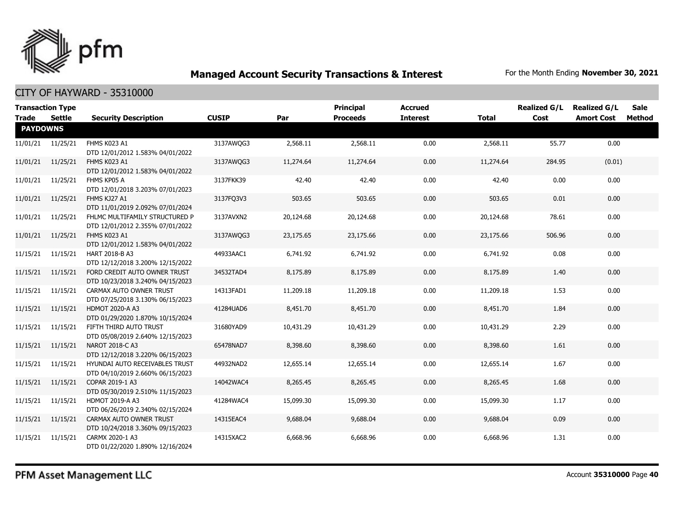

| <b>Trade</b>    | <b>Transaction Type</b><br>Settle | <b>Security Description</b>                                        | <b>CUSIP</b> | Par       | Principal<br><b>Proceeds</b> | <b>Accrued</b><br><b>Interest</b> | <b>Total</b> | <b>Realized G/L</b><br>Cost | <b>Realized G/L</b><br><b>Amort Cost</b> | <b>Sale</b><br>Method |
|-----------------|-----------------------------------|--------------------------------------------------------------------|--------------|-----------|------------------------------|-----------------------------------|--------------|-----------------------------|------------------------------------------|-----------------------|
| <b>PAYDOWNS</b> |                                   |                                                                    |              |           |                              |                                   |              |                             |                                          |                       |
|                 | 11/01/21 11/25/21                 | FHMS K023 A1<br>DTD 12/01/2012 1.583% 04/01/2022                   | 3137AWQG3    | 2,568.11  | 2,568.11                     | 0.00                              | 2,568.11     | 55.77                       | 0.00                                     |                       |
| 11/01/21        | 11/25/21                          | FHMS K023 A1<br>DTD 12/01/2012 1.583% 04/01/2022                   | 3137AWQG3    | 11,274.64 | 11,274.64                    | 0.00                              | 11,274.64    | 284.95                      | (0.01)                                   |                       |
| 11/01/21        | 11/25/21                          | FHMS KP05 A<br>DTD 12/01/2018 3.203% 07/01/2023                    | 3137FKK39    | 42.40     | 42.40                        | 0.00                              | 42.40        | 0.00                        | 0.00                                     |                       |
| 11/01/21        | 11/25/21                          | FHMS KJ27 A1<br>DTD 11/01/2019 2.092% 07/01/2024                   | 3137FQ3V3    | 503.65    | 503.65                       | 0.00                              | 503.65       | 0.01                        | 0.00                                     |                       |
| 11/01/21        | 11/25/21                          | FHLMC MULTIFAMILY STRUCTURED P<br>DTD 12/01/2012 2.355% 07/01/2022 | 3137AVXN2    | 20,124.68 | 20,124.68                    | 0.00                              | 20,124.68    | 78.61                       | 0.00                                     |                       |
| 11/01/21        | 11/25/21                          | FHMS K023 A1<br>DTD 12/01/2012 1.583% 04/01/2022                   | 3137AWQG3    | 23,175.65 | 23,175.66                    | 0.00                              | 23,175.66    | 506.96                      | 0.00                                     |                       |
| 11/15/21        | 11/15/21                          | HART 2018-B A3<br>DTD 12/12/2018 3.200% 12/15/2022                 | 44933AAC1    | 6,741.92  | 6,741.92                     | 0.00                              | 6,741.92     | 0.08                        | 0.00                                     |                       |
| 11/15/21        | 11/15/21                          | FORD CREDIT AUTO OWNER TRUST<br>DTD 10/23/2018 3.240% 04/15/2023   | 34532TAD4    | 8,175.89  | 8,175.89                     | 0.00                              | 8,175.89     | 1.40                        | 0.00                                     |                       |
| 11/15/21        | 11/15/21                          | CARMAX AUTO OWNER TRUST<br>DTD 07/25/2018 3.130% 06/15/2023        | 14313FAD1    | 11,209.18 | 11,209.18                    | 0.00                              | 11,209.18    | 1.53                        | 0.00                                     |                       |
| 11/15/21        | 11/15/21                          | <b>HDMOT 2020-A A3</b><br>DTD 01/29/2020 1.870% 10/15/2024         | 41284UAD6    | 8,451.70  | 8,451.70                     | 0.00                              | 8,451.70     | 1.84                        | 0.00                                     |                       |
| 11/15/21        | 11/15/21                          | FIFTH THIRD AUTO TRUST<br>DTD 05/08/2019 2.640% 12/15/2023         | 31680YAD9    | 10,431.29 | 10,431.29                    | 0.00                              | 10,431.29    | 2.29                        | 0.00                                     |                       |
| 11/15/21        | 11/15/21                          | NAROT 2018-C A3<br>DTD 12/12/2018 3.220% 06/15/2023                | 65478NAD7    | 8,398.60  | 8,398.60                     | 0.00                              | 8,398.60     | 1.61                        | 0.00                                     |                       |
| 11/15/21        | 11/15/21                          | HYUNDAI AUTO RECEIVABLES TRUST<br>DTD 04/10/2019 2.660% 06/15/2023 | 44932NAD2    | 12,655.14 | 12,655.14                    | 0.00                              | 12,655.14    | 1.67                        | 0.00                                     |                       |
| 11/15/21        | 11/15/21                          | COPAR 2019-1 A3<br>DTD 05/30/2019 2.510% 11/15/2023                | 14042WAC4    | 8,265.45  | 8,265.45                     | 0.00                              | 8,265.45     | 1.68                        | 0.00                                     |                       |
| 11/15/21        | 11/15/21                          | <b>HDMOT 2019-A A3</b><br>DTD 06/26/2019 2.340% 02/15/2024         | 41284WAC4    | 15,099.30 | 15,099.30                    | 0.00                              | 15,099.30    | 1.17                        | 0.00                                     |                       |
| 11/15/21        | 11/15/21                          | CARMAX AUTO OWNER TRUST<br>DTD 10/24/2018 3.360% 09/15/2023        | 14315EAC4    | 9,688.04  | 9,688.04                     | 0.00                              | 9,688.04     | 0.09                        | 0.00                                     |                       |
| 11/15/21        | 11/15/21                          | CARMX 2020-1 A3<br>DTD 01/22/2020 1.890% 12/16/2024                | 14315XAC2    | 6,668.96  | 6,668.96                     | 0.00                              | 6,668.96     | 1.31                        | 0.00                                     |                       |